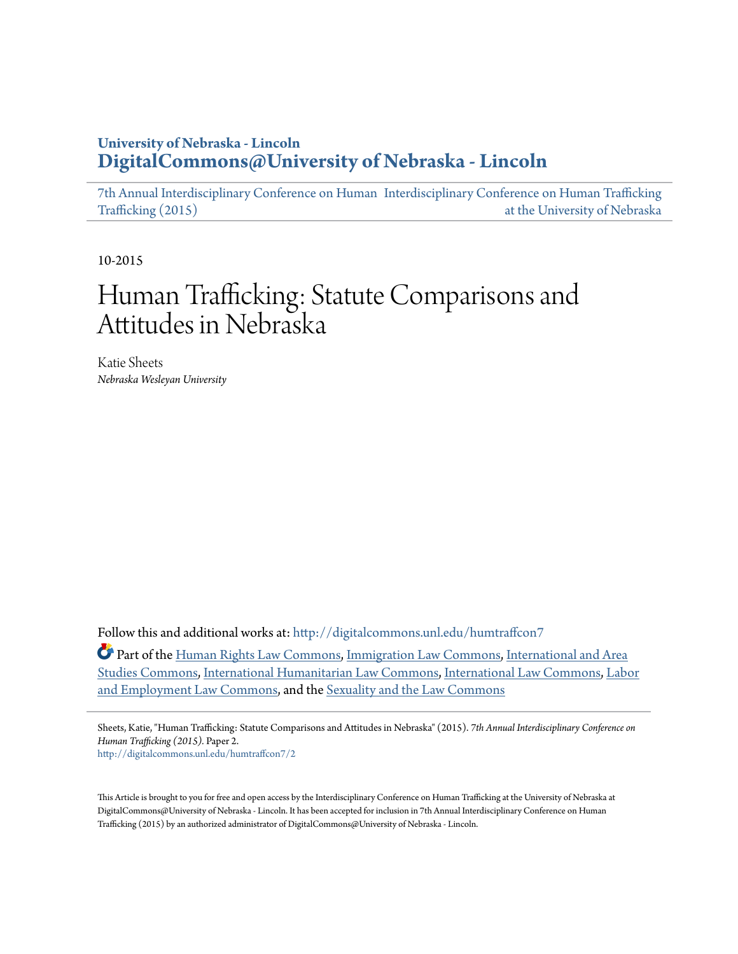# **University of Nebraska - Lincoln [DigitalCommons@University of Nebraska - Lincoln](http://digitalcommons.unl.edu?utm_source=digitalcommons.unl.edu%2Fhumtraffcon7%2F2&utm_medium=PDF&utm_campaign=PDFCoverPages)**

[7th Annual Interdisciplinary Conference on Human](http://digitalcommons.unl.edu/humtraffcon7?utm_source=digitalcommons.unl.edu%2Fhumtraffcon7%2F2&utm_medium=PDF&utm_campaign=PDFCoverPages) [Interdisciplinary Conference on Human Trafficking](http://digitalcommons.unl.edu/humantrafficking?utm_source=digitalcommons.unl.edu%2Fhumtraffcon7%2F2&utm_medium=PDF&utm_campaign=PDFCoverPages) [Trafficking \(2015\)](http://digitalcommons.unl.edu/humtraffcon7?utm_source=digitalcommons.unl.edu%2Fhumtraffcon7%2F2&utm_medium=PDF&utm_campaign=PDFCoverPages) [at the University of Nebraska](http://digitalcommons.unl.edu/humantrafficking?utm_source=digitalcommons.unl.edu%2Fhumtraffcon7%2F2&utm_medium=PDF&utm_campaign=PDFCoverPages)

10-2015

# Human Trafficking: Statute Comparisons and Attitudes in Nebraska

Katie Sheets *Nebraska Wesleyan University*

Follow this and additional works at: [http://digitalcommons.unl.edu/humtraffcon7](http://digitalcommons.unl.edu/humtraffcon7?utm_source=digitalcommons.unl.edu%2Fhumtraffcon7%2F2&utm_medium=PDF&utm_campaign=PDFCoverPages)

Part of the [Human Rights Law Commons,](http://network.bepress.com/hgg/discipline/847?utm_source=digitalcommons.unl.edu%2Fhumtraffcon7%2F2&utm_medium=PDF&utm_campaign=PDFCoverPages) [Immigration Law Commons](http://network.bepress.com/hgg/discipline/604?utm_source=digitalcommons.unl.edu%2Fhumtraffcon7%2F2&utm_medium=PDF&utm_campaign=PDFCoverPages), [International and Area](http://network.bepress.com/hgg/discipline/360?utm_source=digitalcommons.unl.edu%2Fhumtraffcon7%2F2&utm_medium=PDF&utm_campaign=PDFCoverPages) [Studies Commons](http://network.bepress.com/hgg/discipline/360?utm_source=digitalcommons.unl.edu%2Fhumtraffcon7%2F2&utm_medium=PDF&utm_campaign=PDFCoverPages), [International Humanitarian Law Commons](http://network.bepress.com/hgg/discipline/1330?utm_source=digitalcommons.unl.edu%2Fhumtraffcon7%2F2&utm_medium=PDF&utm_campaign=PDFCoverPages), [International Law Commons,](http://network.bepress.com/hgg/discipline/609?utm_source=digitalcommons.unl.edu%2Fhumtraffcon7%2F2&utm_medium=PDF&utm_campaign=PDFCoverPages) [Labor](http://network.bepress.com/hgg/discipline/909?utm_source=digitalcommons.unl.edu%2Fhumtraffcon7%2F2&utm_medium=PDF&utm_campaign=PDFCoverPages) [and Employment Law Commons](http://network.bepress.com/hgg/discipline/909?utm_source=digitalcommons.unl.edu%2Fhumtraffcon7%2F2&utm_medium=PDF&utm_campaign=PDFCoverPages), and the [Sexuality and the Law Commons](http://network.bepress.com/hgg/discipline/877?utm_source=digitalcommons.unl.edu%2Fhumtraffcon7%2F2&utm_medium=PDF&utm_campaign=PDFCoverPages)

Sheets, Katie, "Human Trafficking: Statute Comparisons and Attitudes in Nebraska" (2015). *7th Annual Interdisciplinary Conference on Human Trafficking (2015).* Paper 2. [http://digitalcommons.unl.edu/humtraffcon7/2](http://digitalcommons.unl.edu/humtraffcon7/2?utm_source=digitalcommons.unl.edu%2Fhumtraffcon7%2F2&utm_medium=PDF&utm_campaign=PDFCoverPages)

This Article is brought to you for free and open access by the Interdisciplinary Conference on Human Trafficking at the University of Nebraska at DigitalCommons@University of Nebraska - Lincoln. It has been accepted for inclusion in 7th Annual Interdisciplinary Conference on Human Trafficking (2015) by an authorized administrator of DigitalCommons@University of Nebraska - Lincoln.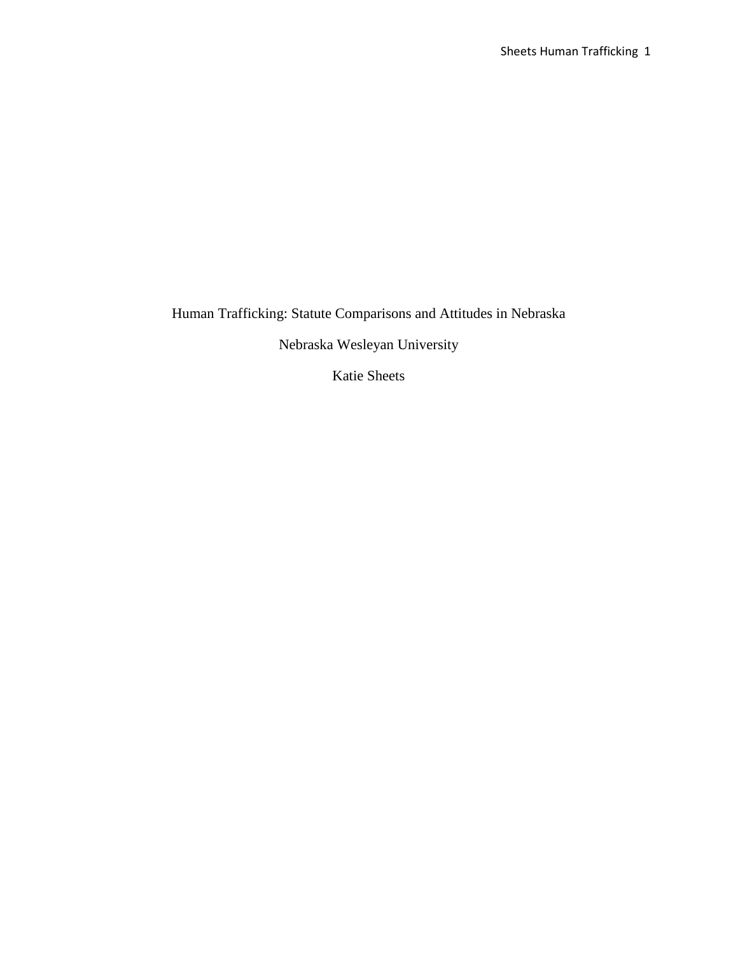Human Trafficking: Statute Comparisons and Attitudes in Nebraska

Nebraska Wesleyan University

Katie Sheets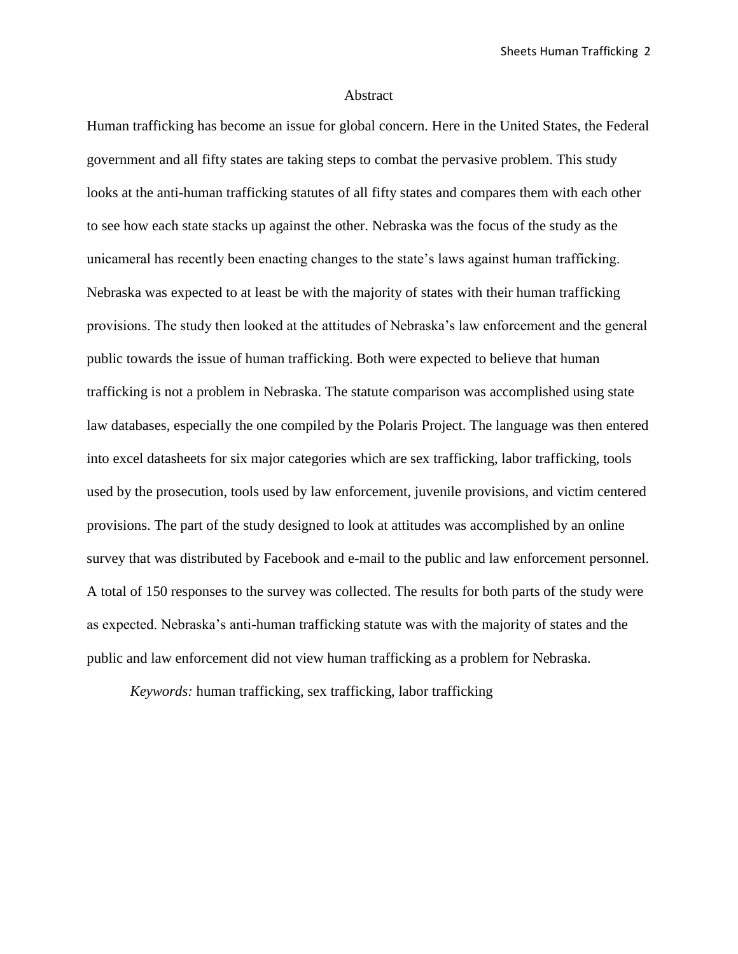#### Abstract

Human trafficking has become an issue for global concern. Here in the United States, the Federal government and all fifty states are taking steps to combat the pervasive problem. This study looks at the anti-human trafficking statutes of all fifty states and compares them with each other to see how each state stacks up against the other. Nebraska was the focus of the study as the unicameral has recently been enacting changes to the state's laws against human trafficking. Nebraska was expected to at least be with the majority of states with their human trafficking provisions. The study then looked at the attitudes of Nebraska's law enforcement and the general public towards the issue of human trafficking. Both were expected to believe that human trafficking is not a problem in Nebraska. The statute comparison was accomplished using state law databases, especially the one compiled by the Polaris Project. The language was then entered into excel datasheets for six major categories which are sex trafficking, labor trafficking, tools used by the prosecution, tools used by law enforcement, juvenile provisions, and victim centered provisions. The part of the study designed to look at attitudes was accomplished by an online survey that was distributed by Facebook and e-mail to the public and law enforcement personnel. A total of 150 responses to the survey was collected. The results for both parts of the study were as expected. Nebraska's anti-human trafficking statute was with the majority of states and the public and law enforcement did not view human trafficking as a problem for Nebraska.

*Keywords:* human trafficking, sex trafficking, labor trafficking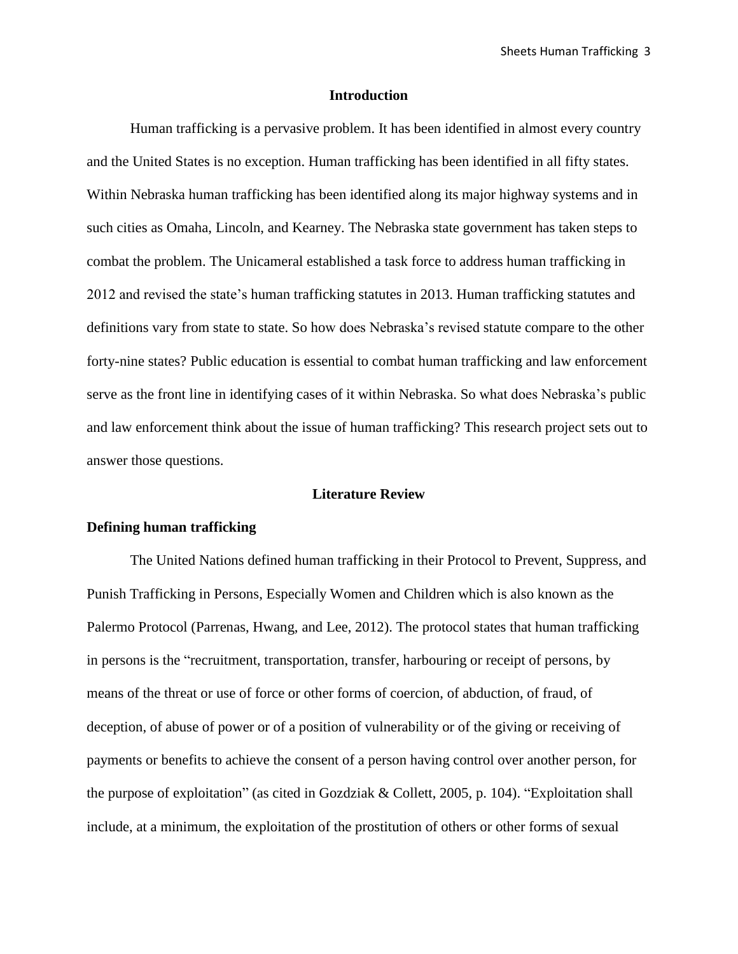#### **Introduction**

Human trafficking is a pervasive problem. It has been identified in almost every country and the United States is no exception. Human trafficking has been identified in all fifty states. Within Nebraska human trafficking has been identified along its major highway systems and in such cities as Omaha, Lincoln, and Kearney. The Nebraska state government has taken steps to combat the problem. The Unicameral established a task force to address human trafficking in 2012 and revised the state's human trafficking statutes in 2013. Human trafficking statutes and definitions vary from state to state. So how does Nebraska's revised statute compare to the other forty-nine states? Public education is essential to combat human trafficking and law enforcement serve as the front line in identifying cases of it within Nebraska. So what does Nebraska's public and law enforcement think about the issue of human trafficking? This research project sets out to answer those questions.

#### **Literature Review**

# **Defining human trafficking**

The United Nations defined human trafficking in their Protocol to Prevent, Suppress, and Punish Trafficking in Persons, Especially Women and Children which is also known as the Palermo Protocol (Parrenas, Hwang, and Lee, 2012). The protocol states that human trafficking in persons is the "recruitment, transportation, transfer, harbouring or receipt of persons, by means of the threat or use of force or other forms of coercion, of abduction, of fraud, of deception, of abuse of power or of a position of vulnerability or of the giving or receiving of payments or benefits to achieve the consent of a person having control over another person, for the purpose of exploitation" (as cited in Gozdziak & Collett, 2005, p. 104). "Exploitation shall include, at a minimum, the exploitation of the prostitution of others or other forms of sexual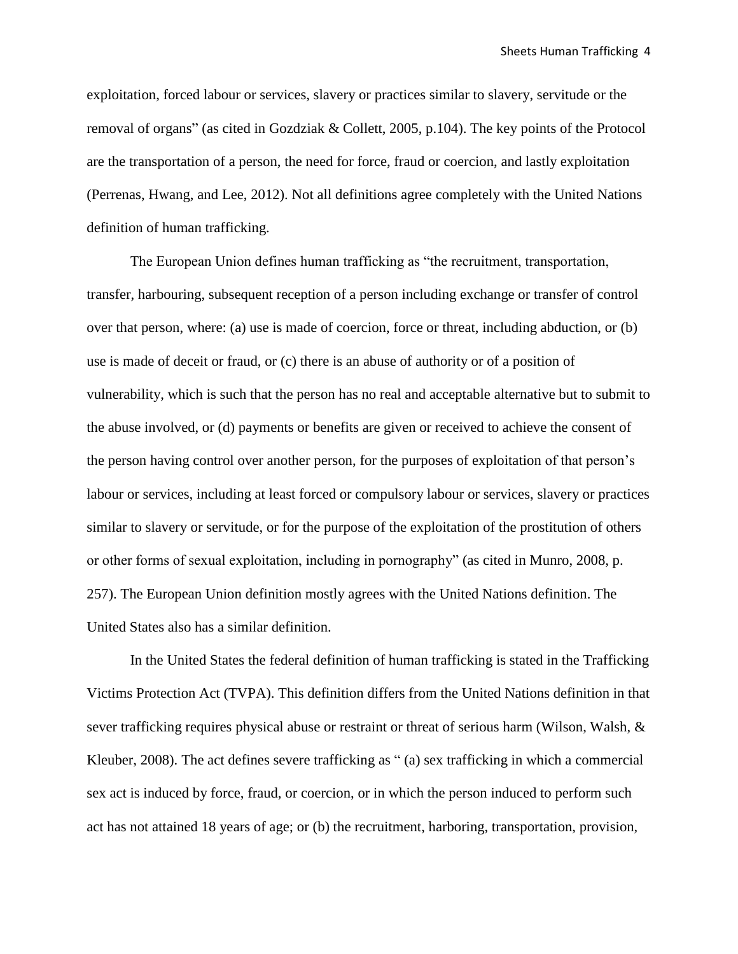exploitation, forced labour or services, slavery or practices similar to slavery, servitude or the removal of organs" (as cited in Gozdziak & Collett, 2005, p.104). The key points of the Protocol are the transportation of a person, the need for force, fraud or coercion, and lastly exploitation (Perrenas, Hwang, and Lee, 2012). Not all definitions agree completely with the United Nations definition of human trafficking.

The European Union defines human trafficking as "the recruitment, transportation, transfer, harbouring, subsequent reception of a person including exchange or transfer of control over that person, where: (a) use is made of coercion, force or threat, including abduction, or (b) use is made of deceit or fraud, or (c) there is an abuse of authority or of a position of vulnerability, which is such that the person has no real and acceptable alternative but to submit to the abuse involved, or (d) payments or benefits are given or received to achieve the consent of the person having control over another person, for the purposes of exploitation of that person's labour or services, including at least forced or compulsory labour or services, slavery or practices similar to slavery or servitude, or for the purpose of the exploitation of the prostitution of others or other forms of sexual exploitation, including in pornography" (as cited in Munro, 2008, p. 257). The European Union definition mostly agrees with the United Nations definition. The United States also has a similar definition.

In the United States the federal definition of human trafficking is stated in the Trafficking Victims Protection Act (TVPA). This definition differs from the United Nations definition in that sever trafficking requires physical abuse or restraint or threat of serious harm (Wilson, Walsh, & Kleuber, 2008). The act defines severe trafficking as " (a) sex trafficking in which a commercial sex act is induced by force, fraud, or coercion, or in which the person induced to perform such act has not attained 18 years of age; or (b) the recruitment, harboring, transportation, provision,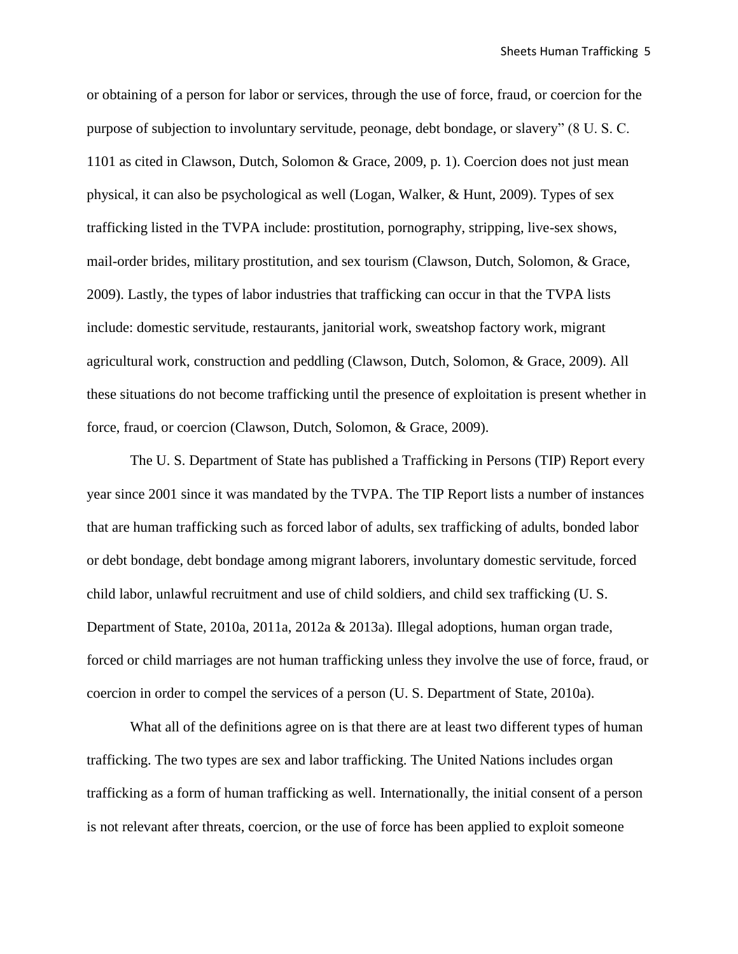or obtaining of a person for labor or services, through the use of force, fraud, or coercion for the purpose of subjection to involuntary servitude, peonage, debt bondage, or slavery" (8 U. S. C. 1101 as cited in Clawson, Dutch, Solomon & Grace, 2009, p. 1). Coercion does not just mean physical, it can also be psychological as well (Logan, Walker, & Hunt, 2009). Types of sex trafficking listed in the TVPA include: prostitution, pornography, stripping, live-sex shows, mail-order brides, military prostitution, and sex tourism (Clawson, Dutch, Solomon, & Grace, 2009). Lastly, the types of labor industries that trafficking can occur in that the TVPA lists include: domestic servitude, restaurants, janitorial work, sweatshop factory work, migrant agricultural work, construction and peddling (Clawson, Dutch, Solomon, & Grace, 2009). All these situations do not become trafficking until the presence of exploitation is present whether in force, fraud, or coercion (Clawson, Dutch, Solomon, & Grace, 2009).

The U. S. Department of State has published a Trafficking in Persons (TIP) Report every year since 2001 since it was mandated by the TVPA. The TIP Report lists a number of instances that are human trafficking such as forced labor of adults, sex trafficking of adults, bonded labor or debt bondage, debt bondage among migrant laborers, involuntary domestic servitude, forced child labor, unlawful recruitment and use of child soldiers, and child sex trafficking (U. S. Department of State, 2010a, 2011a, 2012a & 2013a). Illegal adoptions, human organ trade, forced or child marriages are not human trafficking unless they involve the use of force, fraud, or coercion in order to compel the services of a person (U. S. Department of State, 2010a).

What all of the definitions agree on is that there are at least two different types of human trafficking. The two types are sex and labor trafficking. The United Nations includes organ trafficking as a form of human trafficking as well. Internationally, the initial consent of a person is not relevant after threats, coercion, or the use of force has been applied to exploit someone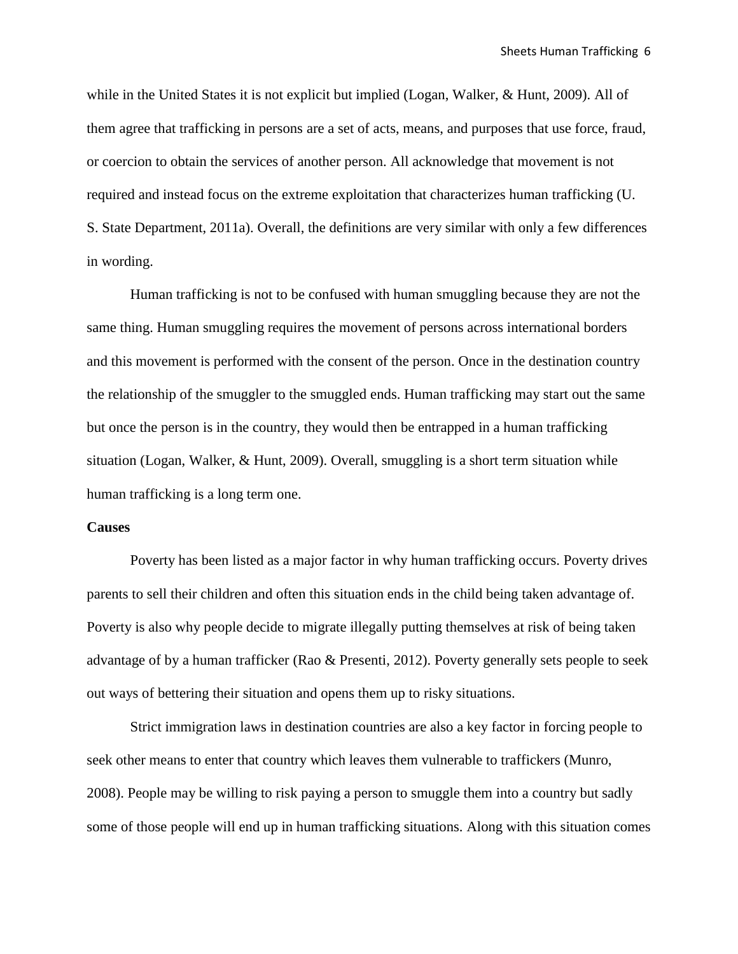while in the United States it is not explicit but implied (Logan, Walker, & Hunt, 2009). All of them agree that trafficking in persons are a set of acts, means, and purposes that use force, fraud, or coercion to obtain the services of another person. All acknowledge that movement is not required and instead focus on the extreme exploitation that characterizes human trafficking (U. S. State Department, 2011a). Overall, the definitions are very similar with only a few differences in wording.

Human trafficking is not to be confused with human smuggling because they are not the same thing. Human smuggling requires the movement of persons across international borders and this movement is performed with the consent of the person. Once in the destination country the relationship of the smuggler to the smuggled ends. Human trafficking may start out the same but once the person is in the country, they would then be entrapped in a human trafficking situation (Logan, Walker, & Hunt, 2009). Overall, smuggling is a short term situation while human trafficking is a long term one.

# **Causes**

Poverty has been listed as a major factor in why human trafficking occurs. Poverty drives parents to sell their children and often this situation ends in the child being taken advantage of. Poverty is also why people decide to migrate illegally putting themselves at risk of being taken advantage of by a human trafficker (Rao & Presenti, 2012). Poverty generally sets people to seek out ways of bettering their situation and opens them up to risky situations.

Strict immigration laws in destination countries are also a key factor in forcing people to seek other means to enter that country which leaves them vulnerable to traffickers (Munro, 2008). People may be willing to risk paying a person to smuggle them into a country but sadly some of those people will end up in human trafficking situations. Along with this situation comes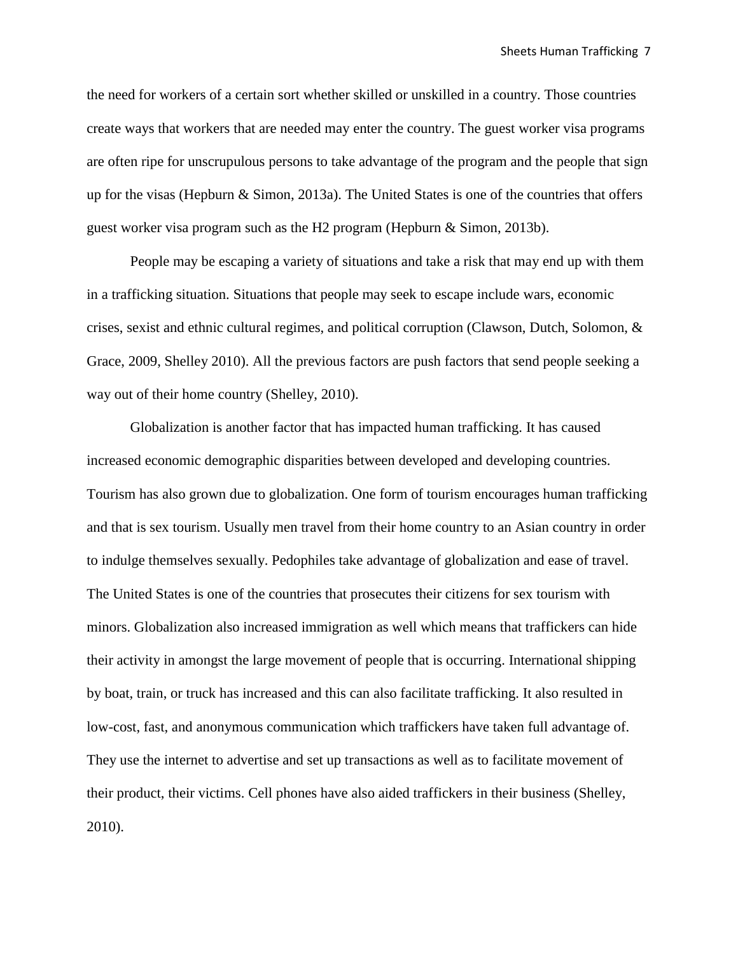the need for workers of a certain sort whether skilled or unskilled in a country. Those countries create ways that workers that are needed may enter the country. The guest worker visa programs are often ripe for unscrupulous persons to take advantage of the program and the people that sign up for the visas (Hepburn & Simon, 2013a). The United States is one of the countries that offers guest worker visa program such as the H2 program (Hepburn & Simon, 2013b).

People may be escaping a variety of situations and take a risk that may end up with them in a trafficking situation. Situations that people may seek to escape include wars, economic crises, sexist and ethnic cultural regimes, and political corruption (Clawson, Dutch, Solomon, & Grace, 2009, Shelley 2010). All the previous factors are push factors that send people seeking a way out of their home country (Shelley, 2010).

Globalization is another factor that has impacted human trafficking. It has caused increased economic demographic disparities between developed and developing countries. Tourism has also grown due to globalization. One form of tourism encourages human trafficking and that is sex tourism. Usually men travel from their home country to an Asian country in order to indulge themselves sexually. Pedophiles take advantage of globalization and ease of travel. The United States is one of the countries that prosecutes their citizens for sex tourism with minors. Globalization also increased immigration as well which means that traffickers can hide their activity in amongst the large movement of people that is occurring. International shipping by boat, train, or truck has increased and this can also facilitate trafficking. It also resulted in low-cost, fast, and anonymous communication which traffickers have taken full advantage of. They use the internet to advertise and set up transactions as well as to facilitate movement of their product, their victims. Cell phones have also aided traffickers in their business (Shelley, 2010).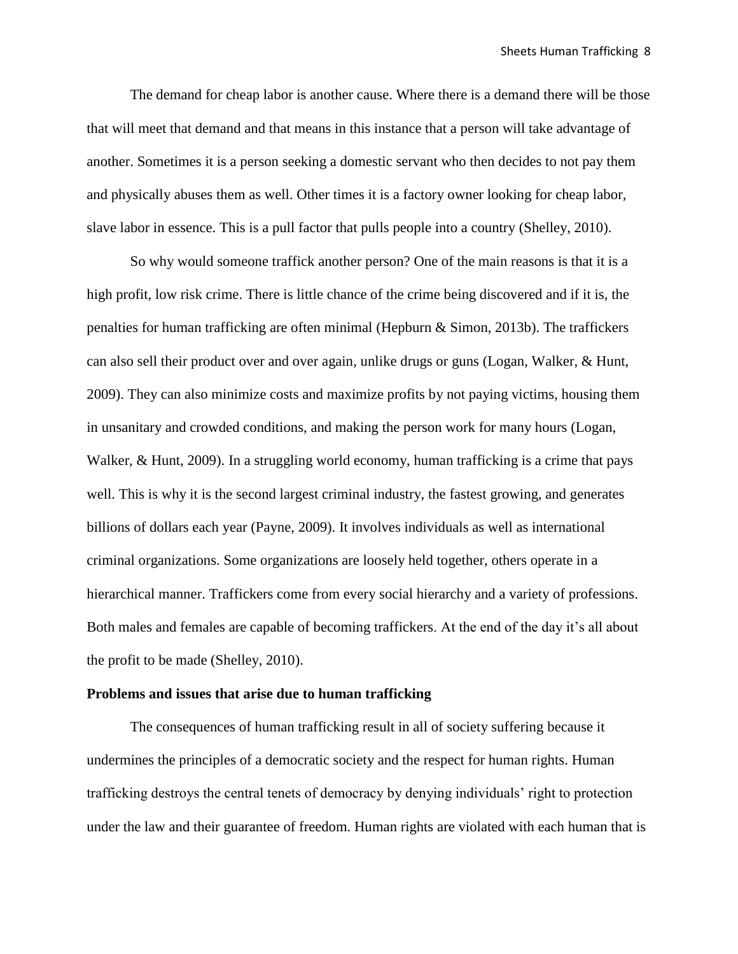The demand for cheap labor is another cause. Where there is a demand there will be those that will meet that demand and that means in this instance that a person will take advantage of another. Sometimes it is a person seeking a domestic servant who then decides to not pay them and physically abuses them as well. Other times it is a factory owner looking for cheap labor, slave labor in essence. This is a pull factor that pulls people into a country (Shelley, 2010).

So why would someone traffick another person? One of the main reasons is that it is a high profit, low risk crime. There is little chance of the crime being discovered and if it is, the penalties for human trafficking are often minimal (Hepburn & Simon, 2013b). The traffickers can also sell their product over and over again, unlike drugs or guns (Logan, Walker, & Hunt, 2009). They can also minimize costs and maximize profits by not paying victims, housing them in unsanitary and crowded conditions, and making the person work for many hours (Logan, Walker, & Hunt, 2009). In a struggling world economy, human trafficking is a crime that pays well. This is why it is the second largest criminal industry, the fastest growing, and generates billions of dollars each year (Payne, 2009). It involves individuals as well as international criminal organizations. Some organizations are loosely held together, others operate in a hierarchical manner. Traffickers come from every social hierarchy and a variety of professions. Both males and females are capable of becoming traffickers. At the end of the day it's all about the profit to be made (Shelley, 2010).

#### **Problems and issues that arise due to human trafficking**

The consequences of human trafficking result in all of society suffering because it undermines the principles of a democratic society and the respect for human rights. Human trafficking destroys the central tenets of democracy by denying individuals' right to protection under the law and their guarantee of freedom. Human rights are violated with each human that is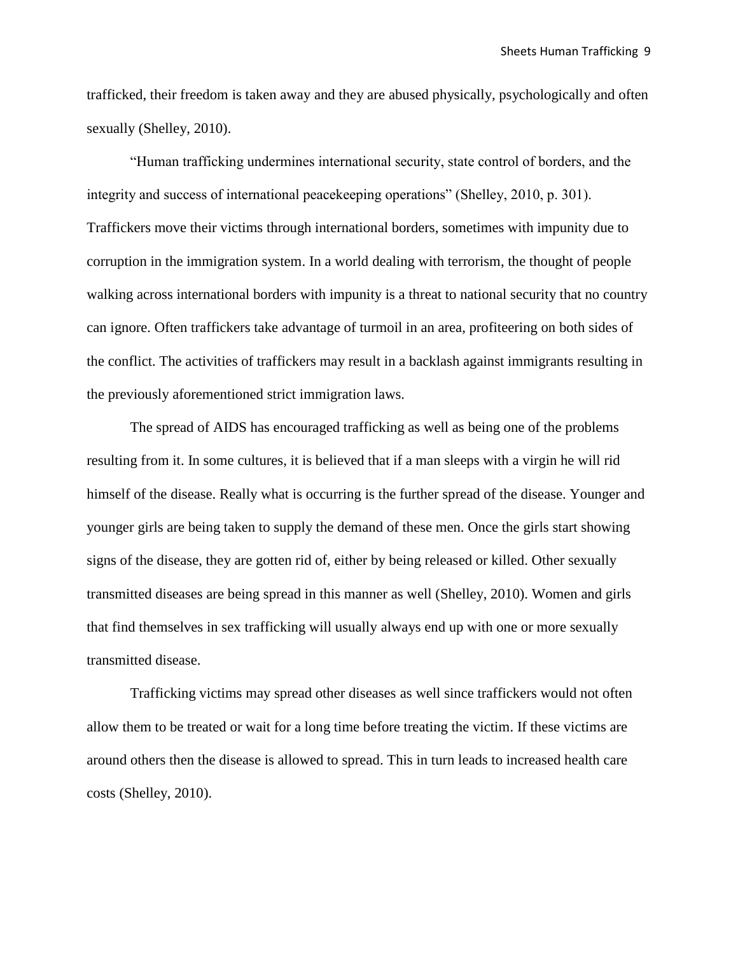trafficked, their freedom is taken away and they are abused physically, psychologically and often sexually (Shelley, 2010).

"Human trafficking undermines international security, state control of borders, and the integrity and success of international peacekeeping operations" (Shelley, 2010, p. 301). Traffickers move their victims through international borders, sometimes with impunity due to corruption in the immigration system. In a world dealing with terrorism, the thought of people walking across international borders with impunity is a threat to national security that no country can ignore. Often traffickers take advantage of turmoil in an area, profiteering on both sides of the conflict. The activities of traffickers may result in a backlash against immigrants resulting in the previously aforementioned strict immigration laws.

The spread of AIDS has encouraged trafficking as well as being one of the problems resulting from it. In some cultures, it is believed that if a man sleeps with a virgin he will rid himself of the disease. Really what is occurring is the further spread of the disease. Younger and younger girls are being taken to supply the demand of these men. Once the girls start showing signs of the disease, they are gotten rid of, either by being released or killed. Other sexually transmitted diseases are being spread in this manner as well (Shelley, 2010). Women and girls that find themselves in sex trafficking will usually always end up with one or more sexually transmitted disease.

Trafficking victims may spread other diseases as well since traffickers would not often allow them to be treated or wait for a long time before treating the victim. If these victims are around others then the disease is allowed to spread. This in turn leads to increased health care costs (Shelley, 2010).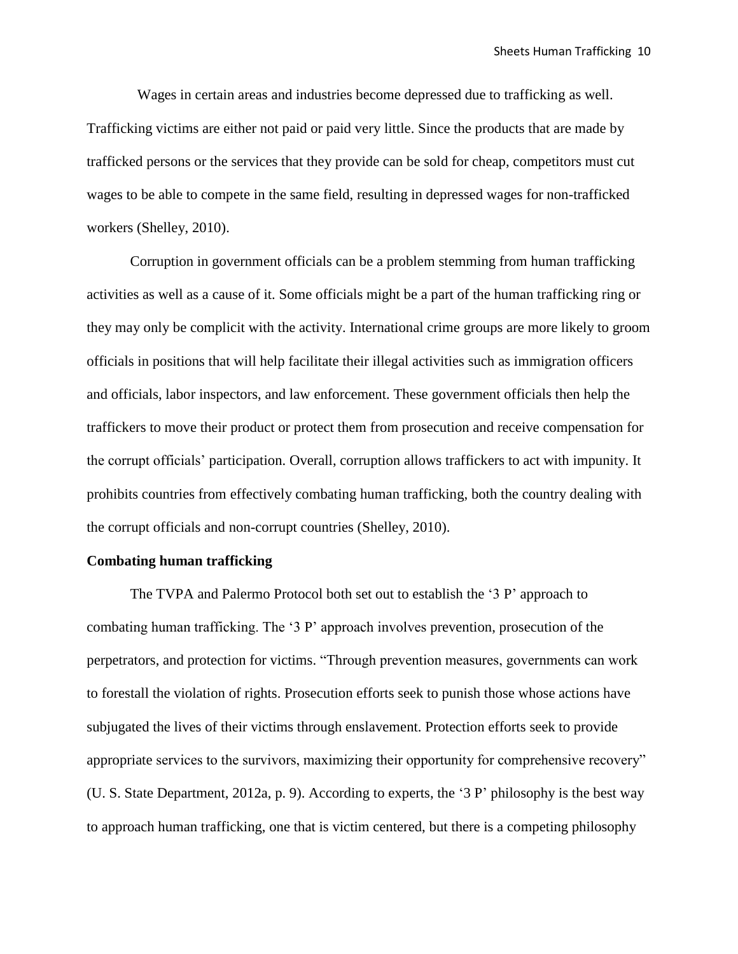Wages in certain areas and industries become depressed due to trafficking as well. Trafficking victims are either not paid or paid very little. Since the products that are made by trafficked persons or the services that they provide can be sold for cheap, competitors must cut wages to be able to compete in the same field, resulting in depressed wages for non-trafficked workers (Shelley, 2010).

Corruption in government officials can be a problem stemming from human trafficking activities as well as a cause of it. Some officials might be a part of the human trafficking ring or they may only be complicit with the activity. International crime groups are more likely to groom officials in positions that will help facilitate their illegal activities such as immigration officers and officials, labor inspectors, and law enforcement. These government officials then help the traffickers to move their product or protect them from prosecution and receive compensation for the corrupt officials' participation. Overall, corruption allows traffickers to act with impunity. It prohibits countries from effectively combating human trafficking, both the country dealing with the corrupt officials and non-corrupt countries (Shelley, 2010).

#### **Combating human trafficking**

The TVPA and Palermo Protocol both set out to establish the '3 P' approach to combating human trafficking. The '3 P' approach involves prevention, prosecution of the perpetrators, and protection for victims. "Through prevention measures, governments can work to forestall the violation of rights. Prosecution efforts seek to punish those whose actions have subjugated the lives of their victims through enslavement. Protection efforts seek to provide appropriate services to the survivors, maximizing their opportunity for comprehensive recovery" (U. S. State Department, 2012a, p. 9). According to experts, the '3 P' philosophy is the best way to approach human trafficking, one that is victim centered, but there is a competing philosophy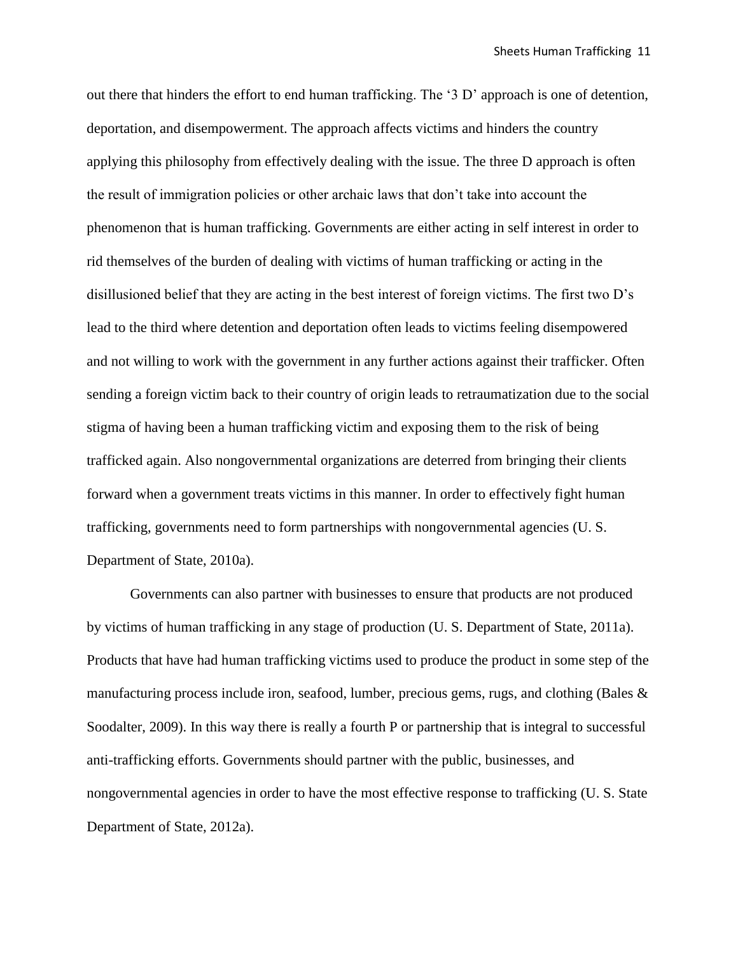out there that hinders the effort to end human trafficking. The '3 D' approach is one of detention, deportation, and disempowerment. The approach affects victims and hinders the country applying this philosophy from effectively dealing with the issue. The three D approach is often the result of immigration policies or other archaic laws that don't take into account the phenomenon that is human trafficking. Governments are either acting in self interest in order to rid themselves of the burden of dealing with victims of human trafficking or acting in the disillusioned belief that they are acting in the best interest of foreign victims. The first two D's lead to the third where detention and deportation often leads to victims feeling disempowered and not willing to work with the government in any further actions against their trafficker. Often sending a foreign victim back to their country of origin leads to retraumatization due to the social stigma of having been a human trafficking victim and exposing them to the risk of being trafficked again. Also nongovernmental organizations are deterred from bringing their clients forward when a government treats victims in this manner. In order to effectively fight human trafficking, governments need to form partnerships with nongovernmental agencies (U. S. Department of State, 2010a).

Governments can also partner with businesses to ensure that products are not produced by victims of human trafficking in any stage of production (U. S. Department of State, 2011a). Products that have had human trafficking victims used to produce the product in some step of the manufacturing process include iron, seafood, lumber, precious gems, rugs, and clothing (Bales & Soodalter, 2009). In this way there is really a fourth P or partnership that is integral to successful anti-trafficking efforts. Governments should partner with the public, businesses, and nongovernmental agencies in order to have the most effective response to trafficking (U. S. State Department of State, 2012a).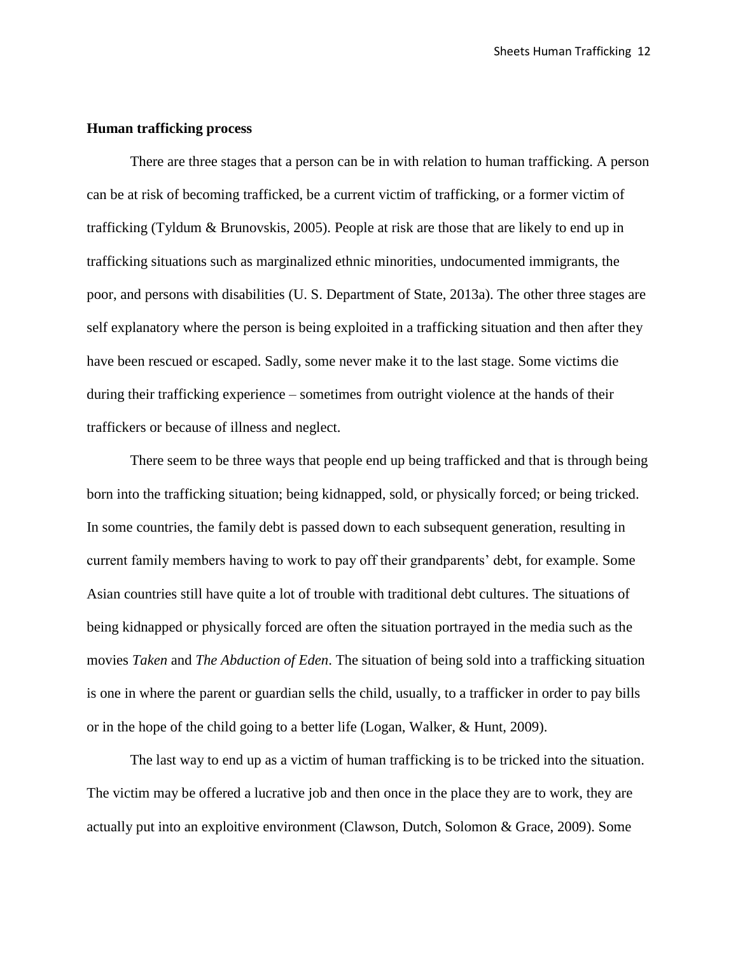# **Human trafficking process**

There are three stages that a person can be in with relation to human trafficking. A person can be at risk of becoming trafficked, be a current victim of trafficking, or a former victim of trafficking (Tyldum & Brunovskis, 2005). People at risk are those that are likely to end up in trafficking situations such as marginalized ethnic minorities, undocumented immigrants, the poor, and persons with disabilities (U. S. Department of State, 2013a). The other three stages are self explanatory where the person is being exploited in a trafficking situation and then after they have been rescued or escaped. Sadly, some never make it to the last stage. Some victims die during their trafficking experience – sometimes from outright violence at the hands of their traffickers or because of illness and neglect.

There seem to be three ways that people end up being trafficked and that is through being born into the trafficking situation; being kidnapped, sold, or physically forced; or being tricked. In some countries, the family debt is passed down to each subsequent generation, resulting in current family members having to work to pay off their grandparents' debt, for example. Some Asian countries still have quite a lot of trouble with traditional debt cultures. The situations of being kidnapped or physically forced are often the situation portrayed in the media such as the movies *Taken* and *The Abduction of Eden*. The situation of being sold into a trafficking situation is one in where the parent or guardian sells the child, usually, to a trafficker in order to pay bills or in the hope of the child going to a better life (Logan, Walker, & Hunt, 2009).

The last way to end up as a victim of human trafficking is to be tricked into the situation. The victim may be offered a lucrative job and then once in the place they are to work, they are actually put into an exploitive environment (Clawson, Dutch, Solomon & Grace, 2009). Some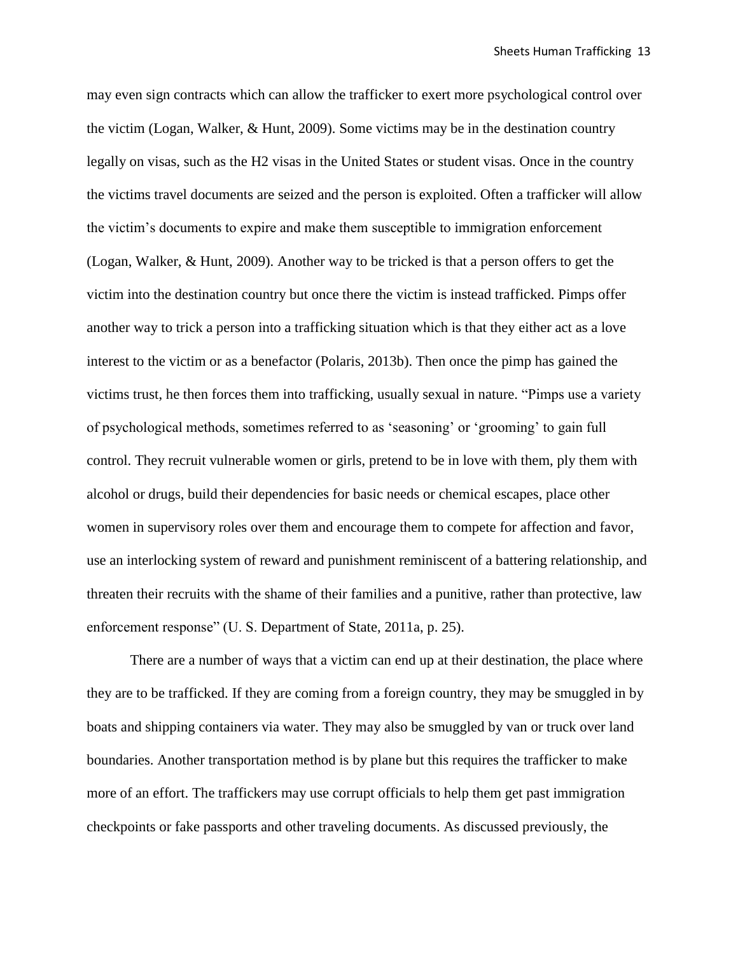may even sign contracts which can allow the trafficker to exert more psychological control over the victim (Logan, Walker, & Hunt, 2009). Some victims may be in the destination country legally on visas, such as the H2 visas in the United States or student visas. Once in the country the victims travel documents are seized and the person is exploited. Often a trafficker will allow the victim's documents to expire and make them susceptible to immigration enforcement (Logan, Walker, & Hunt, 2009). Another way to be tricked is that a person offers to get the victim into the destination country but once there the victim is instead trafficked. Pimps offer another way to trick a person into a trafficking situation which is that they either act as a love interest to the victim or as a benefactor (Polaris, 2013b). Then once the pimp has gained the victims trust, he then forces them into trafficking, usually sexual in nature. "Pimps use a variety of psychological methods, sometimes referred to as 'seasoning' or 'grooming' to gain full control. They recruit vulnerable women or girls, pretend to be in love with them, ply them with alcohol or drugs, build their dependencies for basic needs or chemical escapes, place other women in supervisory roles over them and encourage them to compete for affection and favor, use an interlocking system of reward and punishment reminiscent of a battering relationship, and threaten their recruits with the shame of their families and a punitive, rather than protective, law enforcement response" (U. S. Department of State, 2011a, p. 25).

There are a number of ways that a victim can end up at their destination, the place where they are to be trafficked. If they are coming from a foreign country, they may be smuggled in by boats and shipping containers via water. They may also be smuggled by van or truck over land boundaries. Another transportation method is by plane but this requires the trafficker to make more of an effort. The traffickers may use corrupt officials to help them get past immigration checkpoints or fake passports and other traveling documents. As discussed previously, the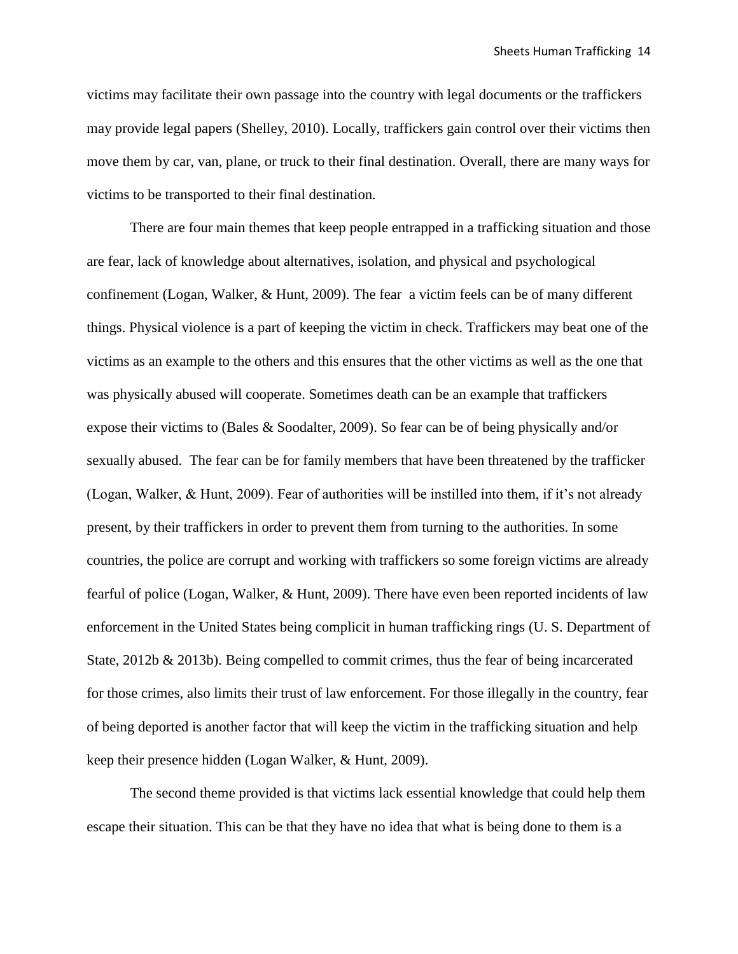victims may facilitate their own passage into the country with legal documents or the traffickers may provide legal papers (Shelley, 2010). Locally, traffickers gain control over their victims then move them by car, van, plane, or truck to their final destination. Overall, there are many ways for victims to be transported to their final destination.

There are four main themes that keep people entrapped in a trafficking situation and those are fear, lack of knowledge about alternatives, isolation, and physical and psychological confinement (Logan, Walker, & Hunt, 2009). The fear a victim feels can be of many different things. Physical violence is a part of keeping the victim in check. Traffickers may beat one of the victims as an example to the others and this ensures that the other victims as well as the one that was physically abused will cooperate. Sometimes death can be an example that traffickers expose their victims to (Bales & Soodalter, 2009). So fear can be of being physically and/or sexually abused. The fear can be for family members that have been threatened by the trafficker (Logan, Walker, & Hunt, 2009). Fear of authorities will be instilled into them, if it's not already present, by their traffickers in order to prevent them from turning to the authorities. In some countries, the police are corrupt and working with traffickers so some foreign victims are already fearful of police (Logan, Walker, & Hunt, 2009). There have even been reported incidents of law enforcement in the United States being complicit in human trafficking rings (U. S. Department of State, 2012b & 2013b). Being compelled to commit crimes, thus the fear of being incarcerated for those crimes, also limits their trust of law enforcement. For those illegally in the country, fear of being deported is another factor that will keep the victim in the trafficking situation and help keep their presence hidden (Logan Walker, & Hunt, 2009).

The second theme provided is that victims lack essential knowledge that could help them escape their situation. This can be that they have no idea that what is being done to them is a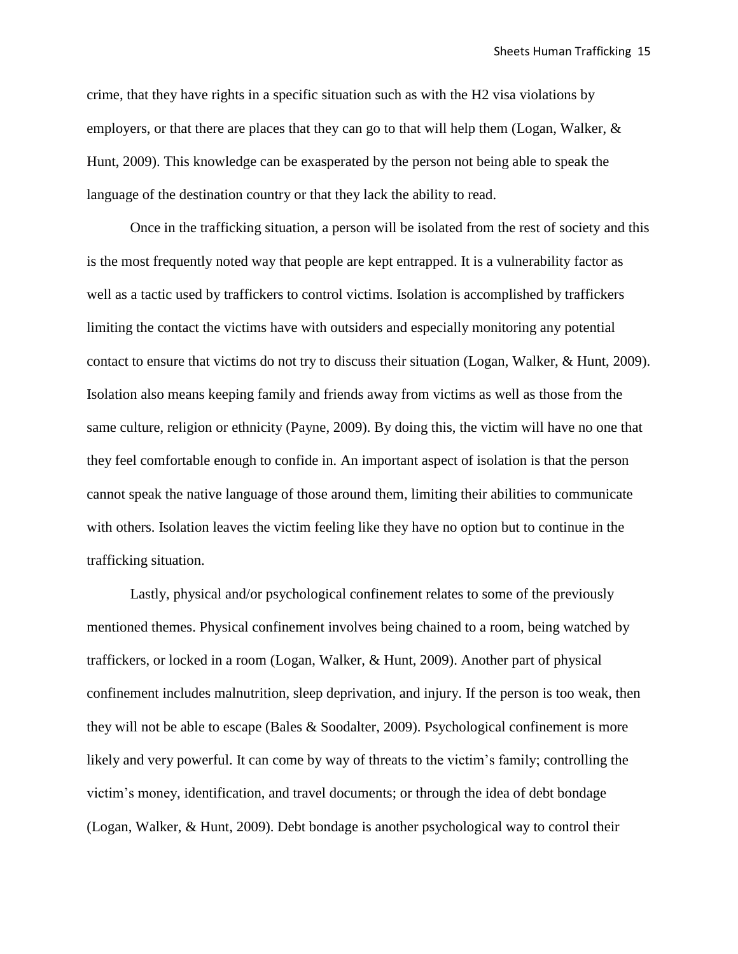crime, that they have rights in a specific situation such as with the H2 visa violations by employers, or that there are places that they can go to that will help them (Logan, Walker,  $\&$ Hunt, 2009). This knowledge can be exasperated by the person not being able to speak the language of the destination country or that they lack the ability to read.

Once in the trafficking situation, a person will be isolated from the rest of society and this is the most frequently noted way that people are kept entrapped. It is a vulnerability factor as well as a tactic used by traffickers to control victims. Isolation is accomplished by traffickers limiting the contact the victims have with outsiders and especially monitoring any potential contact to ensure that victims do not try to discuss their situation (Logan, Walker, & Hunt, 2009). Isolation also means keeping family and friends away from victims as well as those from the same culture, religion or ethnicity (Payne, 2009). By doing this, the victim will have no one that they feel comfortable enough to confide in. An important aspect of isolation is that the person cannot speak the native language of those around them, limiting their abilities to communicate with others. Isolation leaves the victim feeling like they have no option but to continue in the trafficking situation.

Lastly, physical and/or psychological confinement relates to some of the previously mentioned themes. Physical confinement involves being chained to a room, being watched by traffickers, or locked in a room (Logan, Walker, & Hunt, 2009). Another part of physical confinement includes malnutrition, sleep deprivation, and injury. If the person is too weak, then they will not be able to escape (Bales & Soodalter, 2009). Psychological confinement is more likely and very powerful. It can come by way of threats to the victim's family; controlling the victim's money, identification, and travel documents; or through the idea of debt bondage (Logan, Walker, & Hunt, 2009). Debt bondage is another psychological way to control their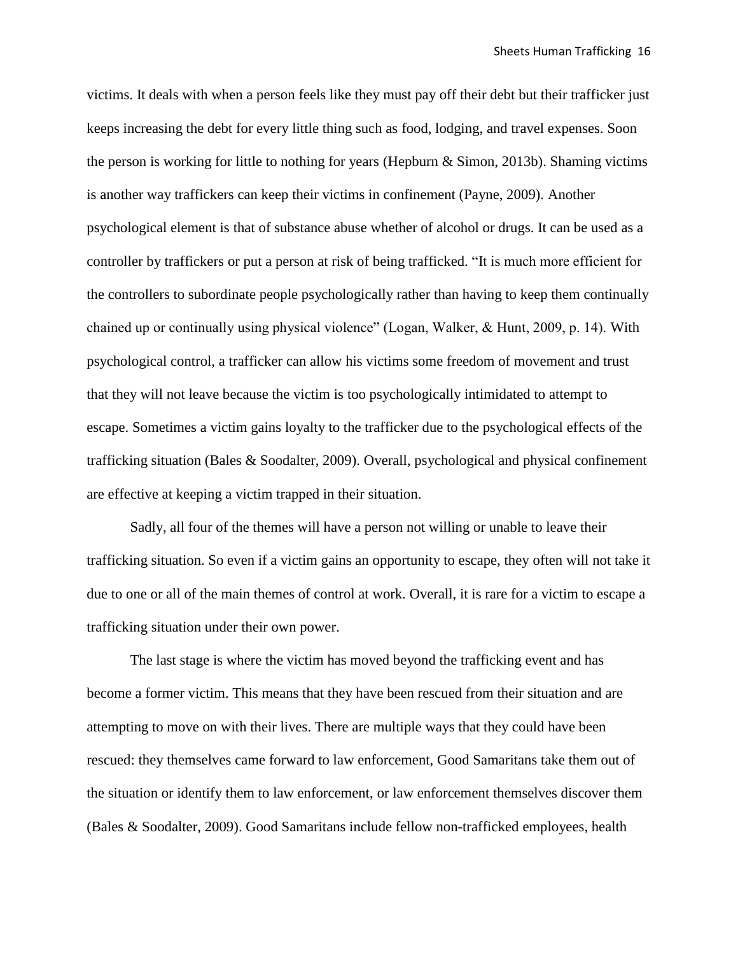victims. It deals with when a person feels like they must pay off their debt but their trafficker just keeps increasing the debt for every little thing such as food, lodging, and travel expenses. Soon the person is working for little to nothing for years (Hepburn  $\&$  Simon, 2013b). Shaming victims is another way traffickers can keep their victims in confinement (Payne, 2009). Another psychological element is that of substance abuse whether of alcohol or drugs. It can be used as a controller by traffickers or put a person at risk of being trafficked. "It is much more efficient for the controllers to subordinate people psychologically rather than having to keep them continually chained up or continually using physical violence" (Logan, Walker, & Hunt, 2009, p. 14). With psychological control, a trafficker can allow his victims some freedom of movement and trust that they will not leave because the victim is too psychologically intimidated to attempt to escape. Sometimes a victim gains loyalty to the trafficker due to the psychological effects of the trafficking situation (Bales & Soodalter, 2009). Overall, psychological and physical confinement are effective at keeping a victim trapped in their situation.

Sadly, all four of the themes will have a person not willing or unable to leave their trafficking situation. So even if a victim gains an opportunity to escape, they often will not take it due to one or all of the main themes of control at work. Overall, it is rare for a victim to escape a trafficking situation under their own power.

The last stage is where the victim has moved beyond the trafficking event and has become a former victim. This means that they have been rescued from their situation and are attempting to move on with their lives. There are multiple ways that they could have been rescued: they themselves came forward to law enforcement, Good Samaritans take them out of the situation or identify them to law enforcement, or law enforcement themselves discover them (Bales & Soodalter, 2009). Good Samaritans include fellow non-trafficked employees, health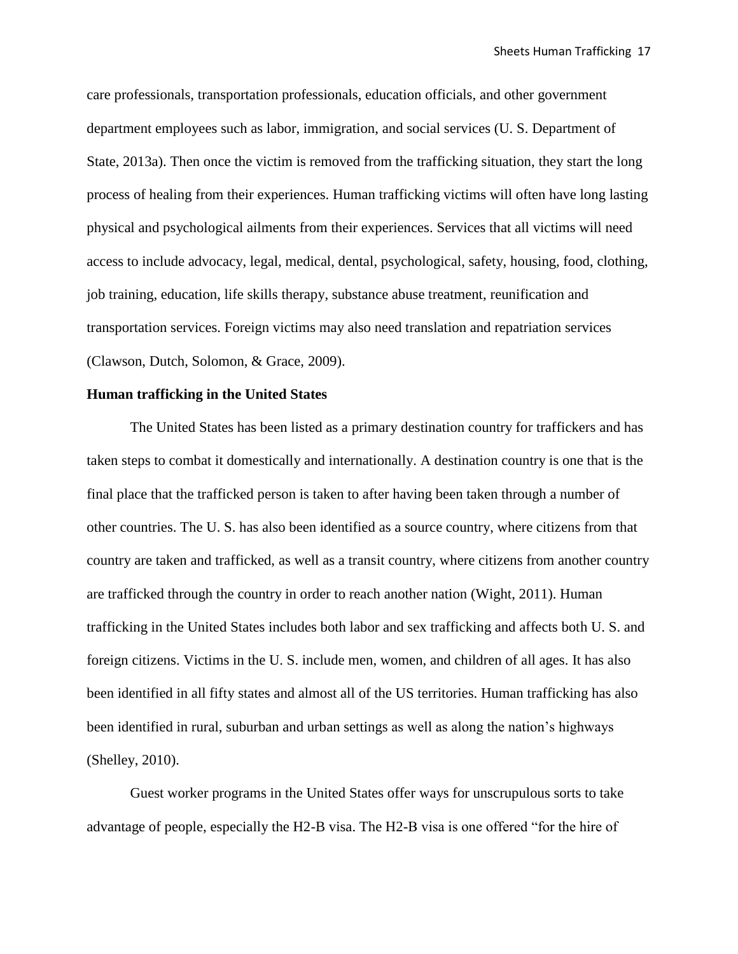care professionals, transportation professionals, education officials, and other government department employees such as labor, immigration, and social services (U. S. Department of State, 2013a). Then once the victim is removed from the trafficking situation, they start the long process of healing from their experiences. Human trafficking victims will often have long lasting physical and psychological ailments from their experiences. Services that all victims will need access to include advocacy, legal, medical, dental, psychological, safety, housing, food, clothing, job training, education, life skills therapy, substance abuse treatment, reunification and transportation services. Foreign victims may also need translation and repatriation services (Clawson, Dutch, Solomon, & Grace, 2009).

# **Human trafficking in the United States**

The United States has been listed as a primary destination country for traffickers and has taken steps to combat it domestically and internationally. A destination country is one that is the final place that the trafficked person is taken to after having been taken through a number of other countries. The U. S. has also been identified as a source country, where citizens from that country are taken and trafficked, as well as a transit country, where citizens from another country are trafficked through the country in order to reach another nation (Wight, 2011). Human trafficking in the United States includes both labor and sex trafficking and affects both U. S. and foreign citizens. Victims in the U. S. include men, women, and children of all ages. It has also been identified in all fifty states and almost all of the US territories. Human trafficking has also been identified in rural, suburban and urban settings as well as along the nation's highways (Shelley, 2010).

Guest worker programs in the United States offer ways for unscrupulous sorts to take advantage of people, especially the H2-B visa. The H2-B visa is one offered "for the hire of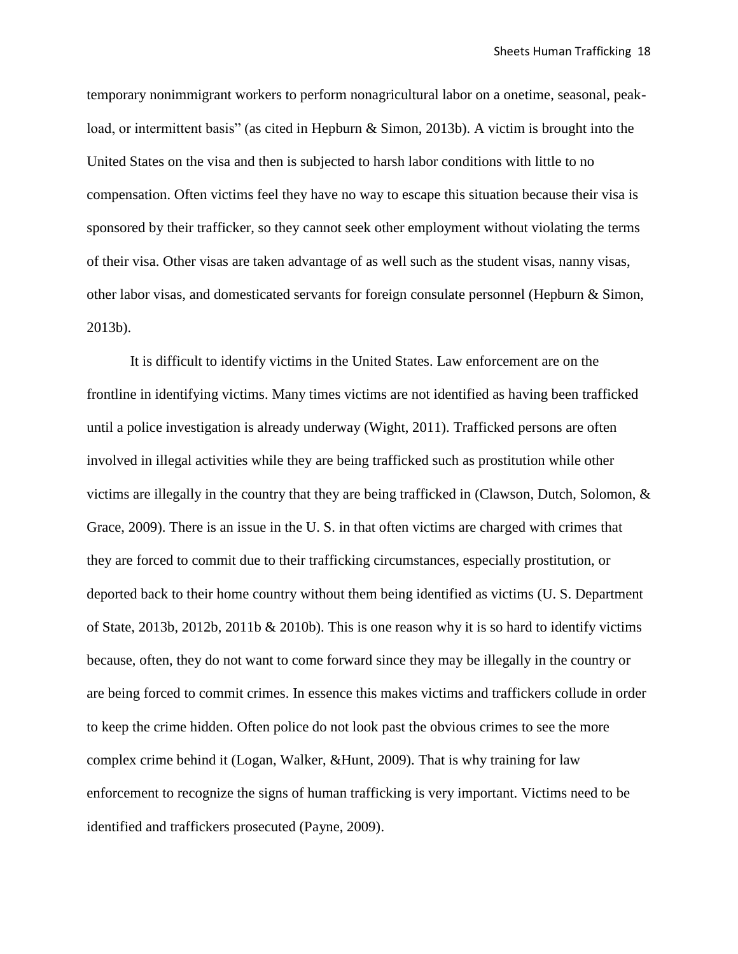temporary nonimmigrant workers to perform nonagricultural labor on a onetime, seasonal, peakload, or intermittent basis" (as cited in Hepburn & Simon, 2013b). A victim is brought into the United States on the visa and then is subjected to harsh labor conditions with little to no compensation. Often victims feel they have no way to escape this situation because their visa is sponsored by their trafficker, so they cannot seek other employment without violating the terms of their visa. Other visas are taken advantage of as well such as the student visas, nanny visas, other labor visas, and domesticated servants for foreign consulate personnel (Hepburn & Simon, 2013b).

It is difficult to identify victims in the United States. Law enforcement are on the frontline in identifying victims. Many times victims are not identified as having been trafficked until a police investigation is already underway (Wight, 2011). Trafficked persons are often involved in illegal activities while they are being trafficked such as prostitution while other victims are illegally in the country that they are being trafficked in (Clawson, Dutch, Solomon, & Grace, 2009). There is an issue in the U. S. in that often victims are charged with crimes that they are forced to commit due to their trafficking circumstances, especially prostitution, or deported back to their home country without them being identified as victims (U. S. Department of State, 2013b, 2012b, 2011b & 2010b). This is one reason why it is so hard to identify victims because, often, they do not want to come forward since they may be illegally in the country or are being forced to commit crimes. In essence this makes victims and traffickers collude in order to keep the crime hidden. Often police do not look past the obvious crimes to see the more complex crime behind it (Logan, Walker, &Hunt, 2009). That is why training for law enforcement to recognize the signs of human trafficking is very important. Victims need to be identified and traffickers prosecuted (Payne, 2009).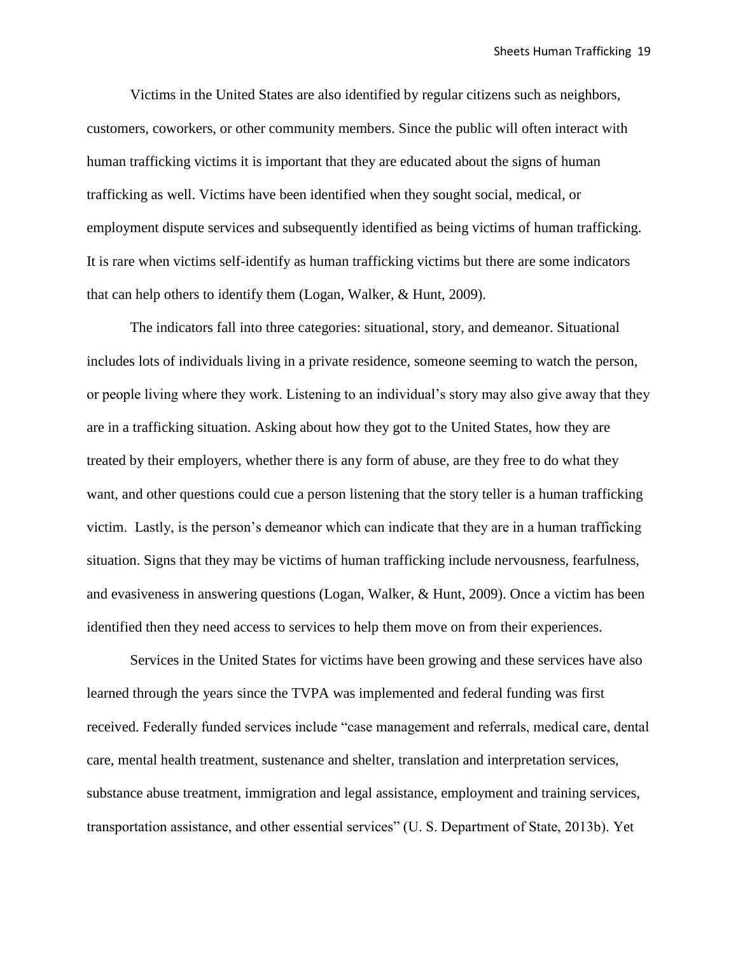Victims in the United States are also identified by regular citizens such as neighbors, customers, coworkers, or other community members. Since the public will often interact with human trafficking victims it is important that they are educated about the signs of human trafficking as well. Victims have been identified when they sought social, medical, or employment dispute services and subsequently identified as being victims of human trafficking. It is rare when victims self-identify as human trafficking victims but there are some indicators that can help others to identify them (Logan, Walker, & Hunt, 2009).

The indicators fall into three categories: situational, story, and demeanor. Situational includes lots of individuals living in a private residence, someone seeming to watch the person, or people living where they work. Listening to an individual's story may also give away that they are in a trafficking situation. Asking about how they got to the United States, how they are treated by their employers, whether there is any form of abuse, are they free to do what they want, and other questions could cue a person listening that the story teller is a human trafficking victim. Lastly, is the person's demeanor which can indicate that they are in a human trafficking situation. Signs that they may be victims of human trafficking include nervousness, fearfulness, and evasiveness in answering questions (Logan, Walker, & Hunt, 2009). Once a victim has been identified then they need access to services to help them move on from their experiences.

Services in the United States for victims have been growing and these services have also learned through the years since the TVPA was implemented and federal funding was first received. Federally funded services include "case management and referrals, medical care, dental care, mental health treatment, sustenance and shelter, translation and interpretation services, substance abuse treatment, immigration and legal assistance, employment and training services, transportation assistance, and other essential services" (U. S. Department of State, 2013b). Yet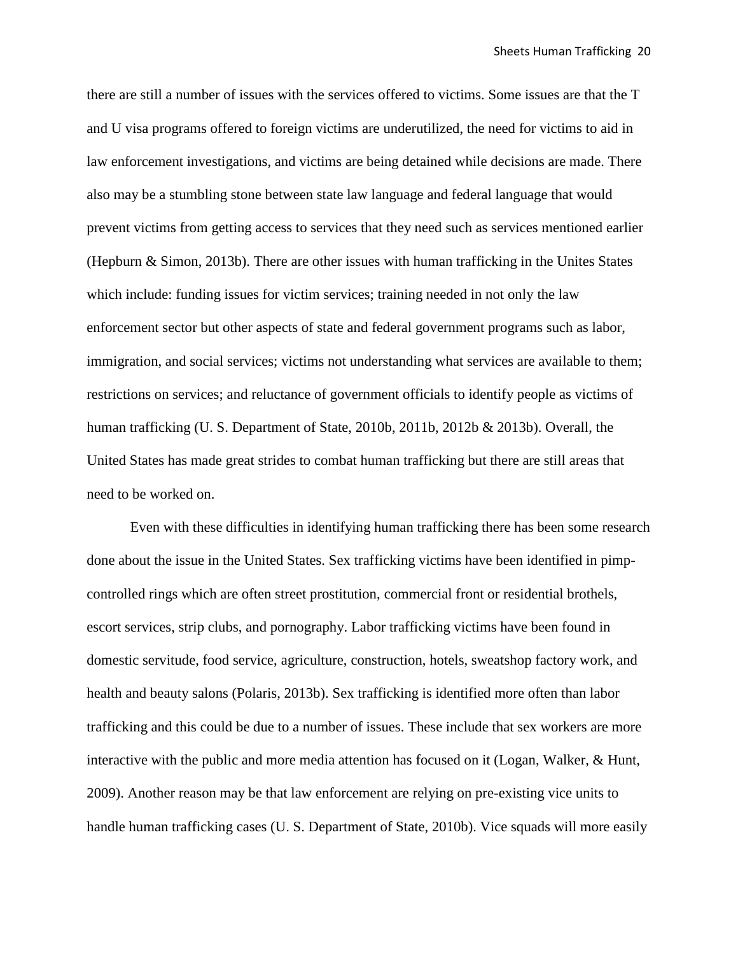there are still a number of issues with the services offered to victims. Some issues are that the T and U visa programs offered to foreign victims are underutilized, the need for victims to aid in law enforcement investigations, and victims are being detained while decisions are made. There also may be a stumbling stone between state law language and federal language that would prevent victims from getting access to services that they need such as services mentioned earlier (Hepburn & Simon, 2013b). There are other issues with human trafficking in the Unites States which include: funding issues for victim services; training needed in not only the law enforcement sector but other aspects of state and federal government programs such as labor, immigration, and social services; victims not understanding what services are available to them; restrictions on services; and reluctance of government officials to identify people as victims of human trafficking (U. S. Department of State, 2010b, 2011b, 2012b & 2013b). Overall, the United States has made great strides to combat human trafficking but there are still areas that need to be worked on.

Even with these difficulties in identifying human trafficking there has been some research done about the issue in the United States. Sex trafficking victims have been identified in pimpcontrolled rings which are often street prostitution, commercial front or residential brothels, escort services, strip clubs, and pornography. Labor trafficking victims have been found in domestic servitude, food service, agriculture, construction, hotels, sweatshop factory work, and health and beauty salons (Polaris, 2013b). Sex trafficking is identified more often than labor trafficking and this could be due to a number of issues. These include that sex workers are more interactive with the public and more media attention has focused on it (Logan, Walker, & Hunt, 2009). Another reason may be that law enforcement are relying on pre-existing vice units to handle human trafficking cases (U. S. Department of State, 2010b). Vice squads will more easily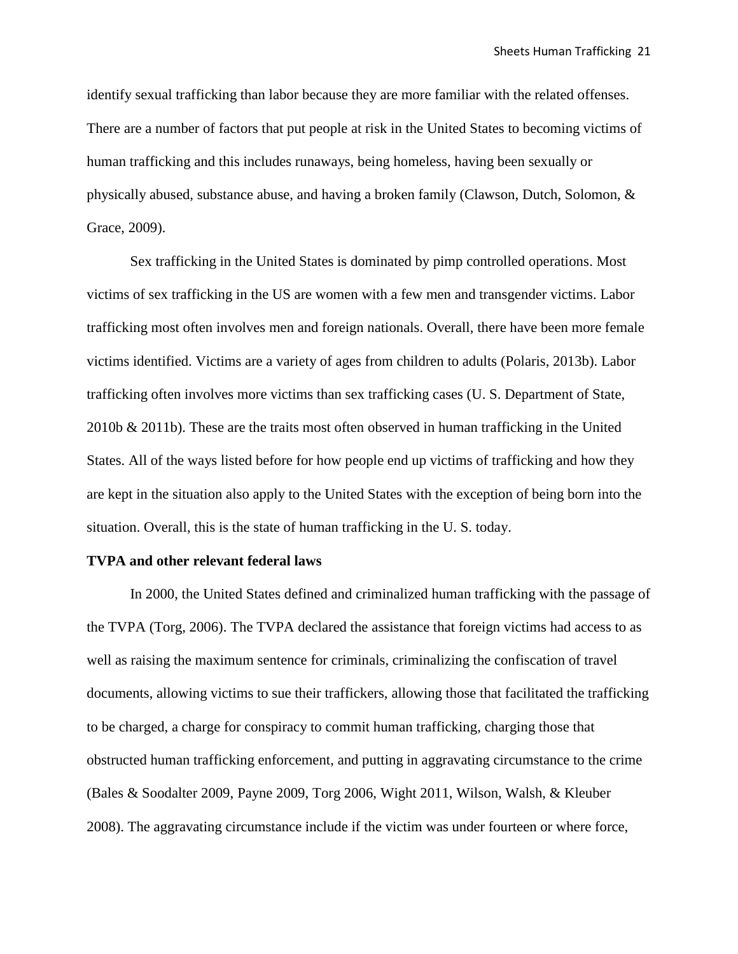identify sexual trafficking than labor because they are more familiar with the related offenses. There are a number of factors that put people at risk in the United States to becoming victims of human trafficking and this includes runaways, being homeless, having been sexually or physically abused, substance abuse, and having a broken family (Clawson, Dutch, Solomon, & Grace, 2009).

Sex trafficking in the United States is dominated by pimp controlled operations. Most victims of sex trafficking in the US are women with a few men and transgender victims. Labor trafficking most often involves men and foreign nationals. Overall, there have been more female victims identified. Victims are a variety of ages from children to adults (Polaris, 2013b). Labor trafficking often involves more victims than sex trafficking cases (U. S. Department of State, 2010b & 2011b). These are the traits most often observed in human trafficking in the United States. All of the ways listed before for how people end up victims of trafficking and how they are kept in the situation also apply to the United States with the exception of being born into the situation. Overall, this is the state of human trafficking in the U. S. today.

#### **TVPA and other relevant federal laws**

In 2000, the United States defined and criminalized human trafficking with the passage of the TVPA (Torg, 2006). The TVPA declared the assistance that foreign victims had access to as well as raising the maximum sentence for criminals, criminalizing the confiscation of travel documents, allowing victims to sue their traffickers, allowing those that facilitated the trafficking to be charged, a charge for conspiracy to commit human trafficking, charging those that obstructed human trafficking enforcement, and putting in aggravating circumstance to the crime (Bales & Soodalter 2009, Payne 2009, Torg 2006, Wight 2011, Wilson, Walsh, & Kleuber 2008). The aggravating circumstance include if the victim was under fourteen or where force,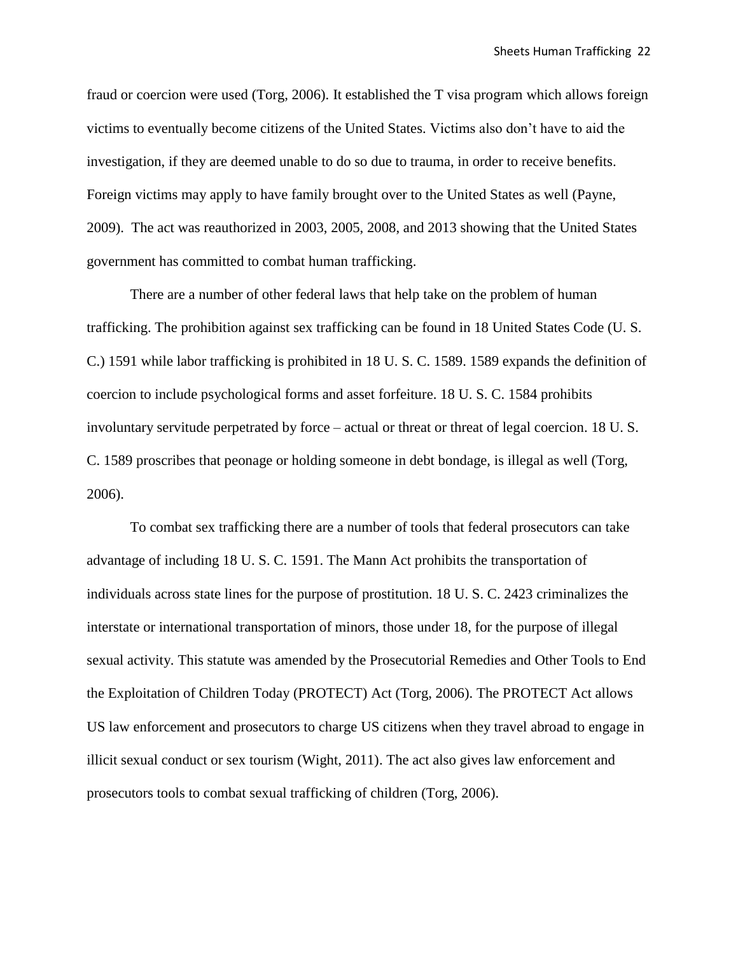fraud or coercion were used (Torg, 2006). It established the T visa program which allows foreign victims to eventually become citizens of the United States. Victims also don't have to aid the investigation, if they are deemed unable to do so due to trauma, in order to receive benefits. Foreign victims may apply to have family brought over to the United States as well (Payne, 2009). The act was reauthorized in 2003, 2005, 2008, and 2013 showing that the United States government has committed to combat human trafficking.

There are a number of other federal laws that help take on the problem of human trafficking. The prohibition against sex trafficking can be found in 18 United States Code (U. S. C.) 1591 while labor trafficking is prohibited in 18 U. S. C. 1589. 1589 expands the definition of coercion to include psychological forms and asset forfeiture. 18 U. S. C. 1584 prohibits involuntary servitude perpetrated by force – actual or threat or threat of legal coercion. 18 U. S. C. 1589 proscribes that peonage or holding someone in debt bondage, is illegal as well (Torg, 2006).

To combat sex trafficking there are a number of tools that federal prosecutors can take advantage of including 18 U. S. C. 1591. The Mann Act prohibits the transportation of individuals across state lines for the purpose of prostitution. 18 U. S. C. 2423 criminalizes the interstate or international transportation of minors, those under 18, for the purpose of illegal sexual activity. This statute was amended by the Prosecutorial Remedies and Other Tools to End the Exploitation of Children Today (PROTECT) Act (Torg, 2006). The PROTECT Act allows US law enforcement and prosecutors to charge US citizens when they travel abroad to engage in illicit sexual conduct or sex tourism (Wight, 2011). The act also gives law enforcement and prosecutors tools to combat sexual trafficking of children (Torg, 2006).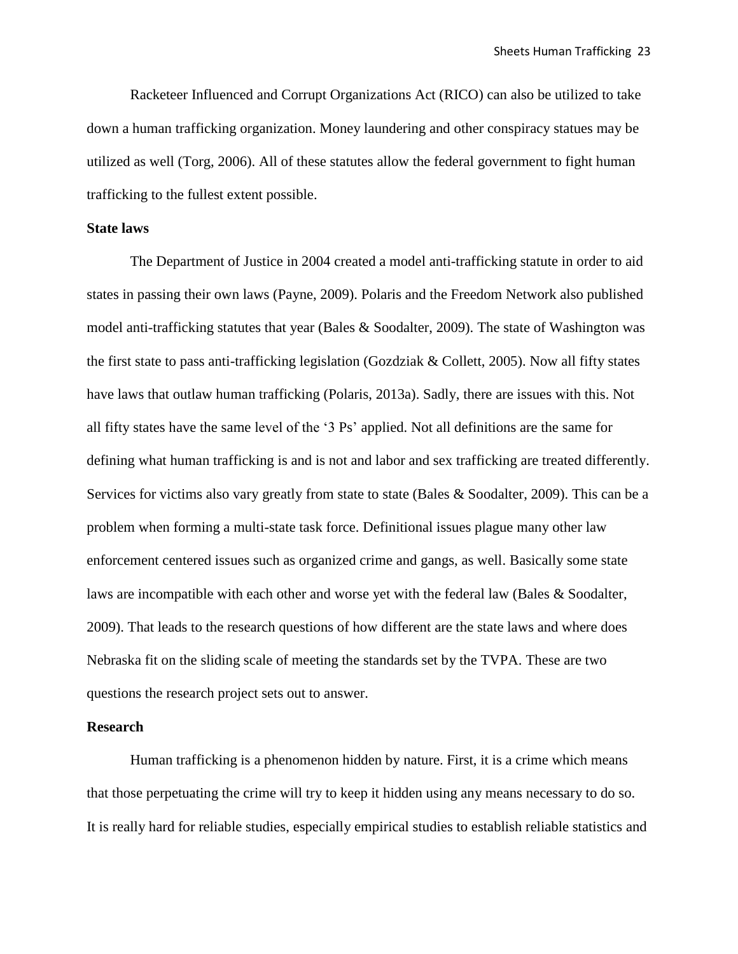Racketeer Influenced and Corrupt Organizations Act (RICO) can also be utilized to take down a human trafficking organization. Money laundering and other conspiracy statues may be utilized as well (Torg, 2006). All of these statutes allow the federal government to fight human trafficking to the fullest extent possible.

#### **State laws**

The Department of Justice in 2004 created a model anti-trafficking statute in order to aid states in passing their own laws (Payne, 2009). Polaris and the Freedom Network also published model anti-trafficking statutes that year (Bales & Soodalter, 2009). The state of Washington was the first state to pass anti-trafficking legislation (Gozdziak & Collett, 2005). Now all fifty states have laws that outlaw human trafficking (Polaris, 2013a). Sadly, there are issues with this. Not all fifty states have the same level of the '3 Ps' applied. Not all definitions are the same for defining what human trafficking is and is not and labor and sex trafficking are treated differently. Services for victims also vary greatly from state to state (Bales & Soodalter, 2009). This can be a problem when forming a multi-state task force. Definitional issues plague many other law enforcement centered issues such as organized crime and gangs, as well. Basically some state laws are incompatible with each other and worse yet with the federal law (Bales & Soodalter, 2009). That leads to the research questions of how different are the state laws and where does Nebraska fit on the sliding scale of meeting the standards set by the TVPA. These are two questions the research project sets out to answer.

#### **Research**

Human trafficking is a phenomenon hidden by nature. First, it is a crime which means that those perpetuating the crime will try to keep it hidden using any means necessary to do so. It is really hard for reliable studies, especially empirical studies to establish reliable statistics and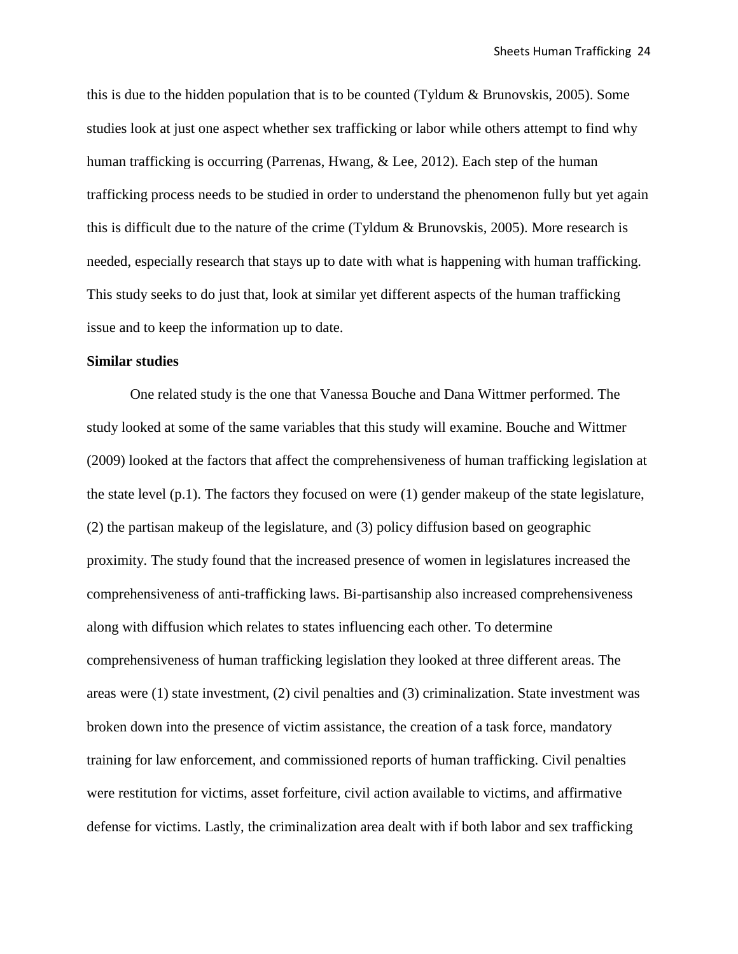this is due to the hidden population that is to be counted (Tyldum & Brunovskis, 2005). Some studies look at just one aspect whether sex trafficking or labor while others attempt to find why human trafficking is occurring (Parrenas, Hwang, & Lee, 2012). Each step of the human trafficking process needs to be studied in order to understand the phenomenon fully but yet again this is difficult due to the nature of the crime (Tyldum & Brunovskis, 2005). More research is needed, especially research that stays up to date with what is happening with human trafficking. This study seeks to do just that, look at similar yet different aspects of the human trafficking issue and to keep the information up to date.

#### **Similar studies**

One related study is the one that Vanessa Bouche and Dana Wittmer performed. The study looked at some of the same variables that this study will examine. Bouche and Wittmer (2009) looked at the factors that affect the comprehensiveness of human trafficking legislation at the state level (p.1). The factors they focused on were (1) gender makeup of the state legislature, (2) the partisan makeup of the legislature, and (3) policy diffusion based on geographic proximity. The study found that the increased presence of women in legislatures increased the comprehensiveness of anti-trafficking laws. Bi-partisanship also increased comprehensiveness along with diffusion which relates to states influencing each other. To determine comprehensiveness of human trafficking legislation they looked at three different areas. The areas were (1) state investment, (2) civil penalties and (3) criminalization. State investment was broken down into the presence of victim assistance, the creation of a task force, mandatory training for law enforcement, and commissioned reports of human trafficking. Civil penalties were restitution for victims, asset forfeiture, civil action available to victims, and affirmative defense for victims. Lastly, the criminalization area dealt with if both labor and sex trafficking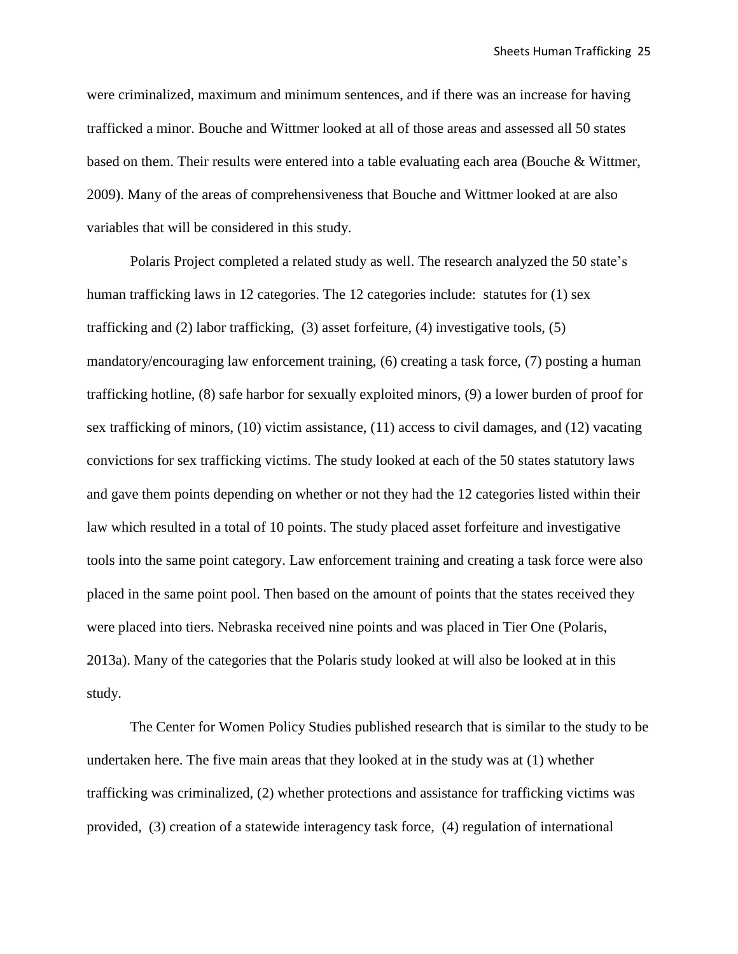were criminalized, maximum and minimum sentences, and if there was an increase for having trafficked a minor. Bouche and Wittmer looked at all of those areas and assessed all 50 states based on them. Their results were entered into a table evaluating each area (Bouche & Wittmer, 2009). Many of the areas of comprehensiveness that Bouche and Wittmer looked at are also variables that will be considered in this study.

Polaris Project completed a related study as well. The research analyzed the 50 state's human trafficking laws in 12 categories. The 12 categories include: statutes for (1) sex trafficking and (2) labor trafficking, (3) asset forfeiture, (4) investigative tools, (5) mandatory/encouraging law enforcement training, (6) creating a task force, (7) posting a human trafficking hotline, (8) safe harbor for sexually exploited minors, (9) a lower burden of proof for sex trafficking of minors, (10) victim assistance, (11) access to civil damages, and (12) vacating convictions for sex trafficking victims. The study looked at each of the 50 states statutory laws and gave them points depending on whether or not they had the 12 categories listed within their law which resulted in a total of 10 points. The study placed asset forfeiture and investigative tools into the same point category. Law enforcement training and creating a task force were also placed in the same point pool. Then based on the amount of points that the states received they were placed into tiers. Nebraska received nine points and was placed in Tier One (Polaris, 2013a). Many of the categories that the Polaris study looked at will also be looked at in this study.

The Center for Women Policy Studies published research that is similar to the study to be undertaken here. The five main areas that they looked at in the study was at (1) whether trafficking was criminalized, (2) whether protections and assistance for trafficking victims was provided, (3) creation of a statewide interagency task force, (4) regulation of international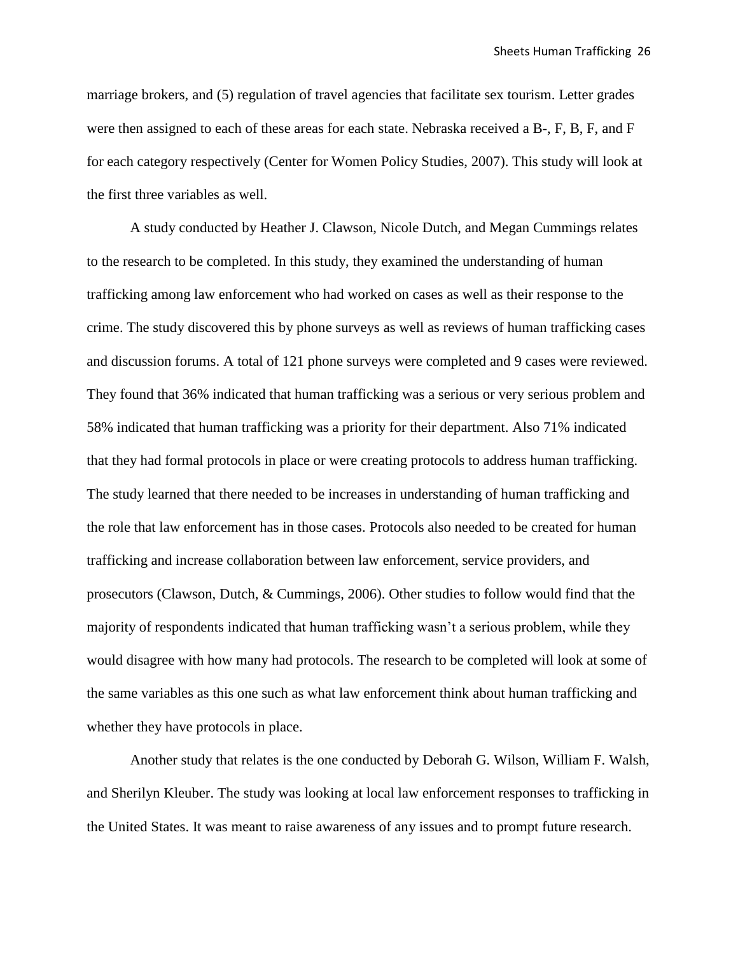marriage brokers, and (5) regulation of travel agencies that facilitate sex tourism. Letter grades were then assigned to each of these areas for each state. Nebraska received a B-, F, B, F, and F for each category respectively (Center for Women Policy Studies, 2007). This study will look at the first three variables as well.

A study conducted by Heather J. Clawson, Nicole Dutch, and Megan Cummings relates to the research to be completed. In this study, they examined the understanding of human trafficking among law enforcement who had worked on cases as well as their response to the crime. The study discovered this by phone surveys as well as reviews of human trafficking cases and discussion forums. A total of 121 phone surveys were completed and 9 cases were reviewed. They found that 36% indicated that human trafficking was a serious or very serious problem and 58% indicated that human trafficking was a priority for their department. Also 71% indicated that they had formal protocols in place or were creating protocols to address human trafficking. The study learned that there needed to be increases in understanding of human trafficking and the role that law enforcement has in those cases. Protocols also needed to be created for human trafficking and increase collaboration between law enforcement, service providers, and prosecutors (Clawson, Dutch, & Cummings, 2006). Other studies to follow would find that the majority of respondents indicated that human trafficking wasn't a serious problem, while they would disagree with how many had protocols. The research to be completed will look at some of the same variables as this one such as what law enforcement think about human trafficking and whether they have protocols in place.

Another study that relates is the one conducted by Deborah G. Wilson, William F. Walsh, and Sherilyn Kleuber. The study was looking at local law enforcement responses to trafficking in the United States. It was meant to raise awareness of any issues and to prompt future research.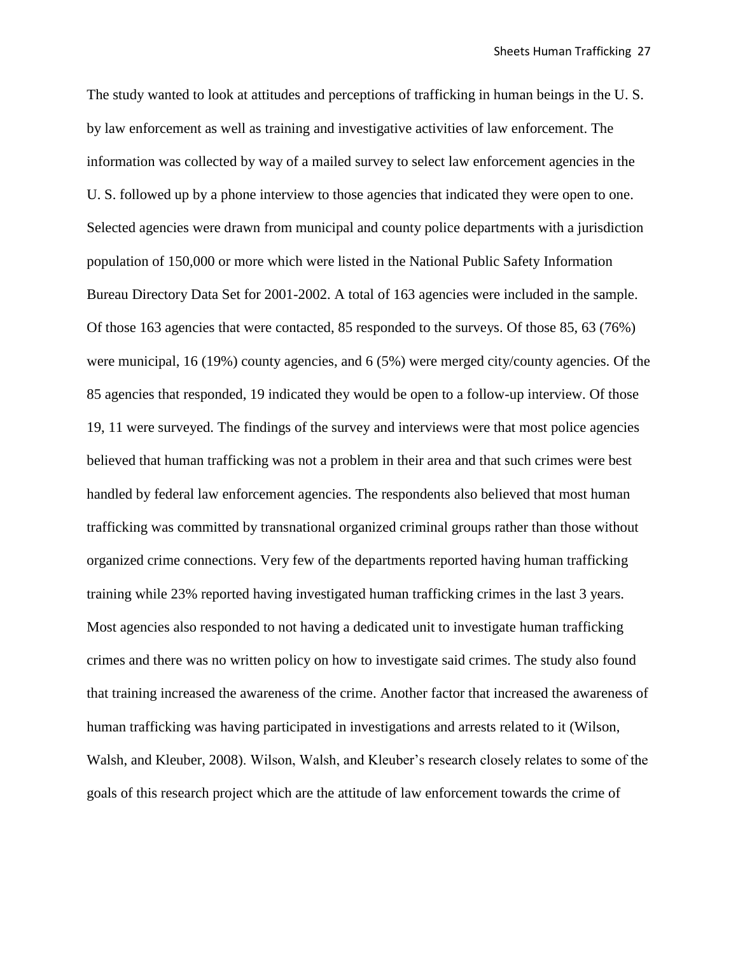The study wanted to look at attitudes and perceptions of trafficking in human beings in the U. S. by law enforcement as well as training and investigative activities of law enforcement. The information was collected by way of a mailed survey to select law enforcement agencies in the U. S. followed up by a phone interview to those agencies that indicated they were open to one. Selected agencies were drawn from municipal and county police departments with a jurisdiction population of 150,000 or more which were listed in the National Public Safety Information Bureau Directory Data Set for 2001-2002. A total of 163 agencies were included in the sample. Of those 163 agencies that were contacted, 85 responded to the surveys. Of those 85, 63 (76%) were municipal, 16 (19%) county agencies, and 6 (5%) were merged city/county agencies. Of the 85 agencies that responded, 19 indicated they would be open to a follow-up interview. Of those 19, 11 were surveyed. The findings of the survey and interviews were that most police agencies believed that human trafficking was not a problem in their area and that such crimes were best handled by federal law enforcement agencies. The respondents also believed that most human trafficking was committed by transnational organized criminal groups rather than those without organized crime connections. Very few of the departments reported having human trafficking training while 23% reported having investigated human trafficking crimes in the last 3 years. Most agencies also responded to not having a dedicated unit to investigate human trafficking crimes and there was no written policy on how to investigate said crimes. The study also found that training increased the awareness of the crime. Another factor that increased the awareness of human trafficking was having participated in investigations and arrests related to it (Wilson, Walsh, and Kleuber, 2008). Wilson, Walsh, and Kleuber's research closely relates to some of the goals of this research project which are the attitude of law enforcement towards the crime of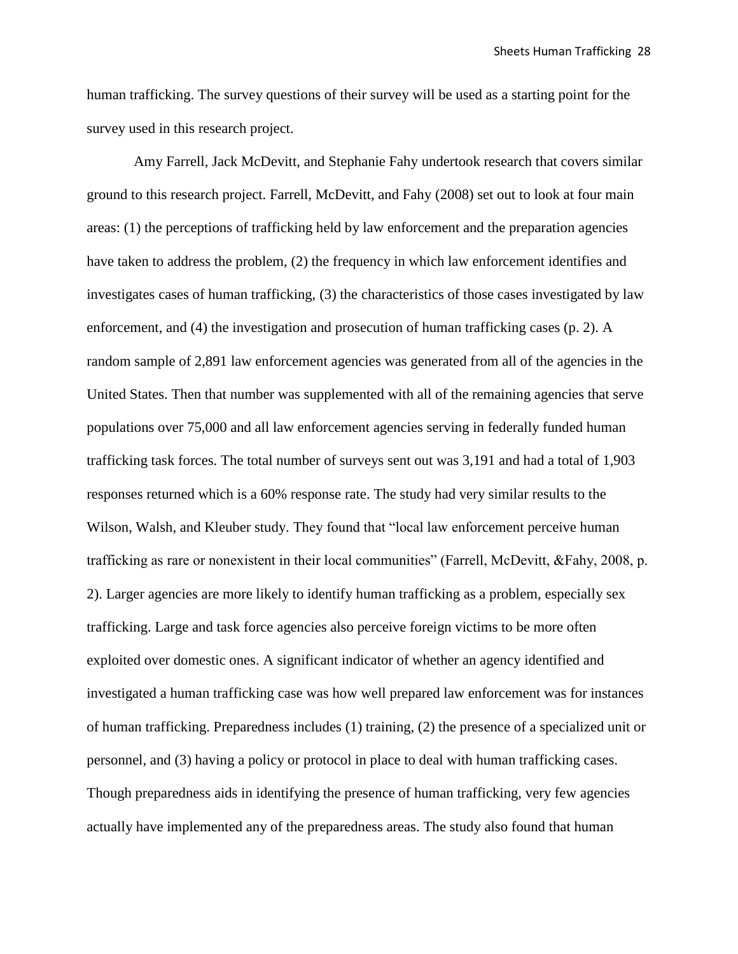human trafficking. The survey questions of their survey will be used as a starting point for the survey used in this research project.

Amy Farrell, Jack McDevitt, and Stephanie Fahy undertook research that covers similar ground to this research project. Farrell, McDevitt, and Fahy (2008) set out to look at four main areas: (1) the perceptions of trafficking held by law enforcement and the preparation agencies have taken to address the problem, (2) the frequency in which law enforcement identifies and investigates cases of human trafficking, (3) the characteristics of those cases investigated by law enforcement, and (4) the investigation and prosecution of human trafficking cases (p. 2). A random sample of 2,891 law enforcement agencies was generated from all of the agencies in the United States. Then that number was supplemented with all of the remaining agencies that serve populations over 75,000 and all law enforcement agencies serving in federally funded human trafficking task forces. The total number of surveys sent out was 3,191 and had a total of 1,903 responses returned which is a 60% response rate. The study had very similar results to the Wilson, Walsh, and Kleuber study. They found that "local law enforcement perceive human trafficking as rare or nonexistent in their local communities" (Farrell, McDevitt, &Fahy, 2008, p. 2). Larger agencies are more likely to identify human trafficking as a problem, especially sex trafficking. Large and task force agencies also perceive foreign victims to be more often exploited over domestic ones. A significant indicator of whether an agency identified and investigated a human trafficking case was how well prepared law enforcement was for instances of human trafficking. Preparedness includes (1) training, (2) the presence of a specialized unit or personnel, and (3) having a policy or protocol in place to deal with human trafficking cases. Though preparedness aids in identifying the presence of human trafficking, very few agencies actually have implemented any of the preparedness areas. The study also found that human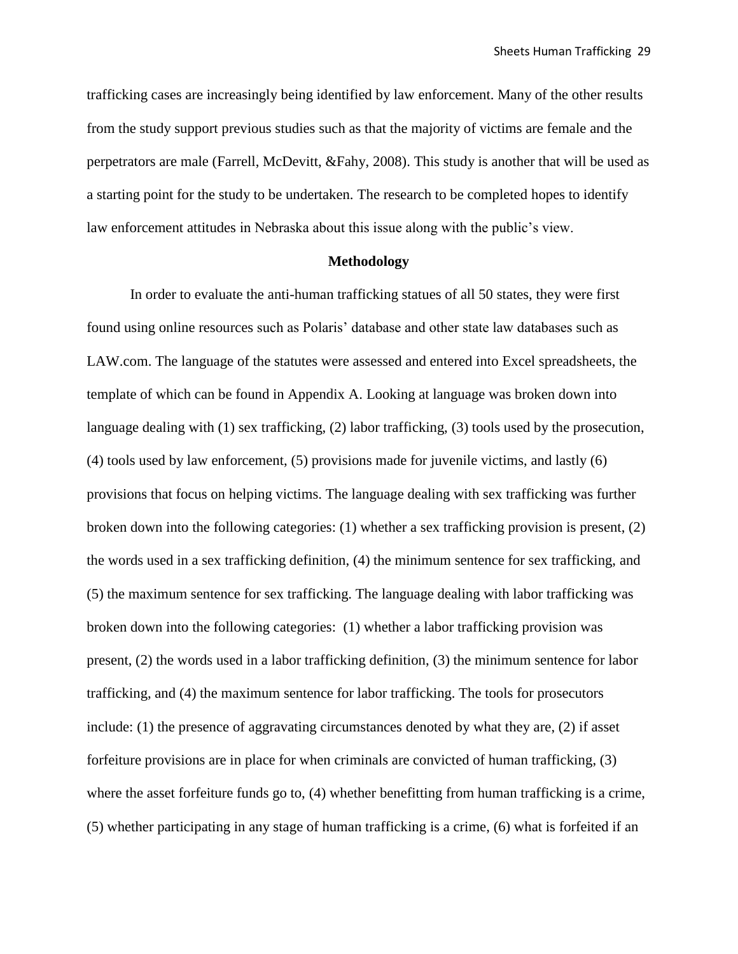trafficking cases are increasingly being identified by law enforcement. Many of the other results from the study support previous studies such as that the majority of victims are female and the perpetrators are male (Farrell, McDevitt, &Fahy, 2008). This study is another that will be used as a starting point for the study to be undertaken. The research to be completed hopes to identify law enforcement attitudes in Nebraska about this issue along with the public's view.

# **Methodology**

In order to evaluate the anti-human trafficking statues of all 50 states, they were first found using online resources such as Polaris' database and other state law databases such as LAW.com. The language of the statutes were assessed and entered into Excel spreadsheets, the template of which can be found in Appendix A. Looking at language was broken down into language dealing with (1) sex trafficking, (2) labor trafficking, (3) tools used by the prosecution, (4) tools used by law enforcement, (5) provisions made for juvenile victims, and lastly (6) provisions that focus on helping victims. The language dealing with sex trafficking was further broken down into the following categories: (1) whether a sex trafficking provision is present, (2) the words used in a sex trafficking definition, (4) the minimum sentence for sex trafficking, and (5) the maximum sentence for sex trafficking. The language dealing with labor trafficking was broken down into the following categories: (1) whether a labor trafficking provision was present, (2) the words used in a labor trafficking definition, (3) the minimum sentence for labor trafficking, and (4) the maximum sentence for labor trafficking. The tools for prosecutors include: (1) the presence of aggravating circumstances denoted by what they are, (2) if asset forfeiture provisions are in place for when criminals are convicted of human trafficking, (3) where the asset forfeiture funds go to, (4) whether benefitting from human trafficking is a crime, (5) whether participating in any stage of human trafficking is a crime, (6) what is forfeited if an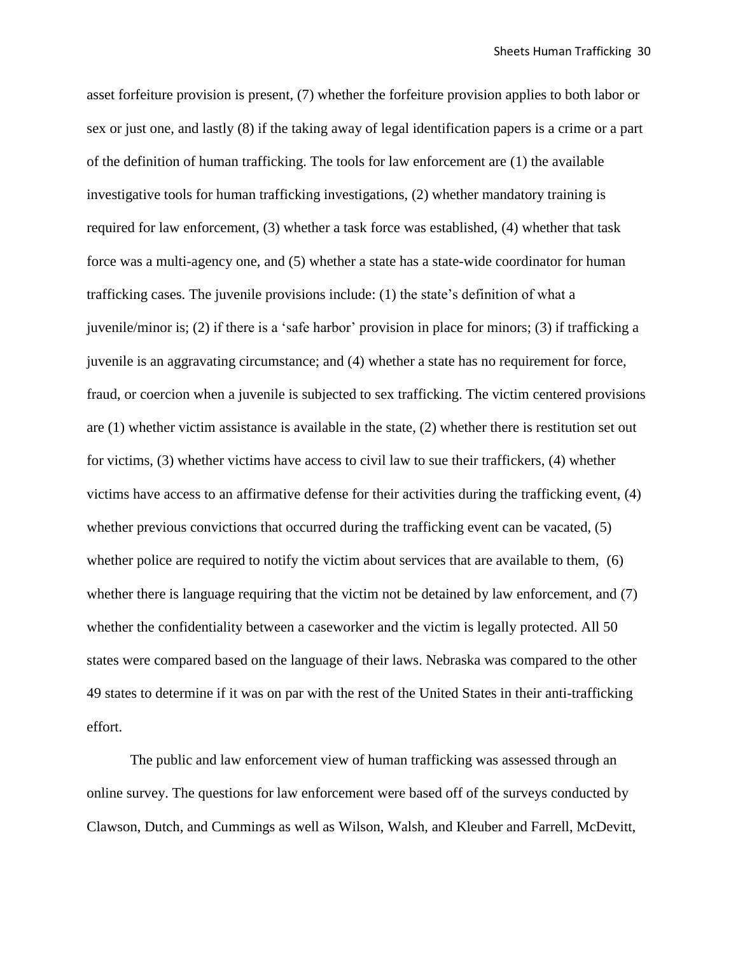asset forfeiture provision is present, (7) whether the forfeiture provision applies to both labor or sex or just one, and lastly (8) if the taking away of legal identification papers is a crime or a part of the definition of human trafficking. The tools for law enforcement are (1) the available investigative tools for human trafficking investigations, (2) whether mandatory training is required for law enforcement, (3) whether a task force was established, (4) whether that task force was a multi-agency one, and (5) whether a state has a state-wide coordinator for human trafficking cases. The juvenile provisions include: (1) the state's definition of what a juvenile/minor is; (2) if there is a 'safe harbor' provision in place for minors; (3) if trafficking a juvenile is an aggravating circumstance; and (4) whether a state has no requirement for force, fraud, or coercion when a juvenile is subjected to sex trafficking. The victim centered provisions are (1) whether victim assistance is available in the state, (2) whether there is restitution set out for victims, (3) whether victims have access to civil law to sue their traffickers, (4) whether victims have access to an affirmative defense for their activities during the trafficking event, (4) whether previous convictions that occurred during the trafficking event can be vacated, (5) whether police are required to notify the victim about services that are available to them, (6) whether there is language requiring that the victim not be detained by law enforcement, and (7) whether the confidentiality between a caseworker and the victim is legally protected. All 50 states were compared based on the language of their laws. Nebraska was compared to the other 49 states to determine if it was on par with the rest of the United States in their anti-trafficking effort.

The public and law enforcement view of human trafficking was assessed through an online survey. The questions for law enforcement were based off of the surveys conducted by Clawson, Dutch, and Cummings as well as Wilson, Walsh, and Kleuber and Farrell, McDevitt,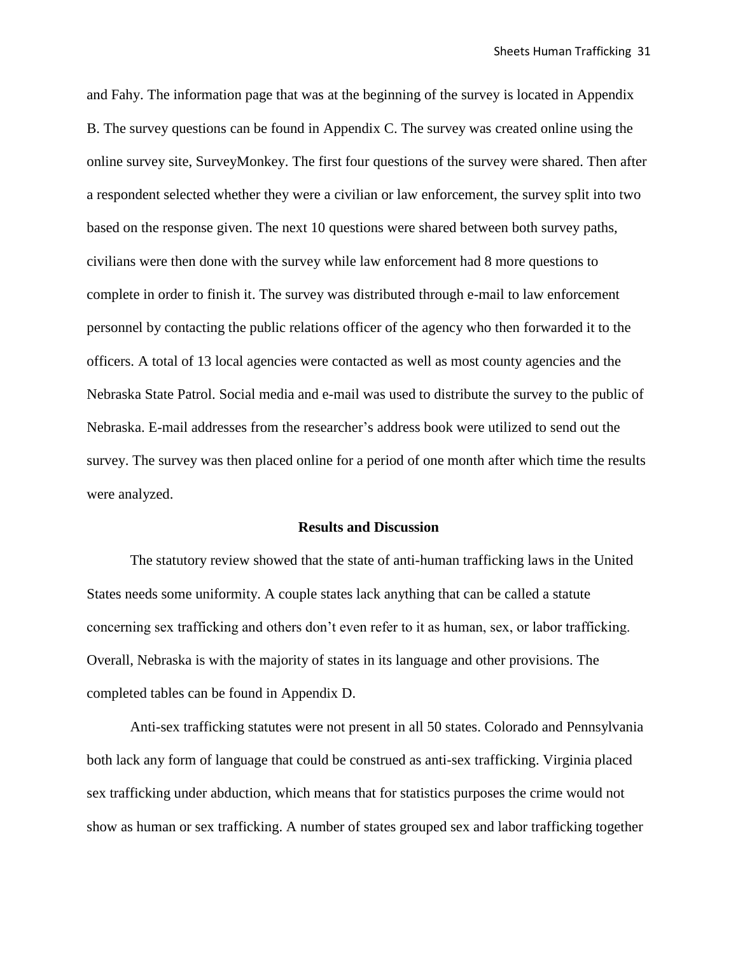and Fahy. The information page that was at the beginning of the survey is located in Appendix B. The survey questions can be found in Appendix C. The survey was created online using the online survey site, SurveyMonkey. The first four questions of the survey were shared. Then after a respondent selected whether they were a civilian or law enforcement, the survey split into two based on the response given. The next 10 questions were shared between both survey paths, civilians were then done with the survey while law enforcement had 8 more questions to complete in order to finish it. The survey was distributed through e-mail to law enforcement personnel by contacting the public relations officer of the agency who then forwarded it to the officers. A total of 13 local agencies were contacted as well as most county agencies and the Nebraska State Patrol. Social media and e-mail was used to distribute the survey to the public of Nebraska. E-mail addresses from the researcher's address book were utilized to send out the survey. The survey was then placed online for a period of one month after which time the results were analyzed.

#### **Results and Discussion**

The statutory review showed that the state of anti-human trafficking laws in the United States needs some uniformity. A couple states lack anything that can be called a statute concerning sex trafficking and others don't even refer to it as human, sex, or labor trafficking. Overall, Nebraska is with the majority of states in its language and other provisions. The completed tables can be found in Appendix D.

Anti-sex trafficking statutes were not present in all 50 states. Colorado and Pennsylvania both lack any form of language that could be construed as anti-sex trafficking. Virginia placed sex trafficking under abduction, which means that for statistics purposes the crime would not show as human or sex trafficking. A number of states grouped sex and labor trafficking together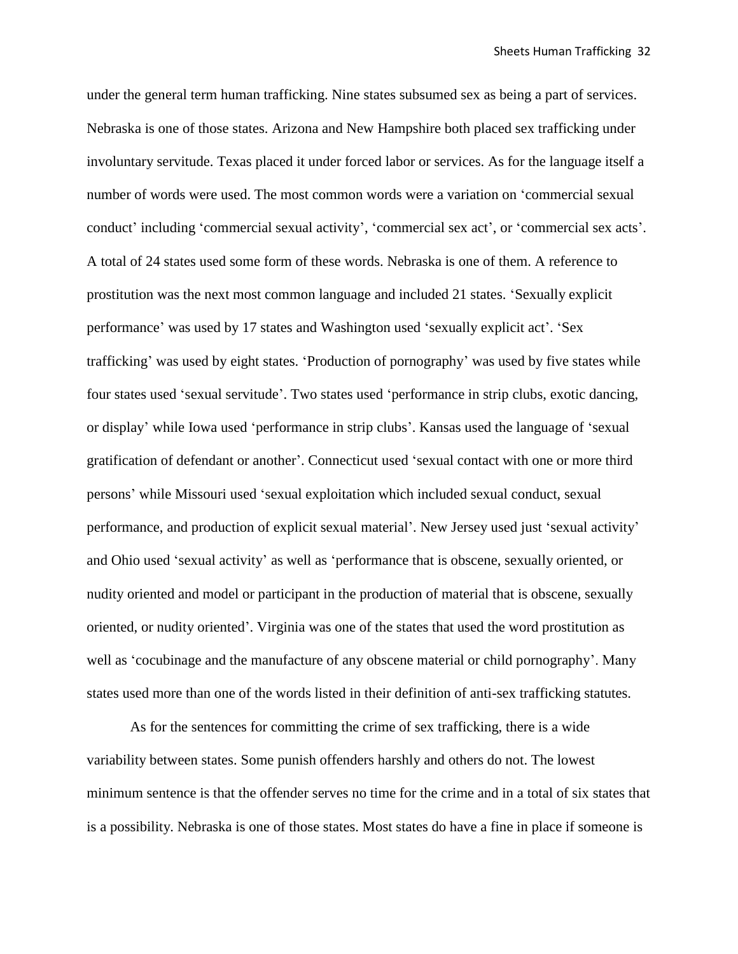under the general term human trafficking. Nine states subsumed sex as being a part of services. Nebraska is one of those states. Arizona and New Hampshire both placed sex trafficking under involuntary servitude. Texas placed it under forced labor or services. As for the language itself a number of words were used. The most common words were a variation on 'commercial sexual conduct' including 'commercial sexual activity', 'commercial sex act', or 'commercial sex acts'. A total of 24 states used some form of these words. Nebraska is one of them. A reference to prostitution was the next most common language and included 21 states. 'Sexually explicit performance' was used by 17 states and Washington used 'sexually explicit act'. 'Sex trafficking' was used by eight states. 'Production of pornography' was used by five states while four states used 'sexual servitude'. Two states used 'performance in strip clubs, exotic dancing, or display' while Iowa used 'performance in strip clubs'. Kansas used the language of 'sexual gratification of defendant or another'. Connecticut used 'sexual contact with one or more third persons' while Missouri used 'sexual exploitation which included sexual conduct, sexual performance, and production of explicit sexual material'. New Jersey used just 'sexual activity' and Ohio used 'sexual activity' as well as 'performance that is obscene, sexually oriented, or nudity oriented and model or participant in the production of material that is obscene, sexually oriented, or nudity oriented'. Virginia was one of the states that used the word prostitution as well as 'cocubinage and the manufacture of any obscene material or child pornography'. Many states used more than one of the words listed in their definition of anti-sex trafficking statutes.

As for the sentences for committing the crime of sex trafficking, there is a wide variability between states. Some punish offenders harshly and others do not. The lowest minimum sentence is that the offender serves no time for the crime and in a total of six states that is a possibility. Nebraska is one of those states. Most states do have a fine in place if someone is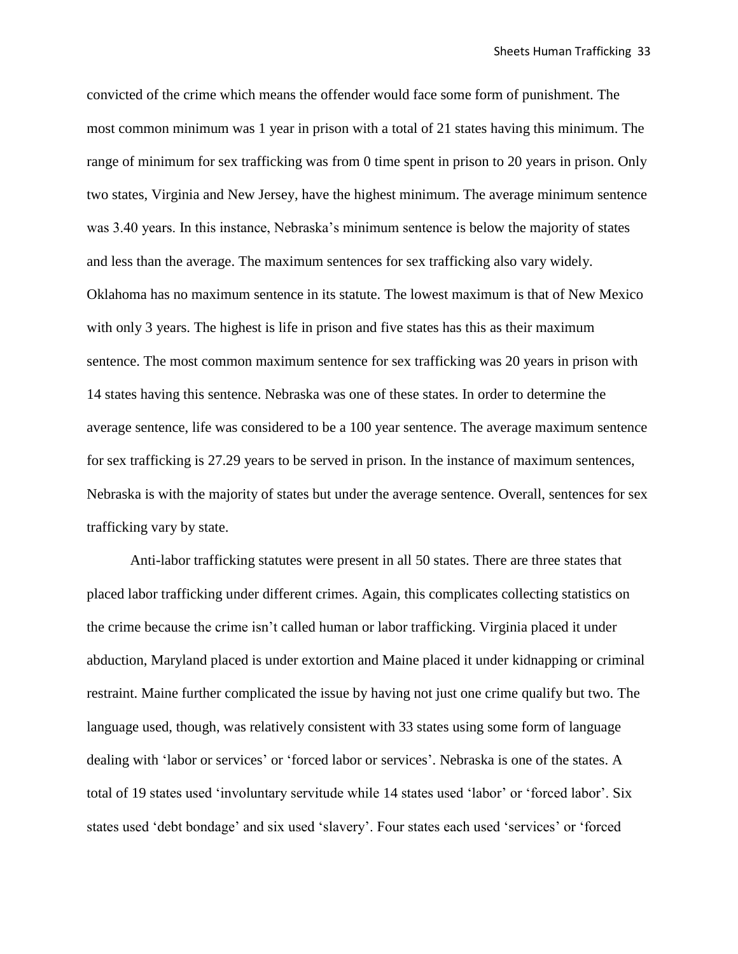convicted of the crime which means the offender would face some form of punishment. The most common minimum was 1 year in prison with a total of 21 states having this minimum. The range of minimum for sex trafficking was from 0 time spent in prison to 20 years in prison. Only two states, Virginia and New Jersey, have the highest minimum. The average minimum sentence was 3.40 years. In this instance, Nebraska's minimum sentence is below the majority of states and less than the average. The maximum sentences for sex trafficking also vary widely. Oklahoma has no maximum sentence in its statute. The lowest maximum is that of New Mexico with only 3 years. The highest is life in prison and five states has this as their maximum sentence. The most common maximum sentence for sex trafficking was 20 years in prison with 14 states having this sentence. Nebraska was one of these states. In order to determine the average sentence, life was considered to be a 100 year sentence. The average maximum sentence for sex trafficking is 27.29 years to be served in prison. In the instance of maximum sentences, Nebraska is with the majority of states but under the average sentence. Overall, sentences for sex trafficking vary by state.

Anti-labor trafficking statutes were present in all 50 states. There are three states that placed labor trafficking under different crimes. Again, this complicates collecting statistics on the crime because the crime isn't called human or labor trafficking. Virginia placed it under abduction, Maryland placed is under extortion and Maine placed it under kidnapping or criminal restraint. Maine further complicated the issue by having not just one crime qualify but two. The language used, though, was relatively consistent with 33 states using some form of language dealing with 'labor or services' or 'forced labor or services'. Nebraska is one of the states. A total of 19 states used 'involuntary servitude while 14 states used 'labor' or 'forced labor'. Six states used 'debt bondage' and six used 'slavery'. Four states each used 'services' or 'forced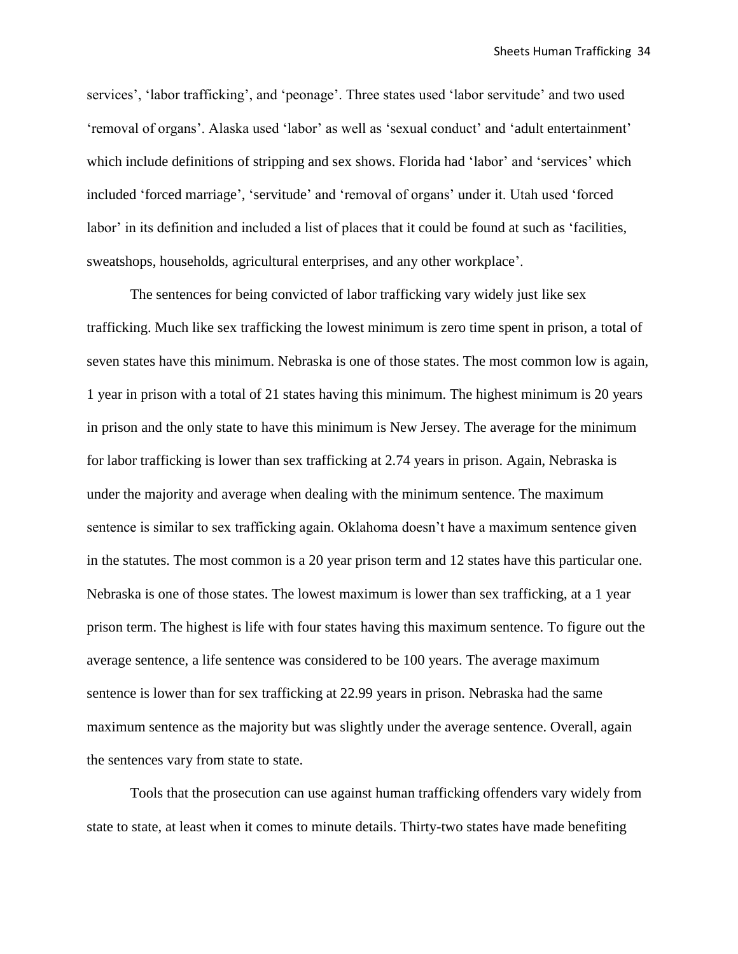services', 'labor trafficking', and 'peonage'. Three states used 'labor servitude' and two used 'removal of organs'. Alaska used 'labor' as well as 'sexual conduct' and 'adult entertainment' which include definitions of stripping and sex shows. Florida had 'labor' and 'services' which included 'forced marriage', 'servitude' and 'removal of organs' under it. Utah used 'forced labor' in its definition and included a list of places that it could be found at such as 'facilities, sweatshops, households, agricultural enterprises, and any other workplace'.

The sentences for being convicted of labor trafficking vary widely just like sex trafficking. Much like sex trafficking the lowest minimum is zero time spent in prison, a total of seven states have this minimum. Nebraska is one of those states. The most common low is again, 1 year in prison with a total of 21 states having this minimum. The highest minimum is 20 years in prison and the only state to have this minimum is New Jersey. The average for the minimum for labor trafficking is lower than sex trafficking at 2.74 years in prison. Again, Nebraska is under the majority and average when dealing with the minimum sentence. The maximum sentence is similar to sex trafficking again. Oklahoma doesn't have a maximum sentence given in the statutes. The most common is a 20 year prison term and 12 states have this particular one. Nebraska is one of those states. The lowest maximum is lower than sex trafficking, at a 1 year prison term. The highest is life with four states having this maximum sentence. To figure out the average sentence, a life sentence was considered to be 100 years. The average maximum sentence is lower than for sex trafficking at 22.99 years in prison. Nebraska had the same maximum sentence as the majority but was slightly under the average sentence. Overall, again the sentences vary from state to state.

Tools that the prosecution can use against human trafficking offenders vary widely from state to state, at least when it comes to minute details. Thirty-two states have made benefiting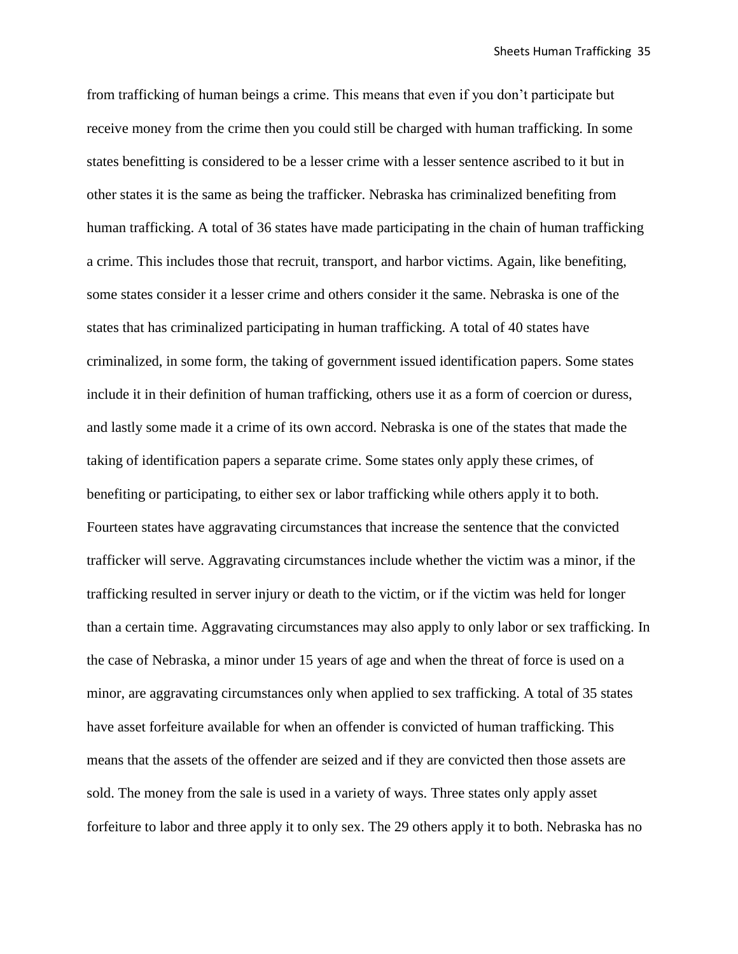from trafficking of human beings a crime. This means that even if you don't participate but receive money from the crime then you could still be charged with human trafficking. In some states benefitting is considered to be a lesser crime with a lesser sentence ascribed to it but in other states it is the same as being the trafficker. Nebraska has criminalized benefiting from human trafficking. A total of 36 states have made participating in the chain of human trafficking a crime. This includes those that recruit, transport, and harbor victims. Again, like benefiting, some states consider it a lesser crime and others consider it the same. Nebraska is one of the states that has criminalized participating in human trafficking. A total of 40 states have criminalized, in some form, the taking of government issued identification papers. Some states include it in their definition of human trafficking, others use it as a form of coercion or duress, and lastly some made it a crime of its own accord. Nebraska is one of the states that made the taking of identification papers a separate crime. Some states only apply these crimes, of benefiting or participating, to either sex or labor trafficking while others apply it to both. Fourteen states have aggravating circumstances that increase the sentence that the convicted trafficker will serve. Aggravating circumstances include whether the victim was a minor, if the trafficking resulted in server injury or death to the victim, or if the victim was held for longer than a certain time. Aggravating circumstances may also apply to only labor or sex trafficking. In the case of Nebraska, a minor under 15 years of age and when the threat of force is used on a minor, are aggravating circumstances only when applied to sex trafficking. A total of 35 states have asset forfeiture available for when an offender is convicted of human trafficking. This means that the assets of the offender are seized and if they are convicted then those assets are sold. The money from the sale is used in a variety of ways. Three states only apply asset forfeiture to labor and three apply it to only sex. The 29 others apply it to both. Nebraska has no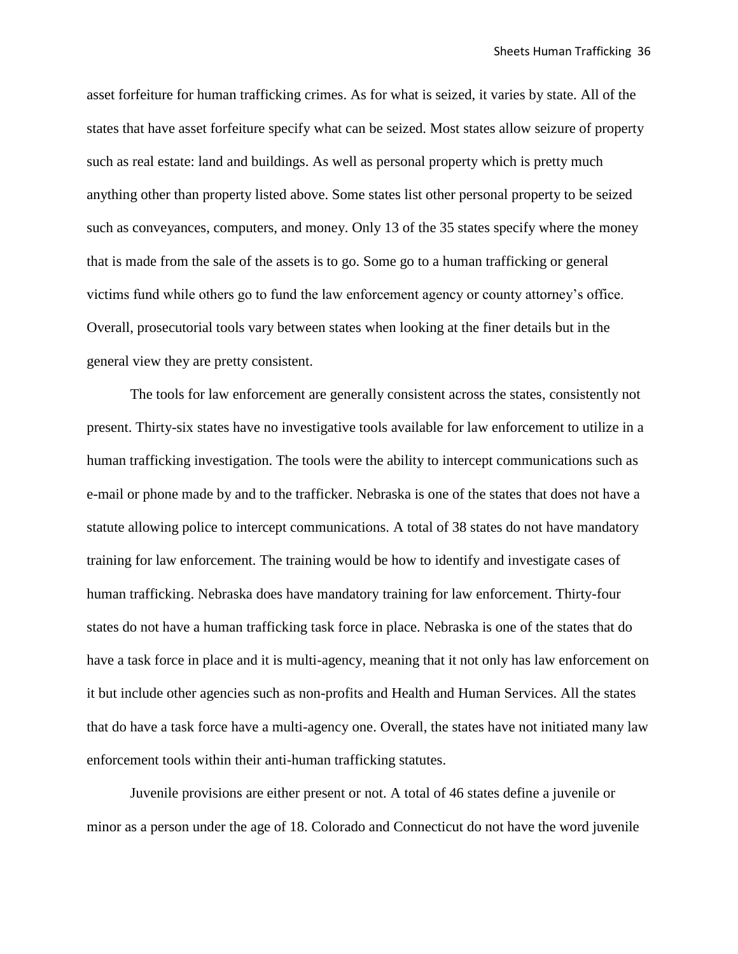asset forfeiture for human trafficking crimes. As for what is seized, it varies by state. All of the states that have asset forfeiture specify what can be seized. Most states allow seizure of property such as real estate: land and buildings. As well as personal property which is pretty much anything other than property listed above. Some states list other personal property to be seized such as conveyances, computers, and money. Only 13 of the 35 states specify where the money that is made from the sale of the assets is to go. Some go to a human trafficking or general victims fund while others go to fund the law enforcement agency or county attorney's office. Overall, prosecutorial tools vary between states when looking at the finer details but in the general view they are pretty consistent.

The tools for law enforcement are generally consistent across the states, consistently not present. Thirty-six states have no investigative tools available for law enforcement to utilize in a human trafficking investigation. The tools were the ability to intercept communications such as e-mail or phone made by and to the trafficker. Nebraska is one of the states that does not have a statute allowing police to intercept communications. A total of 38 states do not have mandatory training for law enforcement. The training would be how to identify and investigate cases of human trafficking. Nebraska does have mandatory training for law enforcement. Thirty-four states do not have a human trafficking task force in place. Nebraska is one of the states that do have a task force in place and it is multi-agency, meaning that it not only has law enforcement on it but include other agencies such as non-profits and Health and Human Services. All the states that do have a task force have a multi-agency one. Overall, the states have not initiated many law enforcement tools within their anti-human trafficking statutes.

Juvenile provisions are either present or not. A total of 46 states define a juvenile or minor as a person under the age of 18. Colorado and Connecticut do not have the word juvenile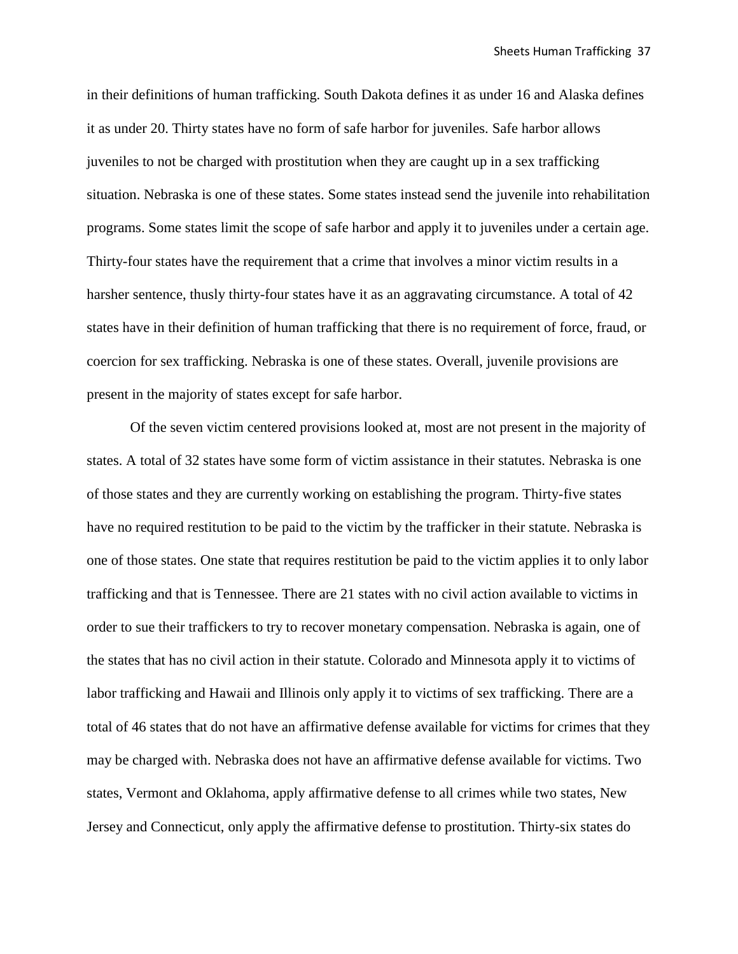in their definitions of human trafficking. South Dakota defines it as under 16 and Alaska defines it as under 20. Thirty states have no form of safe harbor for juveniles. Safe harbor allows juveniles to not be charged with prostitution when they are caught up in a sex trafficking situation. Nebraska is one of these states. Some states instead send the juvenile into rehabilitation programs. Some states limit the scope of safe harbor and apply it to juveniles under a certain age. Thirty-four states have the requirement that a crime that involves a minor victim results in a harsher sentence, thusly thirty-four states have it as an aggravating circumstance. A total of 42 states have in their definition of human trafficking that there is no requirement of force, fraud, or coercion for sex trafficking. Nebraska is one of these states. Overall, juvenile provisions are present in the majority of states except for safe harbor.

Of the seven victim centered provisions looked at, most are not present in the majority of states. A total of 32 states have some form of victim assistance in their statutes. Nebraska is one of those states and they are currently working on establishing the program. Thirty-five states have no required restitution to be paid to the victim by the trafficker in their statute. Nebraska is one of those states. One state that requires restitution be paid to the victim applies it to only labor trafficking and that is Tennessee. There are 21 states with no civil action available to victims in order to sue their traffickers to try to recover monetary compensation. Nebraska is again, one of the states that has no civil action in their statute. Colorado and Minnesota apply it to victims of labor trafficking and Hawaii and Illinois only apply it to victims of sex trafficking. There are a total of 46 states that do not have an affirmative defense available for victims for crimes that they may be charged with. Nebraska does not have an affirmative defense available for victims. Two states, Vermont and Oklahoma, apply affirmative defense to all crimes while two states, New Jersey and Connecticut, only apply the affirmative defense to prostitution. Thirty-six states do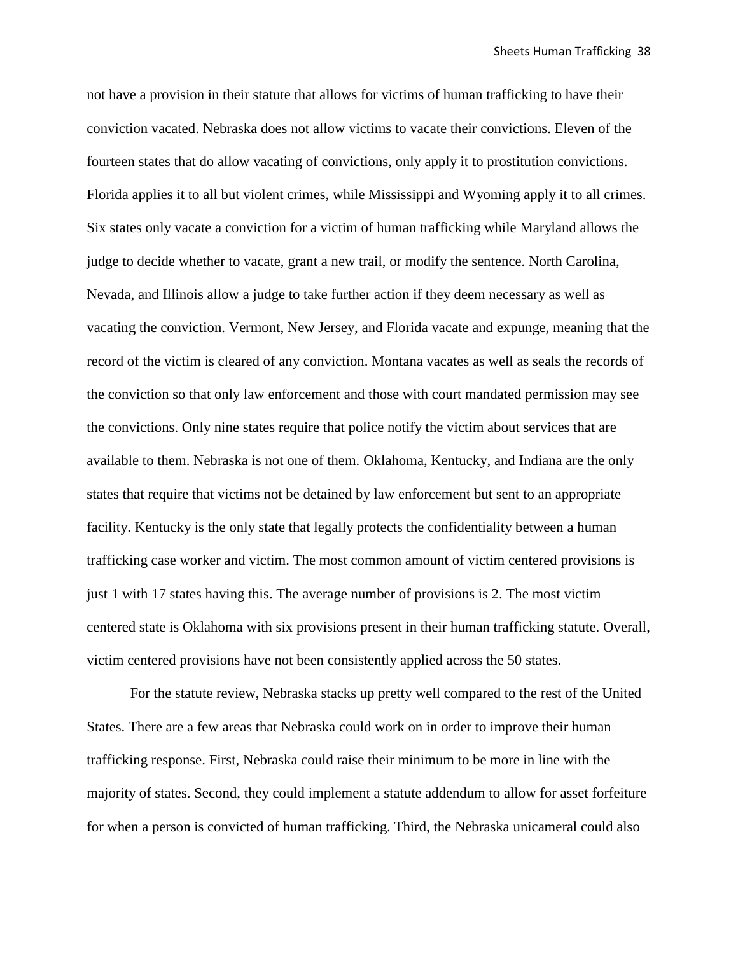not have a provision in their statute that allows for victims of human trafficking to have their conviction vacated. Nebraska does not allow victims to vacate their convictions. Eleven of the fourteen states that do allow vacating of convictions, only apply it to prostitution convictions. Florida applies it to all but violent crimes, while Mississippi and Wyoming apply it to all crimes. Six states only vacate a conviction for a victim of human trafficking while Maryland allows the judge to decide whether to vacate, grant a new trail, or modify the sentence. North Carolina, Nevada, and Illinois allow a judge to take further action if they deem necessary as well as vacating the conviction. Vermont, New Jersey, and Florida vacate and expunge, meaning that the record of the victim is cleared of any conviction. Montana vacates as well as seals the records of the conviction so that only law enforcement and those with court mandated permission may see the convictions. Only nine states require that police notify the victim about services that are available to them. Nebraska is not one of them. Oklahoma, Kentucky, and Indiana are the only states that require that victims not be detained by law enforcement but sent to an appropriate facility. Kentucky is the only state that legally protects the confidentiality between a human trafficking case worker and victim. The most common amount of victim centered provisions is just 1 with 17 states having this. The average number of provisions is 2. The most victim centered state is Oklahoma with six provisions present in their human trafficking statute. Overall, victim centered provisions have not been consistently applied across the 50 states.

For the statute review, Nebraska stacks up pretty well compared to the rest of the United States. There are a few areas that Nebraska could work on in order to improve their human trafficking response. First, Nebraska could raise their minimum to be more in line with the majority of states. Second, they could implement a statute addendum to allow for asset forfeiture for when a person is convicted of human trafficking. Third, the Nebraska unicameral could also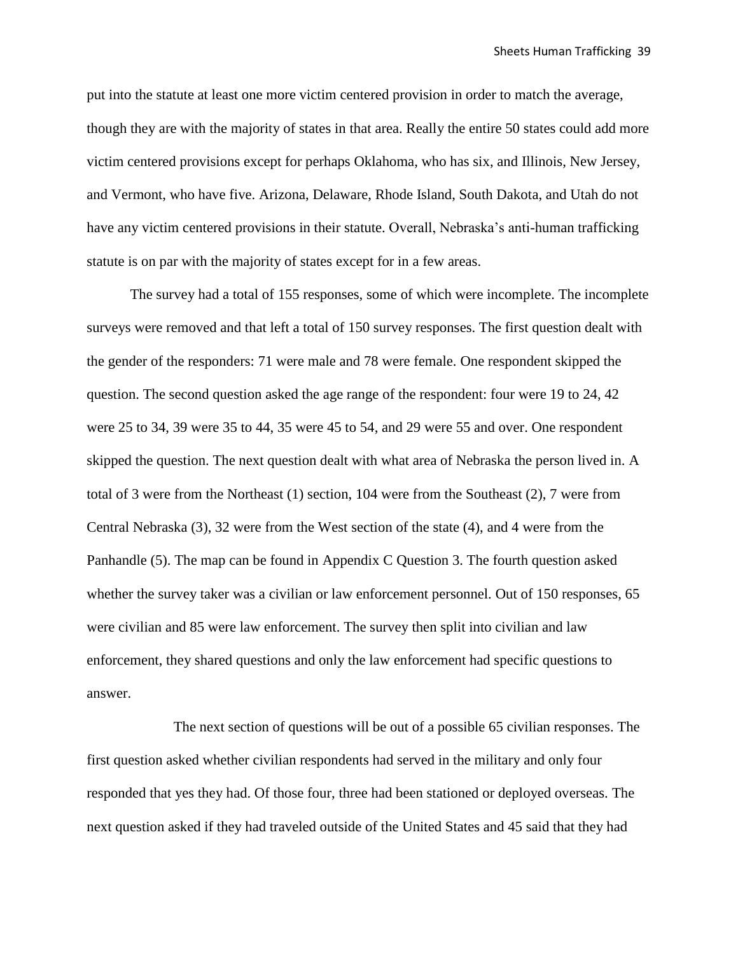put into the statute at least one more victim centered provision in order to match the average, though they are with the majority of states in that area. Really the entire 50 states could add more victim centered provisions except for perhaps Oklahoma, who has six, and Illinois, New Jersey, and Vermont, who have five. Arizona, Delaware, Rhode Island, South Dakota, and Utah do not have any victim centered provisions in their statute. Overall, Nebraska's anti-human trafficking statute is on par with the majority of states except for in a few areas.

The survey had a total of 155 responses, some of which were incomplete. The incomplete surveys were removed and that left a total of 150 survey responses. The first question dealt with the gender of the responders: 71 were male and 78 were female. One respondent skipped the question. The second question asked the age range of the respondent: four were 19 to 24, 42 were 25 to 34, 39 were 35 to 44, 35 were 45 to 54, and 29 were 55 and over. One respondent skipped the question. The next question dealt with what area of Nebraska the person lived in. A total of 3 were from the Northeast (1) section, 104 were from the Southeast (2), 7 were from Central Nebraska (3), 32 were from the West section of the state (4), and 4 were from the Panhandle (5). The map can be found in Appendix C Question 3. The fourth question asked whether the survey taker was a civilian or law enforcement personnel. Out of 150 responses, 65 were civilian and 85 were law enforcement. The survey then split into civilian and law enforcement, they shared questions and only the law enforcement had specific questions to answer.

The next section of questions will be out of a possible 65 civilian responses. The first question asked whether civilian respondents had served in the military and only four responded that yes they had. Of those four, three had been stationed or deployed overseas. The next question asked if they had traveled outside of the United States and 45 said that they had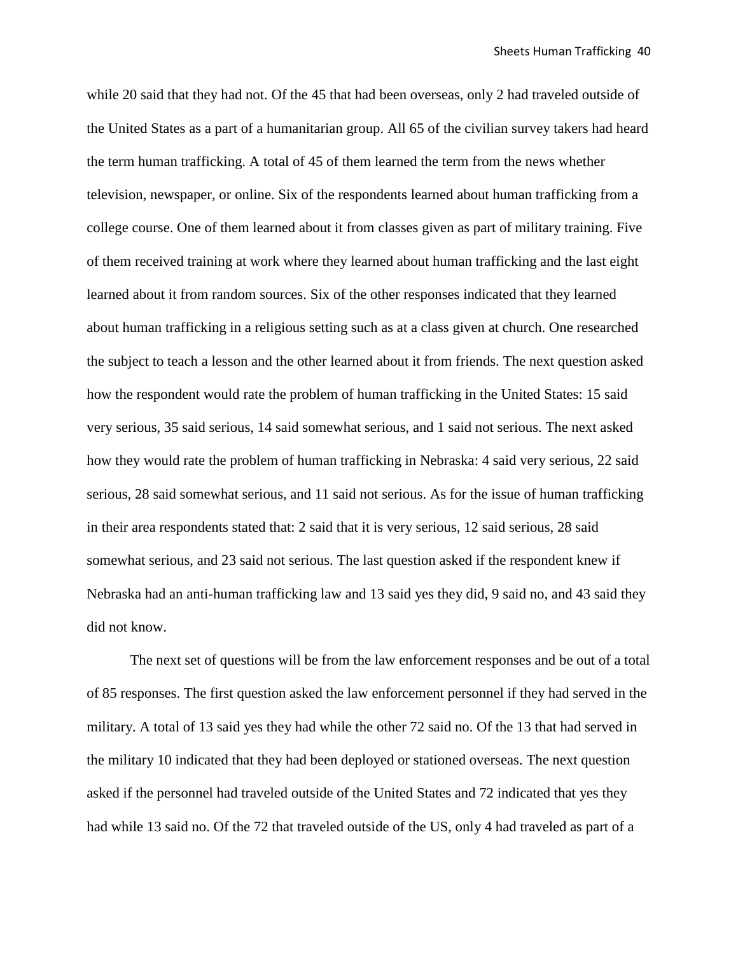while 20 said that they had not. Of the 45 that had been overseas, only 2 had traveled outside of the United States as a part of a humanitarian group. All 65 of the civilian survey takers had heard the term human trafficking. A total of 45 of them learned the term from the news whether television, newspaper, or online. Six of the respondents learned about human trafficking from a college course. One of them learned about it from classes given as part of military training. Five of them received training at work where they learned about human trafficking and the last eight learned about it from random sources. Six of the other responses indicated that they learned about human trafficking in a religious setting such as at a class given at church. One researched the subject to teach a lesson and the other learned about it from friends. The next question asked how the respondent would rate the problem of human trafficking in the United States: 15 said very serious, 35 said serious, 14 said somewhat serious, and 1 said not serious. The next asked how they would rate the problem of human trafficking in Nebraska: 4 said very serious, 22 said serious, 28 said somewhat serious, and 11 said not serious. As for the issue of human trafficking in their area respondents stated that: 2 said that it is very serious, 12 said serious, 28 said somewhat serious, and 23 said not serious. The last question asked if the respondent knew if Nebraska had an anti-human trafficking law and 13 said yes they did, 9 said no, and 43 said they did not know.

The next set of questions will be from the law enforcement responses and be out of a total of 85 responses. The first question asked the law enforcement personnel if they had served in the military. A total of 13 said yes they had while the other 72 said no. Of the 13 that had served in the military 10 indicated that they had been deployed or stationed overseas. The next question asked if the personnel had traveled outside of the United States and 72 indicated that yes they had while 13 said no. Of the 72 that traveled outside of the US, only 4 had traveled as part of a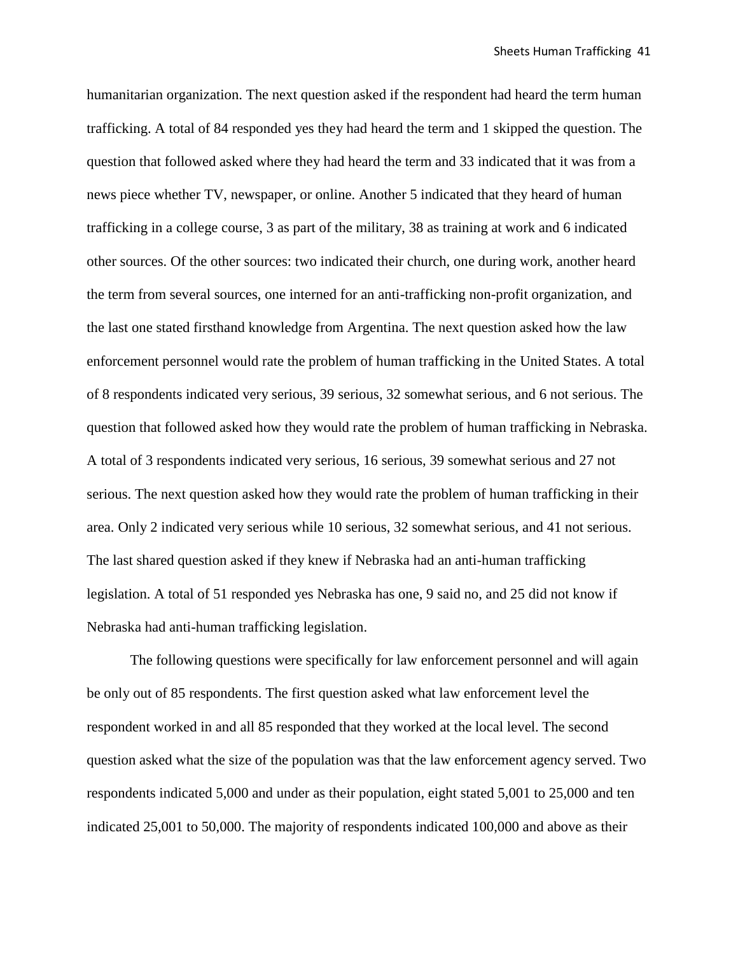humanitarian organization. The next question asked if the respondent had heard the term human trafficking. A total of 84 responded yes they had heard the term and 1 skipped the question. The question that followed asked where they had heard the term and 33 indicated that it was from a news piece whether TV, newspaper, or online. Another 5 indicated that they heard of human trafficking in a college course, 3 as part of the military, 38 as training at work and 6 indicated other sources. Of the other sources: two indicated their church, one during work, another heard the term from several sources, one interned for an anti-trafficking non-profit organization, and the last one stated firsthand knowledge from Argentina. The next question asked how the law enforcement personnel would rate the problem of human trafficking in the United States. A total of 8 respondents indicated very serious, 39 serious, 32 somewhat serious, and 6 not serious. The question that followed asked how they would rate the problem of human trafficking in Nebraska. A total of 3 respondents indicated very serious, 16 serious, 39 somewhat serious and 27 not serious. The next question asked how they would rate the problem of human trafficking in their area. Only 2 indicated very serious while 10 serious, 32 somewhat serious, and 41 not serious. The last shared question asked if they knew if Nebraska had an anti-human trafficking legislation. A total of 51 responded yes Nebraska has one, 9 said no, and 25 did not know if Nebraska had anti-human trafficking legislation.

The following questions were specifically for law enforcement personnel and will again be only out of 85 respondents. The first question asked what law enforcement level the respondent worked in and all 85 responded that they worked at the local level. The second question asked what the size of the population was that the law enforcement agency served. Two respondents indicated 5,000 and under as their population, eight stated 5,001 to 25,000 and ten indicated 25,001 to 50,000. The majority of respondents indicated 100,000 and above as their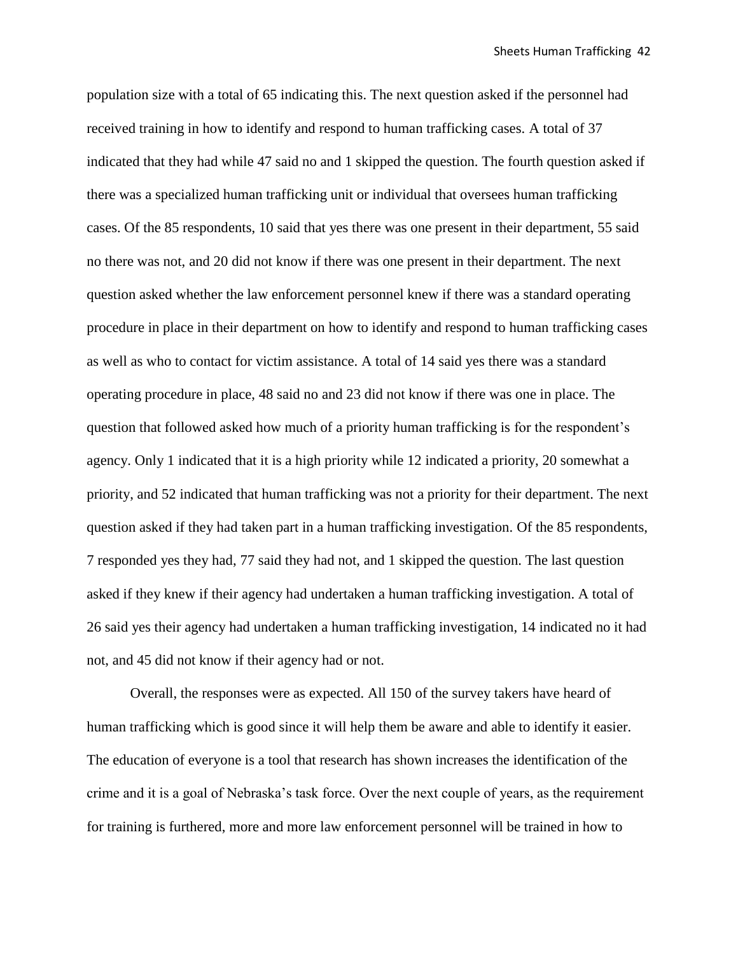population size with a total of 65 indicating this. The next question asked if the personnel had received training in how to identify and respond to human trafficking cases. A total of 37 indicated that they had while 47 said no and 1 skipped the question. The fourth question asked if there was a specialized human trafficking unit or individual that oversees human trafficking cases. Of the 85 respondents, 10 said that yes there was one present in their department, 55 said no there was not, and 20 did not know if there was one present in their department. The next question asked whether the law enforcement personnel knew if there was a standard operating procedure in place in their department on how to identify and respond to human trafficking cases as well as who to contact for victim assistance. A total of 14 said yes there was a standard operating procedure in place, 48 said no and 23 did not know if there was one in place. The question that followed asked how much of a priority human trafficking is for the respondent's agency. Only 1 indicated that it is a high priority while 12 indicated a priority, 20 somewhat a priority, and 52 indicated that human trafficking was not a priority for their department. The next question asked if they had taken part in a human trafficking investigation. Of the 85 respondents, 7 responded yes they had, 77 said they had not, and 1 skipped the question. The last question asked if they knew if their agency had undertaken a human trafficking investigation. A total of 26 said yes their agency had undertaken a human trafficking investigation, 14 indicated no it had not, and 45 did not know if their agency had or not.

Overall, the responses were as expected. All 150 of the survey takers have heard of human trafficking which is good since it will help them be aware and able to identify it easier. The education of everyone is a tool that research has shown increases the identification of the crime and it is a goal of Nebraska's task force. Over the next couple of years, as the requirement for training is furthered, more and more law enforcement personnel will be trained in how to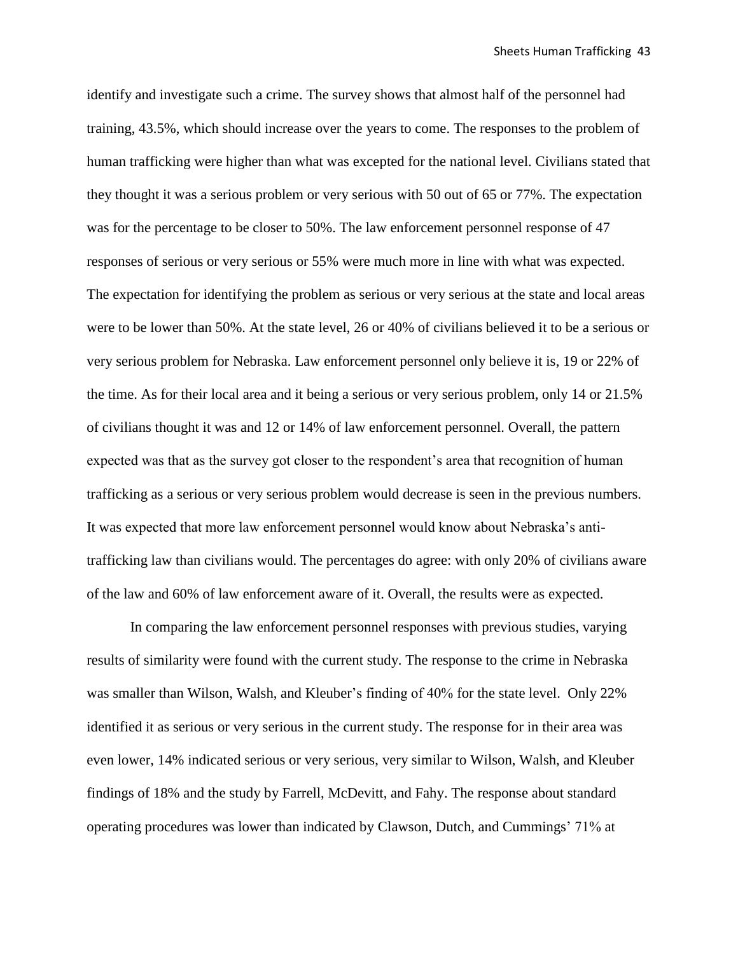identify and investigate such a crime. The survey shows that almost half of the personnel had training, 43.5%, which should increase over the years to come. The responses to the problem of human trafficking were higher than what was excepted for the national level. Civilians stated that they thought it was a serious problem or very serious with 50 out of 65 or 77%. The expectation was for the percentage to be closer to 50%. The law enforcement personnel response of 47 responses of serious or very serious or 55% were much more in line with what was expected. The expectation for identifying the problem as serious or very serious at the state and local areas were to be lower than 50%. At the state level, 26 or 40% of civilians believed it to be a serious or very serious problem for Nebraska. Law enforcement personnel only believe it is, 19 or 22% of the time. As for their local area and it being a serious or very serious problem, only 14 or 21.5% of civilians thought it was and 12 or 14% of law enforcement personnel. Overall, the pattern expected was that as the survey got closer to the respondent's area that recognition of human trafficking as a serious or very serious problem would decrease is seen in the previous numbers. It was expected that more law enforcement personnel would know about Nebraska's antitrafficking law than civilians would. The percentages do agree: with only 20% of civilians aware of the law and 60% of law enforcement aware of it. Overall, the results were as expected.

In comparing the law enforcement personnel responses with previous studies, varying results of similarity were found with the current study. The response to the crime in Nebraska was smaller than Wilson, Walsh, and Kleuber's finding of 40% for the state level. Only 22% identified it as serious or very serious in the current study. The response for in their area was even lower, 14% indicated serious or very serious, very similar to Wilson, Walsh, and Kleuber findings of 18% and the study by Farrell, McDevitt, and Fahy. The response about standard operating procedures was lower than indicated by Clawson, Dutch, and Cummings' 71% at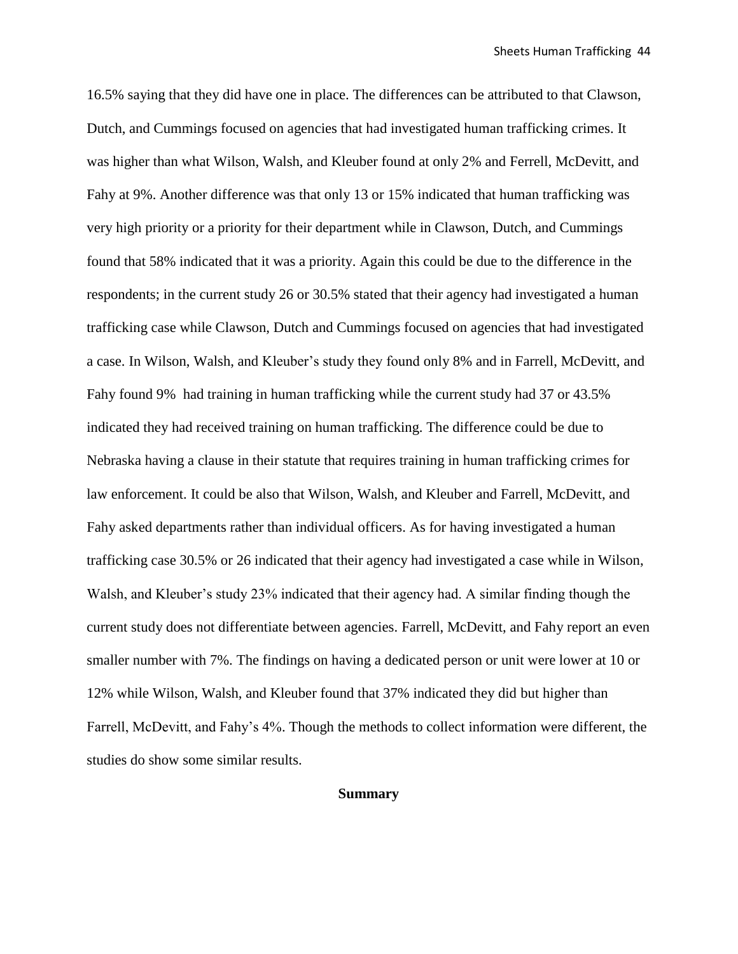16.5% saying that they did have one in place. The differences can be attributed to that Clawson, Dutch, and Cummings focused on agencies that had investigated human trafficking crimes. It was higher than what Wilson, Walsh, and Kleuber found at only 2% and Ferrell, McDevitt, and Fahy at 9%. Another difference was that only 13 or 15% indicated that human trafficking was very high priority or a priority for their department while in Clawson, Dutch, and Cummings found that 58% indicated that it was a priority. Again this could be due to the difference in the respondents; in the current study 26 or 30.5% stated that their agency had investigated a human trafficking case while Clawson, Dutch and Cummings focused on agencies that had investigated a case. In Wilson, Walsh, and Kleuber's study they found only 8% and in Farrell, McDevitt, and Fahy found 9% had training in human trafficking while the current study had 37 or 43.5% indicated they had received training on human trafficking. The difference could be due to Nebraska having a clause in their statute that requires training in human trafficking crimes for law enforcement. It could be also that Wilson, Walsh, and Kleuber and Farrell, McDevitt, and Fahy asked departments rather than individual officers. As for having investigated a human trafficking case 30.5% or 26 indicated that their agency had investigated a case while in Wilson, Walsh, and Kleuber's study 23% indicated that their agency had. A similar finding though the current study does not differentiate between agencies. Farrell, McDevitt, and Fahy report an even smaller number with 7%. The findings on having a dedicated person or unit were lower at 10 or 12% while Wilson, Walsh, and Kleuber found that 37% indicated they did but higher than Farrell, McDevitt, and Fahy's 4%. Though the methods to collect information were different, the studies do show some similar results.

#### **Summary**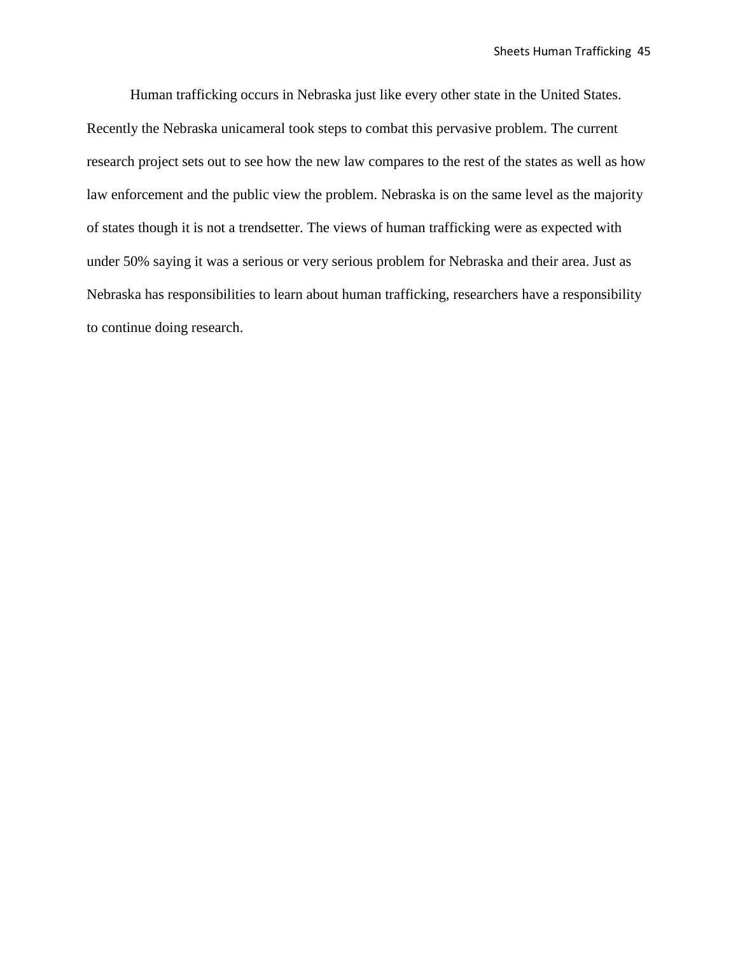Human trafficking occurs in Nebraska just like every other state in the United States. Recently the Nebraska unicameral took steps to combat this pervasive problem. The current research project sets out to see how the new law compares to the rest of the states as well as how law enforcement and the public view the problem. Nebraska is on the same level as the majority of states though it is not a trendsetter. The views of human trafficking were as expected with under 50% saying it was a serious or very serious problem for Nebraska and their area. Just as Nebraska has responsibilities to learn about human trafficking, researchers have a responsibility to continue doing research.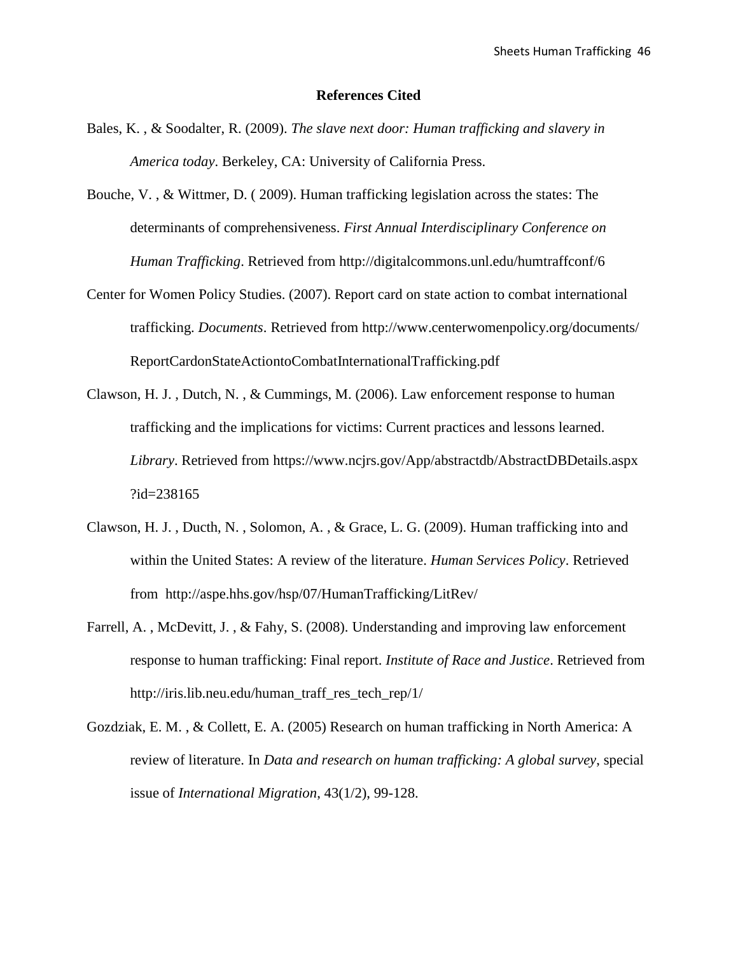#### **References Cited**

- Bales, K. , & Soodalter, R. (2009). *The slave next door: Human trafficking and slavery in America today*. Berkeley, CA: University of California Press.
- Bouche, V. , & Wittmer, D. ( 2009). Human trafficking legislation across the states: The determinants of comprehensiveness. *First Annual Interdisciplinary Conference on Human Trafficking*. Retrieved from http://digitalcommons.unl.edu/humtraffconf/6
- Center for Women Policy Studies. (2007). Report card on state action to combat international trafficking. *Documents*. Retrieved from http://www.centerwomenpolicy.org/documents/ ReportCardonStateActiontoCombatInternationalTrafficking.pdf
- Clawson, H. J. , Dutch, N. , & Cummings, M. (2006). Law enforcement response to human trafficking and the implications for victims: Current practices and lessons learned. *Library*. Retrieved from https://www.ncjrs.gov/App/abstractdb/AbstractDBDetails.aspx ?id=238165
- Clawson, H. J. , Ducth, N. , Solomon, A. , & Grace, L. G. (2009). Human trafficking into and within the United States: A review of the literature. *Human Services Policy*. Retrieved from http://aspe.hhs.gov/hsp/07/HumanTrafficking/LitRev/
- Farrell, A. , McDevitt, J. , & Fahy, S. (2008). Understanding and improving law enforcement response to human trafficking: Final report. *Institute of Race and Justice*. Retrieved from http://iris.lib.neu.edu/human\_traff\_res\_tech\_rep/1/
- Gozdziak, E. M. , & Collett, E. A. (2005) Research on human trafficking in North America: A review of literature. In *Data and research on human trafficking: A global survey*, special issue of *International Migration*, 43(1/2), 99-128.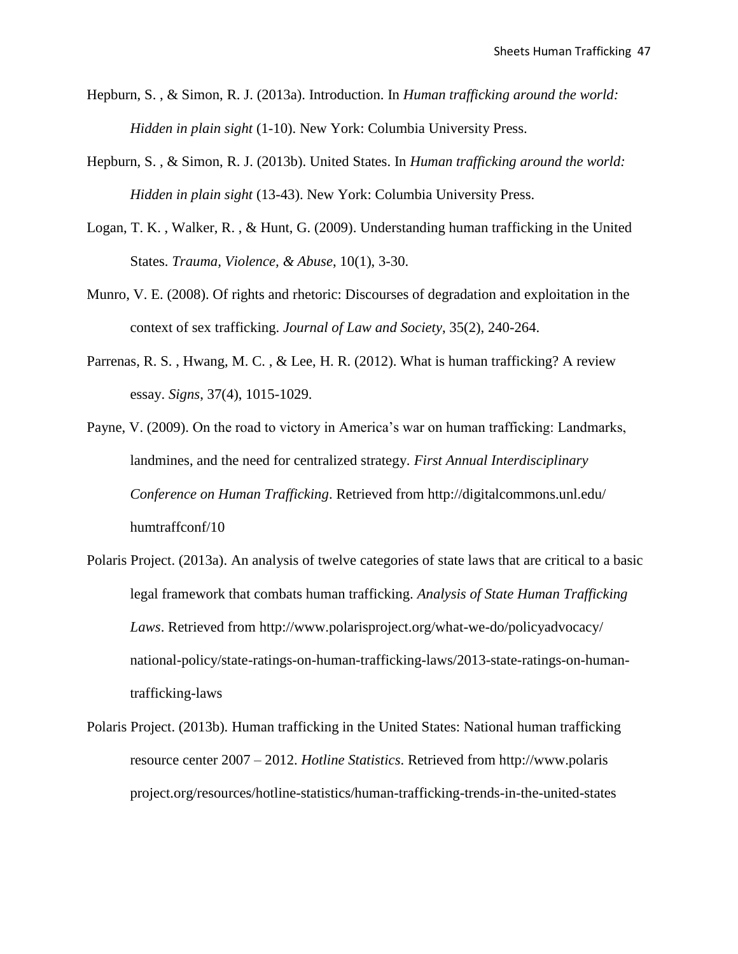- Hepburn, S. , & Simon, R. J. (2013a). Introduction. In *Human trafficking around the world: Hidden in plain sight* (1-10). New York: Columbia University Press.
- Hepburn, S. , & Simon, R. J. (2013b). United States. In *Human trafficking around the world: Hidden in plain sight* (13-43). New York: Columbia University Press.
- Logan, T. K. , Walker, R. , & Hunt, G. (2009). Understanding human trafficking in the United States. *Trauma, Violence, & Abuse*, 10(1), 3-30.
- Munro, V. E. (2008). Of rights and rhetoric: Discourses of degradation and exploitation in the context of sex trafficking. *Journal of Law and Society*, 35(2), 240-264.
- Parrenas, R. S. , Hwang, M. C. , & Lee, H. R. (2012). What is human trafficking? A review essay. *Signs*, 37(4), 1015-1029.
- Payne, V. (2009). On the road to victory in America's war on human trafficking: Landmarks, landmines, and the need for centralized strategy. *First Annual Interdisciplinary Conference on Human Trafficking*. Retrieved from http://digitalcommons.unl.edu/ humtraffconf/10
- Polaris Project. (2013a). An analysis of twelve categories of state laws that are critical to a basic legal framework that combats human trafficking. *Analysis of State Human Trafficking Laws*. Retrieved from http://www.polarisproject.org/what-we-do/policyadvocacy/ national-policy/state-ratings-on-human-trafficking-laws/2013-state-ratings-on-humantrafficking-laws
- Polaris Project. (2013b). Human trafficking in the United States: National human trafficking resource center 2007 – 2012. *Hotline Statistics*. Retrieved from http://www.polaris project.org/resources/hotline-statistics/human-trafficking-trends-in-the-united-states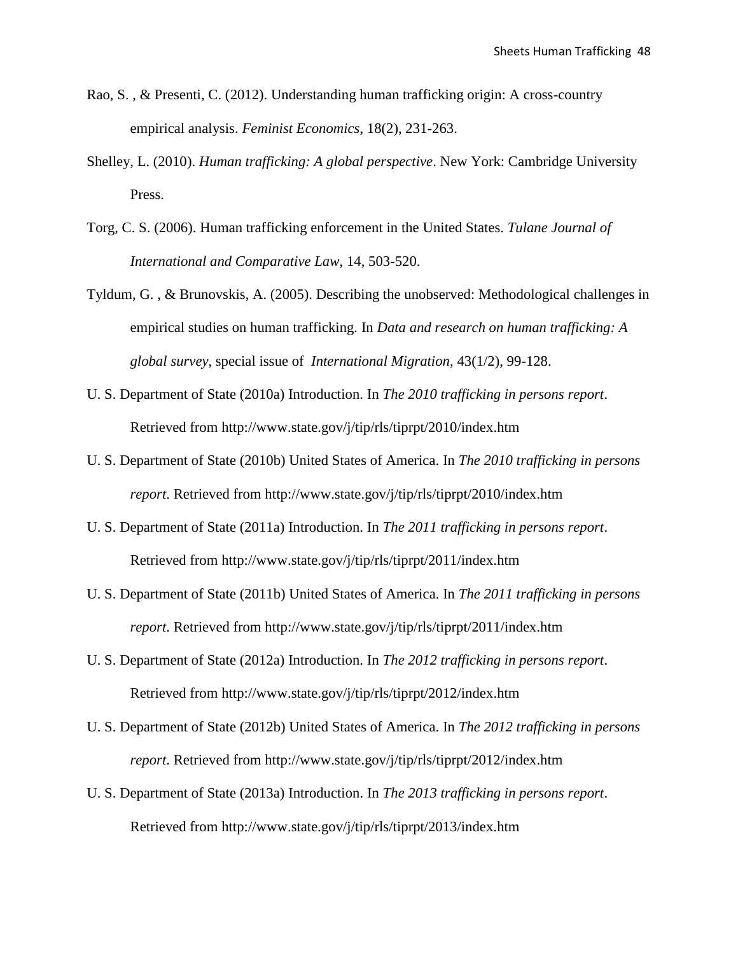- Rao, S. , & Presenti, C. (2012). Understanding human trafficking origin: A cross-country empirical analysis. *Feminist Economics*, 18(2), 231-263.
- Shelley, L. (2010). *Human trafficking: A global perspective*. New York: Cambridge University Press.
- Torg, C. S. (2006). Human trafficking enforcement in the United States. *Tulane Journal of International and Comparative Law*, 14, 503-520.
- Tyldum, G. , & Brunovskis, A. (2005). Describing the unobserved: Methodological challenges in empirical studies on human trafficking. In *Data and research on human trafficking: A global survey*, special issue of *International Migration*, 43(1/2), 99-128.
- U. S. Department of State (2010a) Introduction. In *The 2010 trafficking in persons report*. Retrieved from http://www.state.gov/j/tip/rls/tiprpt/2010/index.htm
- U. S. Department of State (2010b) United States of America. In *The 2010 trafficking in persons report*. Retrieved from http://www.state.gov/j/tip/rls/tiprpt/2010/index.htm
- U. S. Department of State (2011a) Introduction. In *The 2011 trafficking in persons report*. Retrieved from http://www.state.gov/j/tip/rls/tiprpt/2011/index.htm
- U. S. Department of State (2011b) United States of America. In *The 2011 trafficking in persons report*. Retrieved from http://www.state.gov/j/tip/rls/tiprpt/2011/index.htm
- U. S. Department of State (2012a) Introduction. In *The 2012 trafficking in persons report*. Retrieved from http://www.state.gov/j/tip/rls/tiprpt/2012/index.htm
- U. S. Department of State (2012b) United States of America. In *The 2012 trafficking in persons report*. Retrieved from http://www.state.gov/j/tip/rls/tiprpt/2012/index.htm
- U. S. Department of State (2013a) Introduction. In *The 2013 trafficking in persons report*. Retrieved from http://www.state.gov/j/tip/rls/tiprpt/2013/index.htm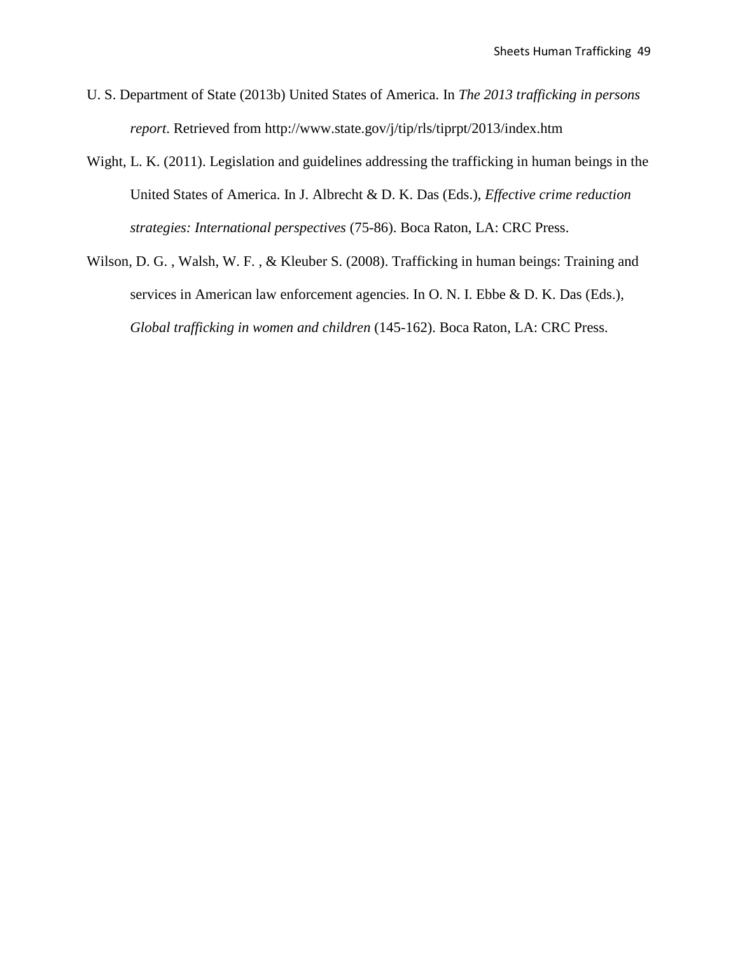- U. S. Department of State (2013b) United States of America. In *The 2013 trafficking in persons report*. Retrieved from http://www.state.gov/j/tip/rls/tiprpt/2013/index.htm
- Wight, L. K. (2011). Legislation and guidelines addressing the trafficking in human beings in the United States of America. In J. Albrecht & D. K. Das (Eds.), *Effective crime reduction strategies: International perspectives* (75-86). Boca Raton, LA: CRC Press.
- Wilson, D. G. , Walsh, W. F. , & Kleuber S. (2008). Trafficking in human beings: Training and services in American law enforcement agencies. In O. N. I. Ebbe & D. K. Das (Eds.), *Global trafficking in women and children* (145-162). Boca Raton, LA: CRC Press.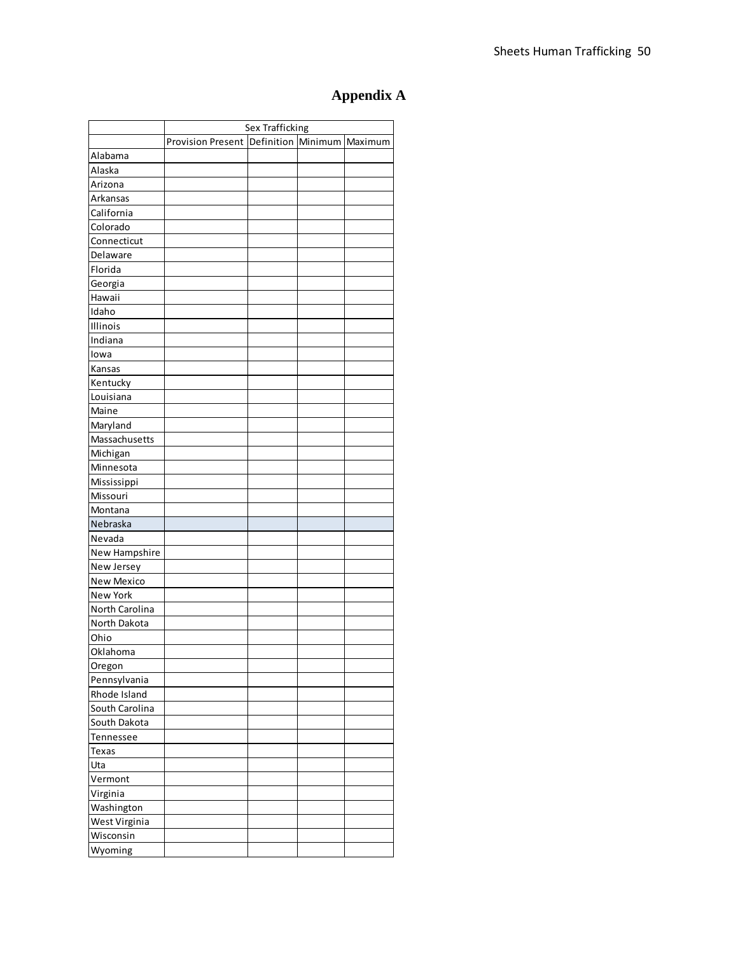## **Appendix A**

|                   | Sex Trafficking                              |  |  |  |  |  |
|-------------------|----------------------------------------------|--|--|--|--|--|
|                   | Provision Present Definition Minimum Maximum |  |  |  |  |  |
| Alabama           |                                              |  |  |  |  |  |
| Alaska            |                                              |  |  |  |  |  |
| Arizona           |                                              |  |  |  |  |  |
| <b>Arkansas</b>   |                                              |  |  |  |  |  |
| California        |                                              |  |  |  |  |  |
| Colorado          |                                              |  |  |  |  |  |
| Connecticut       |                                              |  |  |  |  |  |
| Delaware          |                                              |  |  |  |  |  |
| Florida           |                                              |  |  |  |  |  |
| Georgia           |                                              |  |  |  |  |  |
| Hawaii            |                                              |  |  |  |  |  |
| Idaho             |                                              |  |  |  |  |  |
| Illinois          |                                              |  |  |  |  |  |
| Indiana           |                                              |  |  |  |  |  |
| lowa              |                                              |  |  |  |  |  |
| Kansas            |                                              |  |  |  |  |  |
| Kentucky          |                                              |  |  |  |  |  |
| Louisiana         |                                              |  |  |  |  |  |
| Maine             |                                              |  |  |  |  |  |
| Maryland          |                                              |  |  |  |  |  |
| Massachusetts     |                                              |  |  |  |  |  |
| Michigan          |                                              |  |  |  |  |  |
| Minnesota         |                                              |  |  |  |  |  |
| Mississippi       |                                              |  |  |  |  |  |
| Missouri          |                                              |  |  |  |  |  |
| Montana           |                                              |  |  |  |  |  |
| Nebraska          |                                              |  |  |  |  |  |
| Nevada            |                                              |  |  |  |  |  |
| New Hampshire     |                                              |  |  |  |  |  |
| New Jersey        |                                              |  |  |  |  |  |
| <b>New Mexico</b> |                                              |  |  |  |  |  |
| New York          |                                              |  |  |  |  |  |
| North Carolina    |                                              |  |  |  |  |  |
| North Dakota      |                                              |  |  |  |  |  |
| Ohio              |                                              |  |  |  |  |  |
| Oklahoma          |                                              |  |  |  |  |  |
| Oregon            |                                              |  |  |  |  |  |
| Pennsylvania      |                                              |  |  |  |  |  |
| Rhode Island      |                                              |  |  |  |  |  |
| South Carolina    |                                              |  |  |  |  |  |
| South Dakota      |                                              |  |  |  |  |  |
| Tennessee         |                                              |  |  |  |  |  |
| Texas             |                                              |  |  |  |  |  |
| Uta               |                                              |  |  |  |  |  |
| Vermont           |                                              |  |  |  |  |  |
| Virginia          |                                              |  |  |  |  |  |
| Washington        |                                              |  |  |  |  |  |
| West Virginia     |                                              |  |  |  |  |  |
| Wisconsin         |                                              |  |  |  |  |  |
| Wyoming           |                                              |  |  |  |  |  |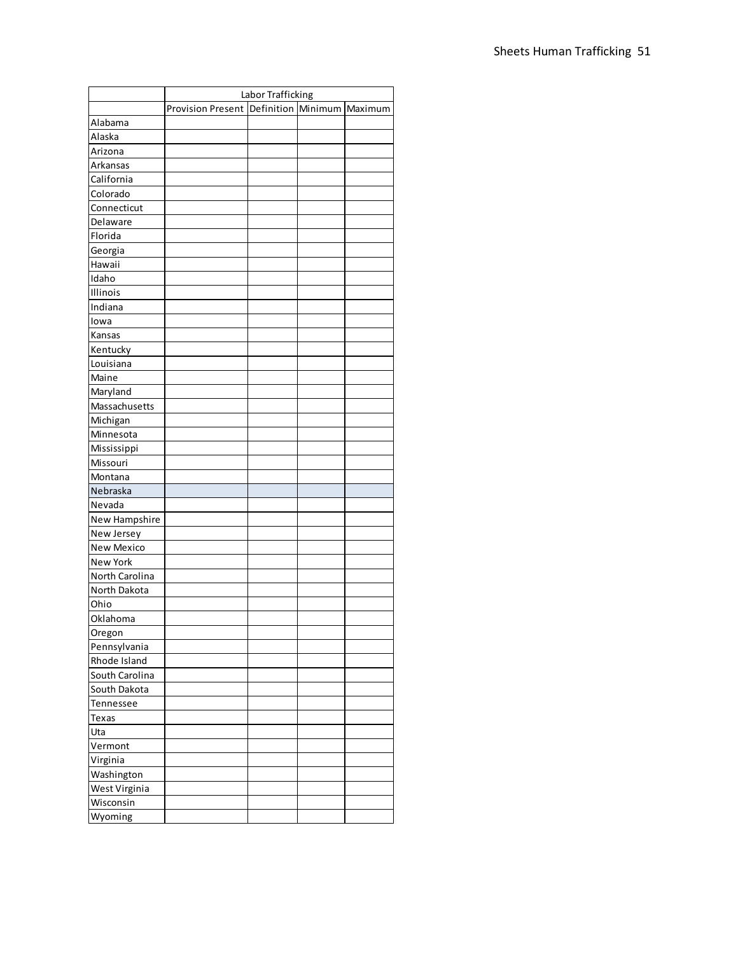|                | Labor Trafficking                           |  |  |         |  |  |  |
|----------------|---------------------------------------------|--|--|---------|--|--|--|
|                | <b>Provision Present Definition Minimum</b> |  |  | Maximum |  |  |  |
| Alabama        |                                             |  |  |         |  |  |  |
| Alaska         |                                             |  |  |         |  |  |  |
| Arizona        |                                             |  |  |         |  |  |  |
| Arkansas       |                                             |  |  |         |  |  |  |
| California     |                                             |  |  |         |  |  |  |
| Colorado       |                                             |  |  |         |  |  |  |
| Connecticut    |                                             |  |  |         |  |  |  |
| Delaware       |                                             |  |  |         |  |  |  |
| Florida        |                                             |  |  |         |  |  |  |
| Georgia        |                                             |  |  |         |  |  |  |
| Hawaii         |                                             |  |  |         |  |  |  |
| Idaho          |                                             |  |  |         |  |  |  |
| Illinois       |                                             |  |  |         |  |  |  |
| Indiana        |                                             |  |  |         |  |  |  |
| lowa           |                                             |  |  |         |  |  |  |
| Kansas         |                                             |  |  |         |  |  |  |
| Kentucky       |                                             |  |  |         |  |  |  |
| Louisiana      |                                             |  |  |         |  |  |  |
| Maine          |                                             |  |  |         |  |  |  |
| Maryland       |                                             |  |  |         |  |  |  |
| Massachusetts  |                                             |  |  |         |  |  |  |
| Michigan       |                                             |  |  |         |  |  |  |
| Minnesota      |                                             |  |  |         |  |  |  |
| Mississippi    |                                             |  |  |         |  |  |  |
| Missouri       |                                             |  |  |         |  |  |  |
| Montana        |                                             |  |  |         |  |  |  |
| Nebraska       |                                             |  |  |         |  |  |  |
| Nevada         |                                             |  |  |         |  |  |  |
| New Hampshire  |                                             |  |  |         |  |  |  |
| New Jersey     |                                             |  |  |         |  |  |  |
| New Mexico     |                                             |  |  |         |  |  |  |
| New York       |                                             |  |  |         |  |  |  |
| North Carolina |                                             |  |  |         |  |  |  |
| North Dakota   |                                             |  |  |         |  |  |  |
| Ohio           |                                             |  |  |         |  |  |  |
| Oklahoma       |                                             |  |  |         |  |  |  |
| Oregon         |                                             |  |  |         |  |  |  |
| Pennsylvania   |                                             |  |  |         |  |  |  |
| Rhode Island   |                                             |  |  |         |  |  |  |
| South Carolina |                                             |  |  |         |  |  |  |
| South Dakota   |                                             |  |  |         |  |  |  |
| Tennessee      |                                             |  |  |         |  |  |  |
| Texas          |                                             |  |  |         |  |  |  |
| Uta            |                                             |  |  |         |  |  |  |
| Vermont        |                                             |  |  |         |  |  |  |
| Virginia       |                                             |  |  |         |  |  |  |
| Washington     |                                             |  |  |         |  |  |  |
| West Virginia  |                                             |  |  |         |  |  |  |
| Wisconsin      |                                             |  |  |         |  |  |  |
| Wyoming        |                                             |  |  |         |  |  |  |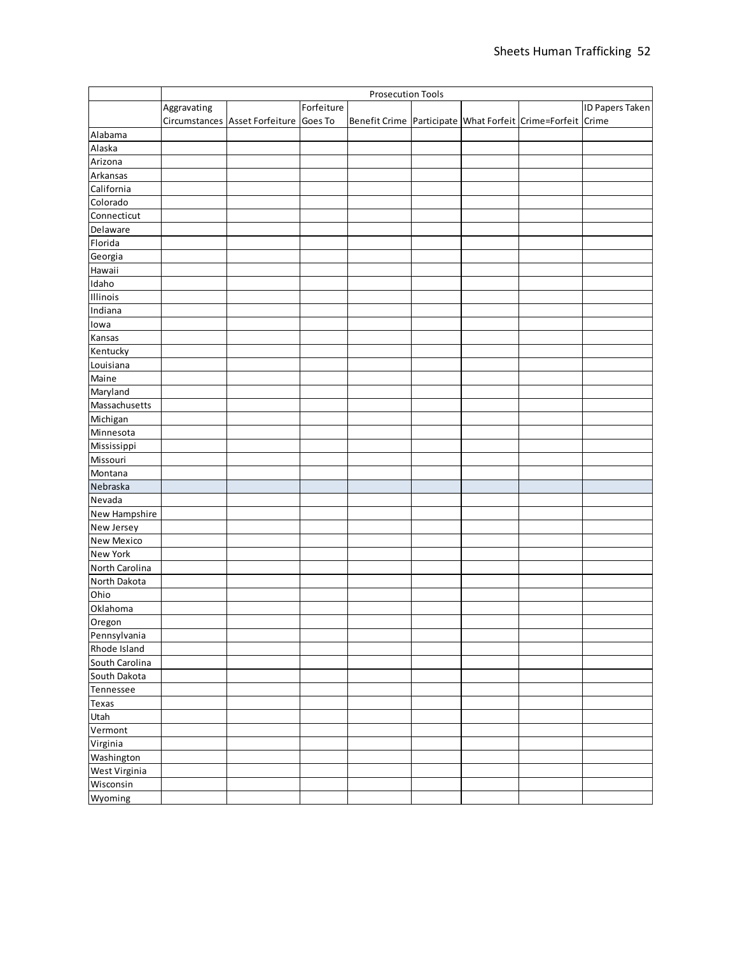|                 | <b>Prosecution Tools</b> |                                        |            |                                                            |  |  |                        |
|-----------------|--------------------------|----------------------------------------|------------|------------------------------------------------------------|--|--|------------------------|
|                 | Aggravating              |                                        | Forfeiture |                                                            |  |  | <b>ID Papers Taken</b> |
|                 |                          | Circumstances Asset Forfeiture Goes To |            | Benefit Crime Participate What Forfeit Crime=Forfeit Crime |  |  |                        |
| Alabama         |                          |                                        |            |                                                            |  |  |                        |
| Alaska          |                          |                                        |            |                                                            |  |  |                        |
| Arizona         |                          |                                        |            |                                                            |  |  |                        |
| Arkansas        |                          |                                        |            |                                                            |  |  |                        |
| California      |                          |                                        |            |                                                            |  |  |                        |
| Colorado        |                          |                                        |            |                                                            |  |  |                        |
| Connecticut     |                          |                                        |            |                                                            |  |  |                        |
| Delaware        |                          |                                        |            |                                                            |  |  |                        |
| Florida         |                          |                                        |            |                                                            |  |  |                        |
| Georgia         |                          |                                        |            |                                                            |  |  |                        |
| Hawaii          |                          |                                        |            |                                                            |  |  |                        |
| Idaho           |                          |                                        |            |                                                            |  |  |                        |
| Illinois        |                          |                                        |            |                                                            |  |  |                        |
| Indiana         |                          |                                        |            |                                                            |  |  |                        |
| lowa            |                          |                                        |            |                                                            |  |  |                        |
| Kansas          |                          |                                        |            |                                                            |  |  |                        |
| Kentucky        |                          |                                        |            |                                                            |  |  |                        |
| Louisiana       |                          |                                        |            |                                                            |  |  |                        |
| Maine           |                          |                                        |            |                                                            |  |  |                        |
| Maryland        |                          |                                        |            |                                                            |  |  |                        |
| Massachusetts   |                          |                                        |            |                                                            |  |  |                        |
| Michigan        |                          |                                        |            |                                                            |  |  |                        |
| Minnesota       |                          |                                        |            |                                                            |  |  |                        |
| Mississippi     |                          |                                        |            |                                                            |  |  |                        |
| Missouri        |                          |                                        |            |                                                            |  |  |                        |
| Montana         |                          |                                        |            |                                                            |  |  |                        |
| Nebraska        |                          |                                        |            |                                                            |  |  |                        |
| Nevada          |                          |                                        |            |                                                            |  |  |                        |
| New Hampshire   |                          |                                        |            |                                                            |  |  |                        |
| New Jersey      |                          |                                        |            |                                                            |  |  |                        |
| New Mexico      |                          |                                        |            |                                                            |  |  |                        |
| <b>New York</b> |                          |                                        |            |                                                            |  |  |                        |
| North Carolina  |                          |                                        |            |                                                            |  |  |                        |
| North Dakota    |                          |                                        |            |                                                            |  |  |                        |
| Ohio            |                          |                                        |            |                                                            |  |  |                        |
|                 |                          |                                        |            |                                                            |  |  |                        |
| Oklahoma        |                          |                                        |            |                                                            |  |  |                        |
| Oregon          |                          |                                        |            |                                                            |  |  |                        |
| Pennsylvania    |                          |                                        |            |                                                            |  |  |                        |
| Rhode Island    |                          |                                        |            |                                                            |  |  |                        |
| South Carolina  |                          |                                        |            |                                                            |  |  |                        |
| South Dakota    |                          |                                        |            |                                                            |  |  |                        |
| Tennessee       |                          |                                        |            |                                                            |  |  |                        |
| Texas           |                          |                                        |            |                                                            |  |  |                        |
| Utah            |                          |                                        |            |                                                            |  |  |                        |
| Vermont         |                          |                                        |            |                                                            |  |  |                        |
| Virginia        |                          |                                        |            |                                                            |  |  |                        |
| Washington      |                          |                                        |            |                                                            |  |  |                        |
| West Virginia   |                          |                                        |            |                                                            |  |  |                        |
| Wisconsin       |                          |                                        |            |                                                            |  |  |                        |
| Wyoming         |                          |                                        |            |                                                            |  |  |                        |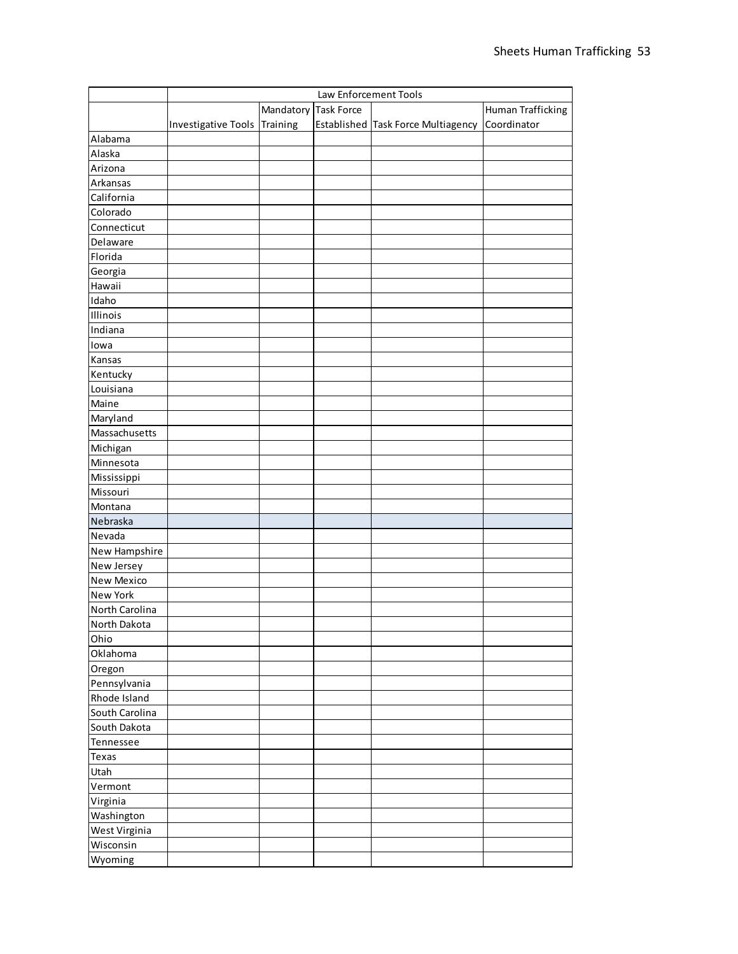|                 | Law Enforcement Tools        |                      |  |                                    |                   |
|-----------------|------------------------------|----------------------|--|------------------------------------|-------------------|
|                 |                              | Mandatory Task Force |  |                                    | Human Trafficking |
|                 | Investigative Tools Training |                      |  | Established Task Force Multiagency | Coordinator       |
| Alabama         |                              |                      |  |                                    |                   |
| Alaska          |                              |                      |  |                                    |                   |
| Arizona         |                              |                      |  |                                    |                   |
| Arkansas        |                              |                      |  |                                    |                   |
| California      |                              |                      |  |                                    |                   |
| Colorado        |                              |                      |  |                                    |                   |
| Connecticut     |                              |                      |  |                                    |                   |
| Delaware        |                              |                      |  |                                    |                   |
| Florida         |                              |                      |  |                                    |                   |
| Georgia         |                              |                      |  |                                    |                   |
| Hawaii          |                              |                      |  |                                    |                   |
| Idaho           |                              |                      |  |                                    |                   |
| Illinois        |                              |                      |  |                                    |                   |
| Indiana         |                              |                      |  |                                    |                   |
| lowa            |                              |                      |  |                                    |                   |
| Kansas          |                              |                      |  |                                    |                   |
| Kentucky        |                              |                      |  |                                    |                   |
| Louisiana       |                              |                      |  |                                    |                   |
| Maine           |                              |                      |  |                                    |                   |
| Maryland        |                              |                      |  |                                    |                   |
| Massachusetts   |                              |                      |  |                                    |                   |
| Michigan        |                              |                      |  |                                    |                   |
| Minnesota       |                              |                      |  |                                    |                   |
| Mississippi     |                              |                      |  |                                    |                   |
| Missouri        |                              |                      |  |                                    |                   |
| Montana         |                              |                      |  |                                    |                   |
| Nebraska        |                              |                      |  |                                    |                   |
| Nevada          |                              |                      |  |                                    |                   |
| New Hampshire   |                              |                      |  |                                    |                   |
| New Jersey      |                              |                      |  |                                    |                   |
| New Mexico      |                              |                      |  |                                    |                   |
| <b>New York</b> |                              |                      |  |                                    |                   |
| North Carolina  |                              |                      |  |                                    |                   |
| North Dakota    |                              |                      |  |                                    |                   |
| Ohio            |                              |                      |  |                                    |                   |
| Oklahoma        |                              |                      |  |                                    |                   |
| Oregon          |                              |                      |  |                                    |                   |
| Pennsylvania    |                              |                      |  |                                    |                   |
| Rhode Island    |                              |                      |  |                                    |                   |
| South Carolina  |                              |                      |  |                                    |                   |
| South Dakota    |                              |                      |  |                                    |                   |
| Tennessee       |                              |                      |  |                                    |                   |
| Texas           |                              |                      |  |                                    |                   |
| Utah            |                              |                      |  |                                    |                   |
| Vermont         |                              |                      |  |                                    |                   |
| Virginia        |                              |                      |  |                                    |                   |
| Washington      |                              |                      |  |                                    |                   |
| West Virginia   |                              |                      |  |                                    |                   |
| Wisconsin       |                              |                      |  |                                    |                   |
| Wyoming         |                              |                      |  |                                    |                   |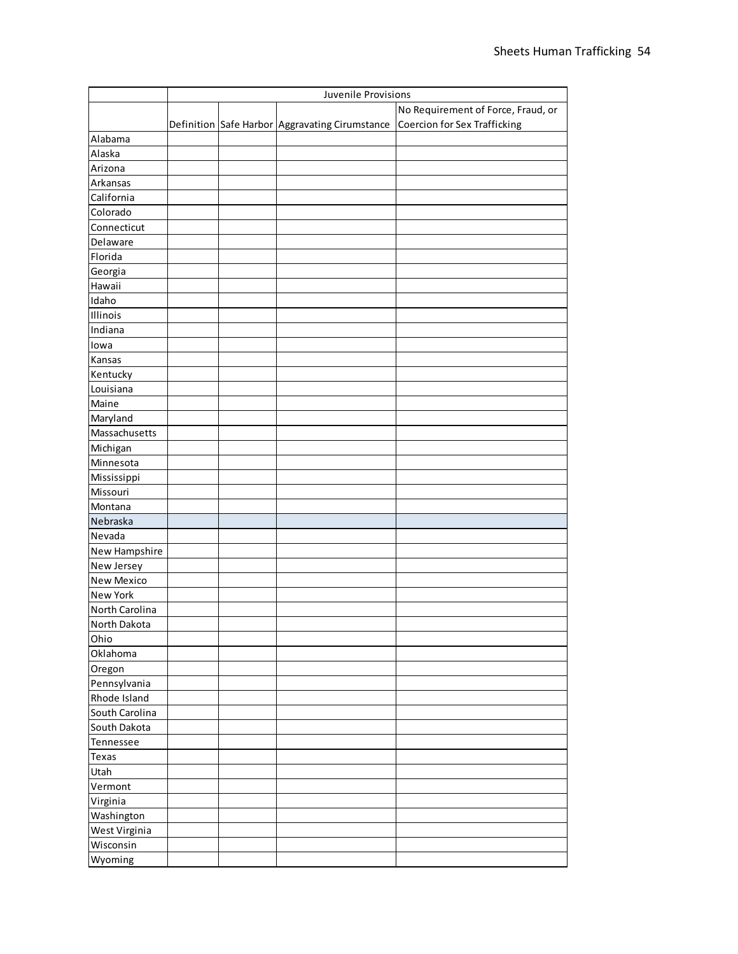|                   | Juvenile Provisions |  |                                                |                                    |
|-------------------|---------------------|--|------------------------------------------------|------------------------------------|
|                   |                     |  |                                                | No Requirement of Force, Fraud, or |
|                   |                     |  | Definition Safe Harbor Aggravating Cirumstance | Coercion for Sex Trafficking       |
| Alabama           |                     |  |                                                |                                    |
| Alaska            |                     |  |                                                |                                    |
| Arizona           |                     |  |                                                |                                    |
| Arkansas          |                     |  |                                                |                                    |
| California        |                     |  |                                                |                                    |
| Colorado          |                     |  |                                                |                                    |
| Connecticut       |                     |  |                                                |                                    |
| Delaware          |                     |  |                                                |                                    |
| Florida           |                     |  |                                                |                                    |
| Georgia           |                     |  |                                                |                                    |
| Hawaii            |                     |  |                                                |                                    |
| Idaho             |                     |  |                                                |                                    |
| Illinois          |                     |  |                                                |                                    |
| Indiana           |                     |  |                                                |                                    |
| lowa              |                     |  |                                                |                                    |
| Kansas            |                     |  |                                                |                                    |
| Kentucky          |                     |  |                                                |                                    |
| Louisiana         |                     |  |                                                |                                    |
| Maine             |                     |  |                                                |                                    |
| Maryland          |                     |  |                                                |                                    |
| Massachusetts     |                     |  |                                                |                                    |
| Michigan          |                     |  |                                                |                                    |
| Minnesota         |                     |  |                                                |                                    |
| Mississippi       |                     |  |                                                |                                    |
| Missouri          |                     |  |                                                |                                    |
| Montana           |                     |  |                                                |                                    |
| Nebraska          |                     |  |                                                |                                    |
| Nevada            |                     |  |                                                |                                    |
| New Hampshire     |                     |  |                                                |                                    |
| New Jersey        |                     |  |                                                |                                    |
| <b>New Mexico</b> |                     |  |                                                |                                    |
| <b>New York</b>   |                     |  |                                                |                                    |
| North Carolina    |                     |  |                                                |                                    |
| North Dakota      |                     |  |                                                |                                    |
| Ohio              |                     |  |                                                |                                    |
| Oklahoma          |                     |  |                                                |                                    |
| Oregon            |                     |  |                                                |                                    |
| Pennsylvania      |                     |  |                                                |                                    |
| Rhode Island      |                     |  |                                                |                                    |
| South Carolina    |                     |  |                                                |                                    |
| South Dakota      |                     |  |                                                |                                    |
|                   |                     |  |                                                |                                    |
| Tennessee         |                     |  |                                                |                                    |
| Texas             |                     |  |                                                |                                    |
| Utah              |                     |  |                                                |                                    |
| Vermont           |                     |  |                                                |                                    |
| Virginia          |                     |  |                                                |                                    |
| Washington        |                     |  |                                                |                                    |
| West Virginia     |                     |  |                                                |                                    |
| Wisconsin         |                     |  |                                                |                                    |
| Wyoming           |                     |  |                                                |                                    |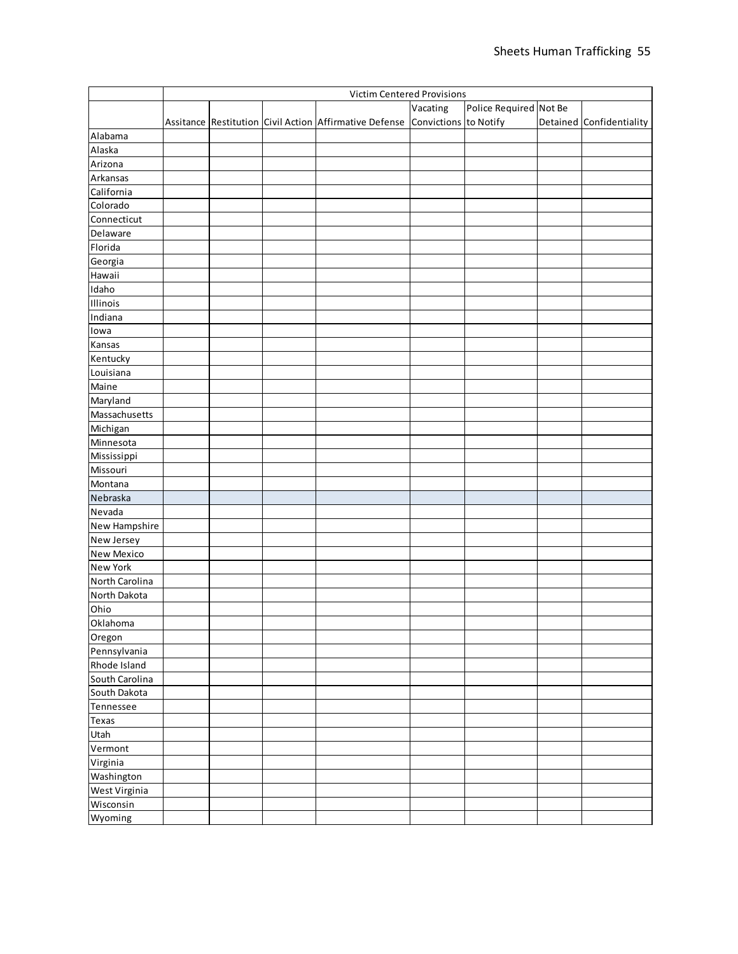|                 | <b>Victim Centered Provisions</b> |  |  |                                                                              |          |                        |                          |
|-----------------|-----------------------------------|--|--|------------------------------------------------------------------------------|----------|------------------------|--------------------------|
|                 |                                   |  |  |                                                                              | Vacating | Police Required Not Be |                          |
|                 |                                   |  |  | Assitance Restitution Civil Action Affirmative Defense Convictions to Notify |          |                        | Detained Confidentiality |
| Alabama         |                                   |  |  |                                                                              |          |                        |                          |
| Alaska          |                                   |  |  |                                                                              |          |                        |                          |
| Arizona         |                                   |  |  |                                                                              |          |                        |                          |
| Arkansas        |                                   |  |  |                                                                              |          |                        |                          |
| California      |                                   |  |  |                                                                              |          |                        |                          |
| Colorado        |                                   |  |  |                                                                              |          |                        |                          |
| Connecticut     |                                   |  |  |                                                                              |          |                        |                          |
| Delaware        |                                   |  |  |                                                                              |          |                        |                          |
| Florida         |                                   |  |  |                                                                              |          |                        |                          |
| Georgia         |                                   |  |  |                                                                              |          |                        |                          |
| Hawaii          |                                   |  |  |                                                                              |          |                        |                          |
| Idaho           |                                   |  |  |                                                                              |          |                        |                          |
| Illinois        |                                   |  |  |                                                                              |          |                        |                          |
| Indiana         |                                   |  |  |                                                                              |          |                        |                          |
| lowa            |                                   |  |  |                                                                              |          |                        |                          |
|                 |                                   |  |  |                                                                              |          |                        |                          |
| Kansas          |                                   |  |  |                                                                              |          |                        |                          |
| Kentucky        |                                   |  |  |                                                                              |          |                        |                          |
| Louisiana       |                                   |  |  |                                                                              |          |                        |                          |
| Maine           |                                   |  |  |                                                                              |          |                        |                          |
| Maryland        |                                   |  |  |                                                                              |          |                        |                          |
| Massachusetts   |                                   |  |  |                                                                              |          |                        |                          |
| Michigan        |                                   |  |  |                                                                              |          |                        |                          |
| Minnesota       |                                   |  |  |                                                                              |          |                        |                          |
| Mississippi     |                                   |  |  |                                                                              |          |                        |                          |
| Missouri        |                                   |  |  |                                                                              |          |                        |                          |
| Montana         |                                   |  |  |                                                                              |          |                        |                          |
| Nebraska        |                                   |  |  |                                                                              |          |                        |                          |
| Nevada          |                                   |  |  |                                                                              |          |                        |                          |
| New Hampshire   |                                   |  |  |                                                                              |          |                        |                          |
| New Jersey      |                                   |  |  |                                                                              |          |                        |                          |
| New Mexico      |                                   |  |  |                                                                              |          |                        |                          |
| <b>New York</b> |                                   |  |  |                                                                              |          |                        |                          |
| North Carolina  |                                   |  |  |                                                                              |          |                        |                          |
| North Dakota    |                                   |  |  |                                                                              |          |                        |                          |
| Ohio            |                                   |  |  |                                                                              |          |                        |                          |
| Oklahoma        |                                   |  |  |                                                                              |          |                        |                          |
| Oregon          |                                   |  |  |                                                                              |          |                        |                          |
| Pennsylvania    |                                   |  |  |                                                                              |          |                        |                          |
| Rhode Island    |                                   |  |  |                                                                              |          |                        |                          |
| South Carolina  |                                   |  |  |                                                                              |          |                        |                          |
| South Dakota    |                                   |  |  |                                                                              |          |                        |                          |
| Tennessee       |                                   |  |  |                                                                              |          |                        |                          |
| Texas           |                                   |  |  |                                                                              |          |                        |                          |
| Utah            |                                   |  |  |                                                                              |          |                        |                          |
| Vermont         |                                   |  |  |                                                                              |          |                        |                          |
| Virginia        |                                   |  |  |                                                                              |          |                        |                          |
| Washington      |                                   |  |  |                                                                              |          |                        |                          |
| West Virginia   |                                   |  |  |                                                                              |          |                        |                          |
| Wisconsin       |                                   |  |  |                                                                              |          |                        |                          |
| Wyoming         |                                   |  |  |                                                                              |          |                        |                          |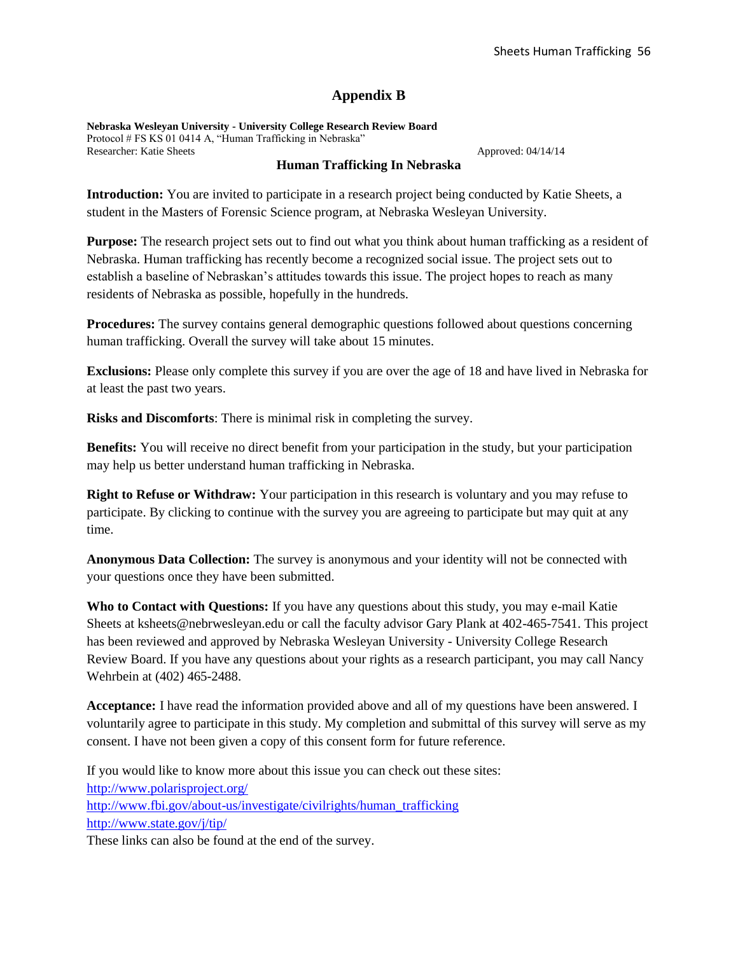### **Appendix B**

**Nebraska Wesleyan University - University College Research Review Board** Protocol # FS KS 01 0414 A, "Human Trafficking in Nebraska" Researcher: Katie Sheets Approved: 04/14/14

#### **Human Trafficking In Nebraska**

**Introduction:** You are invited to participate in a research project being conducted by Katie Sheets, a student in the Masters of Forensic Science program, at Nebraska Wesleyan University.

**Purpose:** The research project sets out to find out what you think about human trafficking as a resident of Nebraska. Human trafficking has recently become a recognized social issue. The project sets out to establish a baseline of Nebraskan's attitudes towards this issue. The project hopes to reach as many residents of Nebraska as possible, hopefully in the hundreds.

**Procedures:** The survey contains general demographic questions followed about questions concerning human trafficking. Overall the survey will take about 15 minutes.

**Exclusions:** Please only complete this survey if you are over the age of 18 and have lived in Nebraska for at least the past two years.

**Risks and Discomforts**: There is minimal risk in completing the survey.

**Benefits:** You will receive no direct benefit from your participation in the study, but your participation may help us better understand human trafficking in Nebraska.

**Right to Refuse or Withdraw:** Your participation in this research is voluntary and you may refuse to participate. By clicking to continue with the survey you are agreeing to participate but may quit at any time.

**Anonymous Data Collection:** The survey is anonymous and your identity will not be connected with your questions once they have been submitted.

**Who to Contact with Questions:** If you have any questions about this study, you may e-mail Katie Sheets at ksheets@nebrwesleyan.edu or call the faculty advisor Gary Plank at 402-465-7541. This project has been reviewed and approved by Nebraska Wesleyan University - University College Research Review Board. If you have any questions about your rights as a research participant, you may call Nancy Wehrbein at (402) 465-2488.

**Acceptance:** I have read the information provided above and all of my questions have been answered. I voluntarily agree to participate in this study. My completion and submittal of this survey will serve as my consent. I have not been given a copy of this consent form for future reference.

If you would like to know more about this issue you can check out these sites: <http://www.polarisproject.org/> [http://www.fbi.gov/about-us/investigate/civilrights/human\\_trafficking](http://www.fbi.gov/about-us/investigate/civilrights/human_trafficking) <http://www.state.gov/j/tip/>

These links can also be found at the end of the survey.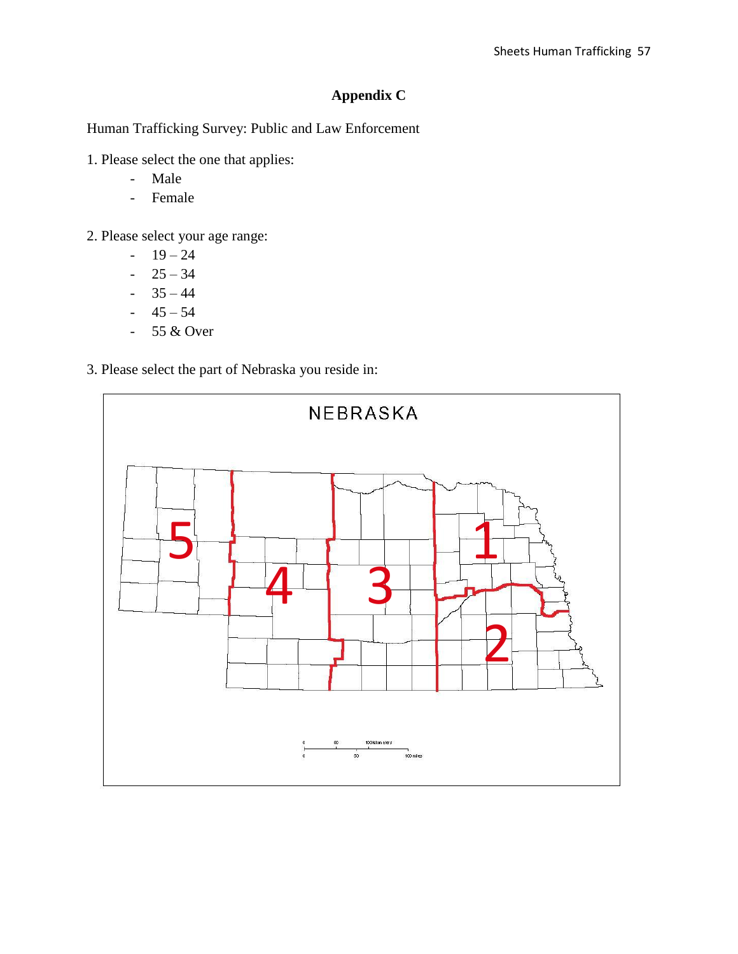## **Appendix C**

Human Trafficking Survey: Public and Law Enforcement

- 1. Please select the one that applies:
	- Male
	- Female
- 2. Please select your age range:
	- $19 24$
	- $-25 34$
	- $-35 44$
	- $-45 54$
	- 55 & Over
- 3. Please select the part of Nebraska you reside in:

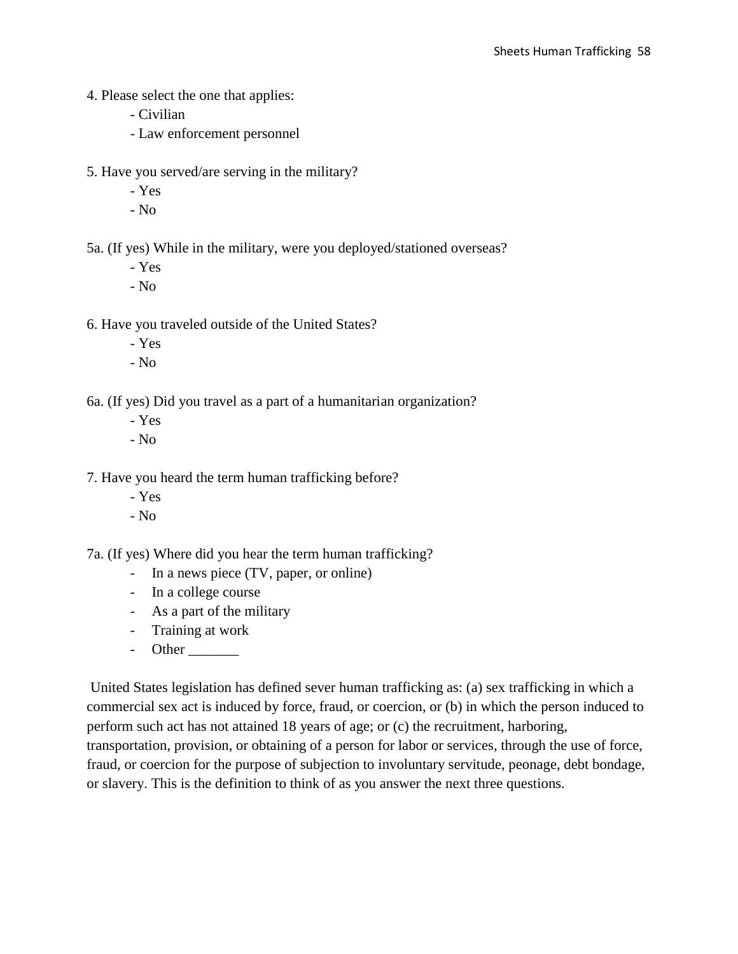- 4. Please select the one that applies:
	- Civilian
	- Law enforcement personnel
- 5. Have you served/are serving in the military?
	- Yes
	- No

5a. (If yes) While in the military, were you deployed/stationed overseas?

- Yes
- No

6. Have you traveled outside of the United States?

- Yes
- No

6a. (If yes) Did you travel as a part of a humanitarian organization?

- Yes
- No

7. Have you heard the term human trafficking before?

- Yes
- No

7a. (If yes) Where did you hear the term human trafficking?

- In a news piece (TV, paper, or online)
- In a college course
- As a part of the military
- Training at work
- Other

United States legislation has defined sever human trafficking as: (a) sex trafficking in which a commercial sex act is induced by force, fraud, or coercion, or (b) in which the person induced to perform such act has not attained 18 years of age; or (c) the recruitment, harboring, transportation, provision, or obtaining of a person for labor or services, through the use of force, fraud, or coercion for the purpose of subjection to involuntary servitude, peonage, debt bondage, or slavery. This is the definition to think of as you answer the next three questions.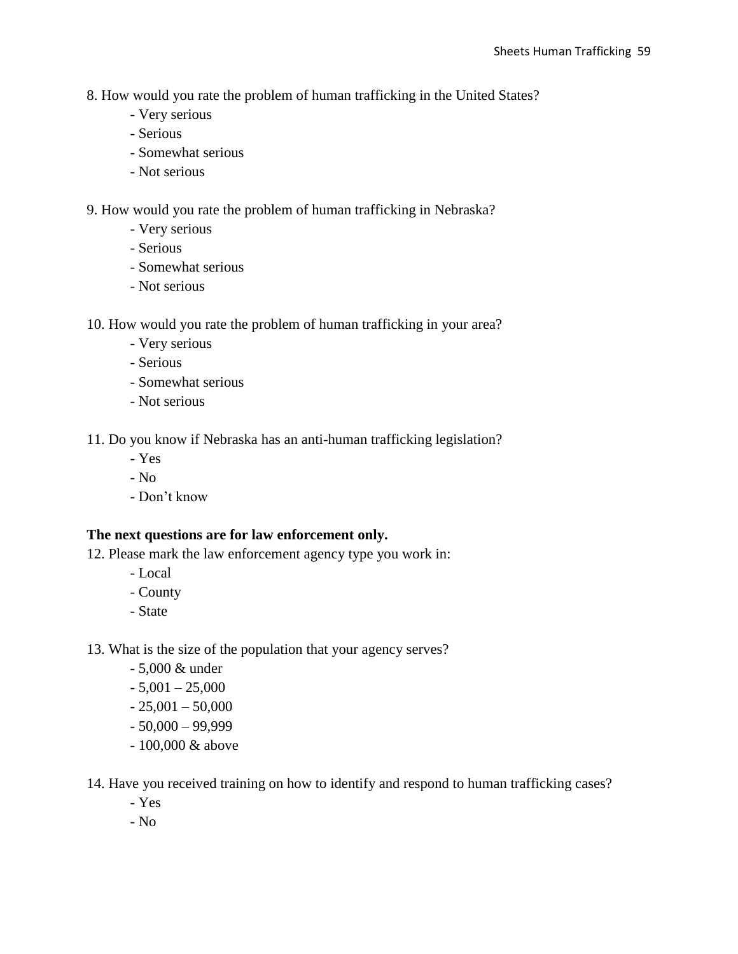- 8. How would you rate the problem of human trafficking in the United States?
	- Very serious
	- Serious
	- Somewhat serious
	- Not serious

9. How would you rate the problem of human trafficking in Nebraska?

- Very serious
- Serious
- Somewhat serious
- Not serious
- 10. How would you rate the problem of human trafficking in your area?
	- Very serious
	- Serious
	- Somewhat serious
	- Not serious

11. Do you know if Nebraska has an anti-human trafficking legislation?

- Yes
- No
- Don't know

#### **The next questions are for law enforcement only.**

12. Please mark the law enforcement agency type you work in:

- Local
- County
- State

13. What is the size of the population that your agency serves?

- 5,000 & under
- $-5,001 25,000$
- $-25,001 50,000$
- $-50,000 99,999$
- 100,000 & above

14. Have you received training on how to identify and respond to human trafficking cases?

- Yes
- No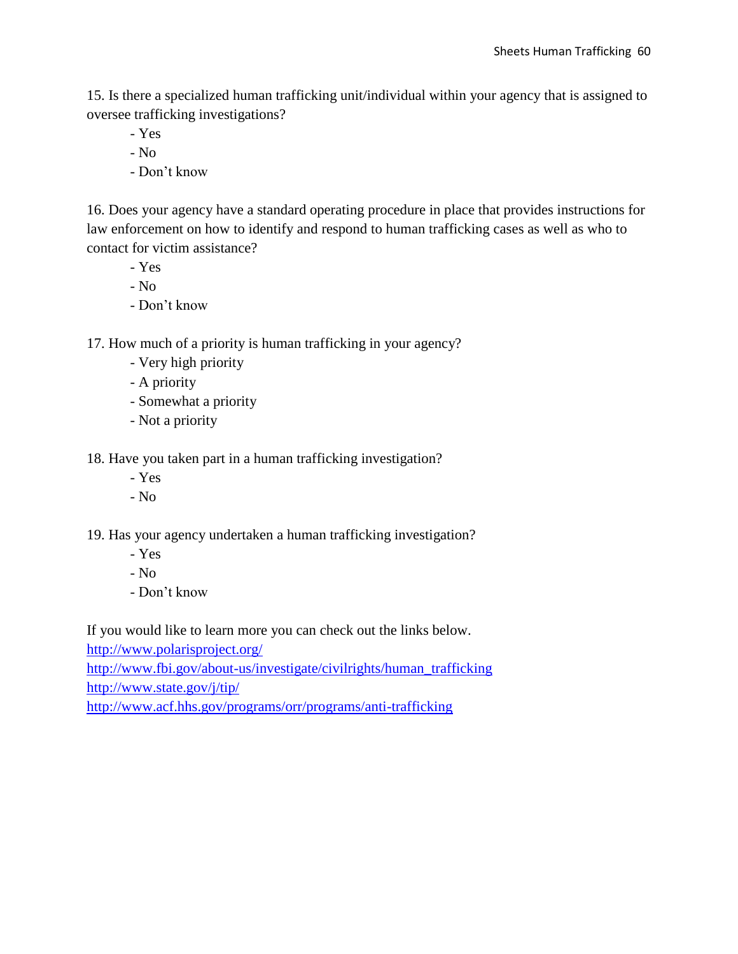15. Is there a specialized human trafficking unit/individual within your agency that is assigned to oversee trafficking investigations?

- Yes
- No
- Don't know

16. Does your agency have a standard operating procedure in place that provides instructions for law enforcement on how to identify and respond to human trafficking cases as well as who to contact for victim assistance?

- Yes
- No
- Don't know

17. How much of a priority is human trafficking in your agency?

- Very high priority
- A priority
- Somewhat a priority
- Not a priority

18. Have you taken part in a human trafficking investigation?

- Yes
- No

19. Has your agency undertaken a human trafficking investigation?

- Yes
- No
- Don't know

If you would like to learn more you can check out the links below.

<http://www.polarisproject.org/>

[http://www.fbi.gov/about-us/investigate/civilrights/human\\_trafficking](http://www.fbi.gov/about-us/investigate/civilrights/human_trafficking) <http://www.state.gov/j/tip/>

<http://www.acf.hhs.gov/programs/orr/programs/anti-trafficking>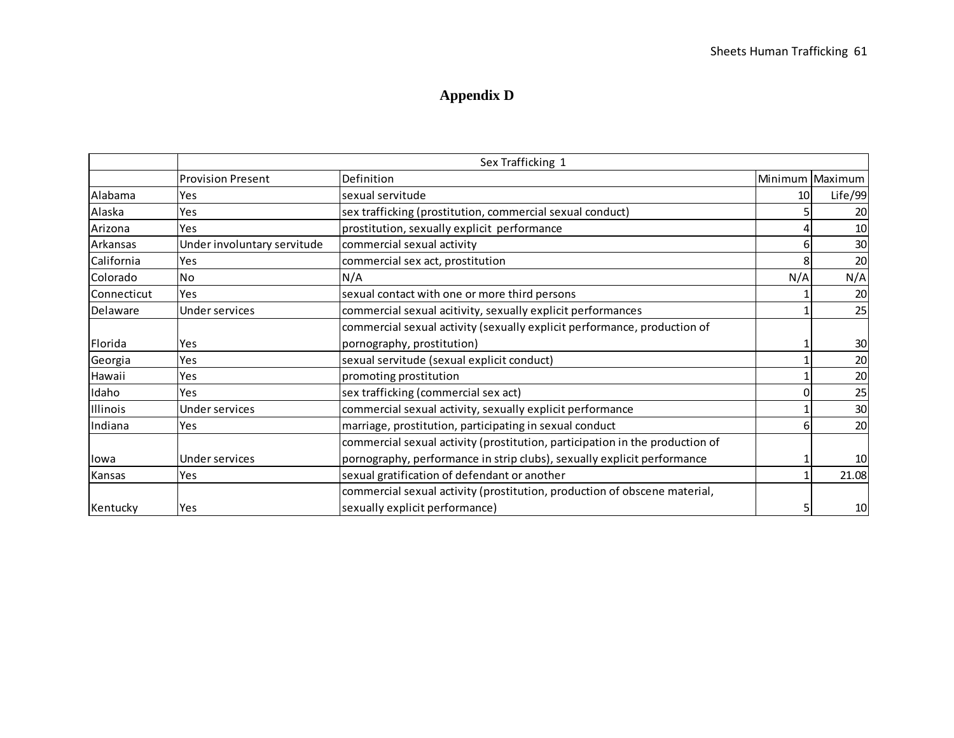# **Appendix D**

|             |                             | Sex Trafficking 1                                                            |     |                   |
|-------------|-----------------------------|------------------------------------------------------------------------------|-----|-------------------|
|             | <b>Provision Present</b>    | Definition                                                                   |     | Minimum   Maximum |
| Alabama     | Yes                         | sexual servitude                                                             | 10  | Life/99           |
| Alaska      | Yes                         | sex trafficking (prostitution, commercial sexual conduct)                    |     | 20                |
| Arizona     | Yes                         | prostitution, sexually explicit performance                                  |     | 10                |
| Arkansas    | Under involuntary servitude | commercial sexual activity                                                   |     | 30                |
| California  | Yes                         | commercial sex act, prostitution                                             |     | 20                |
| Colorado    | No                          | N/A                                                                          | N/A | N/A               |
| Connecticut | Yes                         | sexual contact with one or more third persons                                |     | 20                |
| Delaware    | Under services              | commercial sexual acitivity, sexually explicit performances                  |     | 25                |
|             |                             | commercial sexual activity (sexually explicit performance, production of     |     |                   |
| Florida     | Yes                         | pornography, prostitution)                                                   |     | 30                |
| Georgia     | Yes                         | sexual servitude (sexual explicit conduct)                                   |     | 20                |
| Hawaii      | Yes                         | promoting prostitution                                                       |     | 20                |
| Idaho       | Yes                         | sex trafficking (commercial sex act)                                         |     | 25                |
| Illinois    | Under services              | commercial sexual activity, sexually explicit performance                    |     | 30                |
| Indiana     | Yes                         | marriage, prostitution, participating in sexual conduct                      |     | 20                |
|             |                             | commercial sexual activity (prostitution, participation in the production of |     |                   |
| Ilowa       | Under services              | pornography, performance in strip clubs), sexually explicit performance      |     | 10                |
| Kansas      | Yes                         | sexual gratification of defendant or another                                 |     | 21.08             |
|             |                             | commercial sexual activity (prostitution, production of obscene material,    |     |                   |
| Kentucky    | Yes                         | sexually explicit performance)                                               |     | 10                |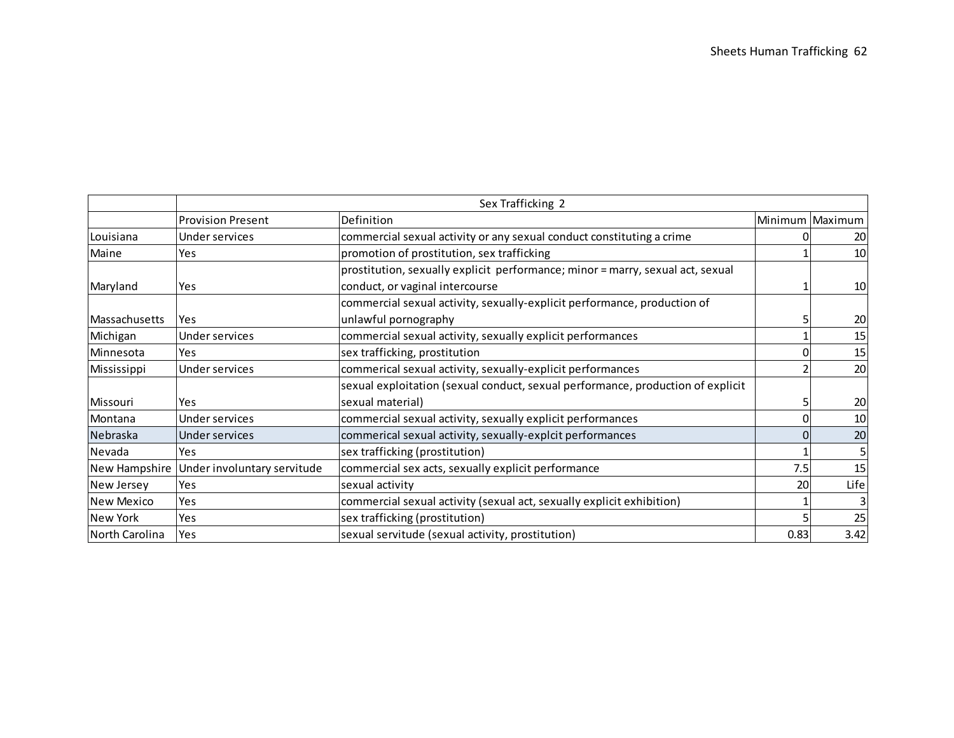|                |                             | Sex Trafficking 2                                                               |      |                 |
|----------------|-----------------------------|---------------------------------------------------------------------------------|------|-----------------|
|                | <b>Provision Present</b>    | Definition                                                                      |      | Minimum Maximum |
| Louisiana      | Under services              | commercial sexual activity or any sexual conduct constituting a crime           |      | 20              |
| Maine          | Yes                         | promotion of prostitution, sex trafficking                                      |      | 10              |
|                |                             | prostitution, sexually explicit performance; minor = marry, sexual act, sexual  |      |                 |
| Maryland       | Yes                         | conduct, or vaginal intercourse                                                 |      | 10              |
|                |                             | commercial sexual activity, sexually-explicit performance, production of        |      |                 |
| Massachusetts  | Yes                         | unlawful pornography                                                            |      | 20              |
| Michigan       | Under services              | commercial sexual activity, sexually explicit performances                      |      | 15              |
| Minnesota      | Yes                         | sex trafficking, prostitution                                                   |      | 15              |
| Mississippi    | Under services              | commerical sexual activity, sexually-explicit performances                      |      | 20              |
|                |                             | sexual exploitation (sexual conduct, sexual performance, production of explicit |      |                 |
| Missouri       | <b>Yes</b>                  | sexual material)                                                                |      | 20              |
| Montana        | Under services              | commercial sexual activity, sexually explicit performances                      |      | 10              |
| Nebraska       | Under services              | commerical sexual activity, sexually-explcit performances                       |      | 20              |
| Nevada         | <b>Yes</b>                  | sex trafficking (prostitution)                                                  |      | 5               |
| New Hampshire  | Under involuntary servitude | commercial sex acts, sexually explicit performance                              | 7.5  | 15              |
| New Jersey     | <b>Yes</b>                  | sexual activity                                                                 | 20   | Life            |
| New Mexico     | Yes                         | commercial sexual activity (sexual act, sexually explicit exhibition)           |      | 3               |
| New York       | <b>Yes</b>                  | sex trafficking (prostitution)                                                  |      | 25              |
| North Carolina | Yes                         | sexual servitude (sexual activity, prostitution)                                | 0.83 | 3.42            |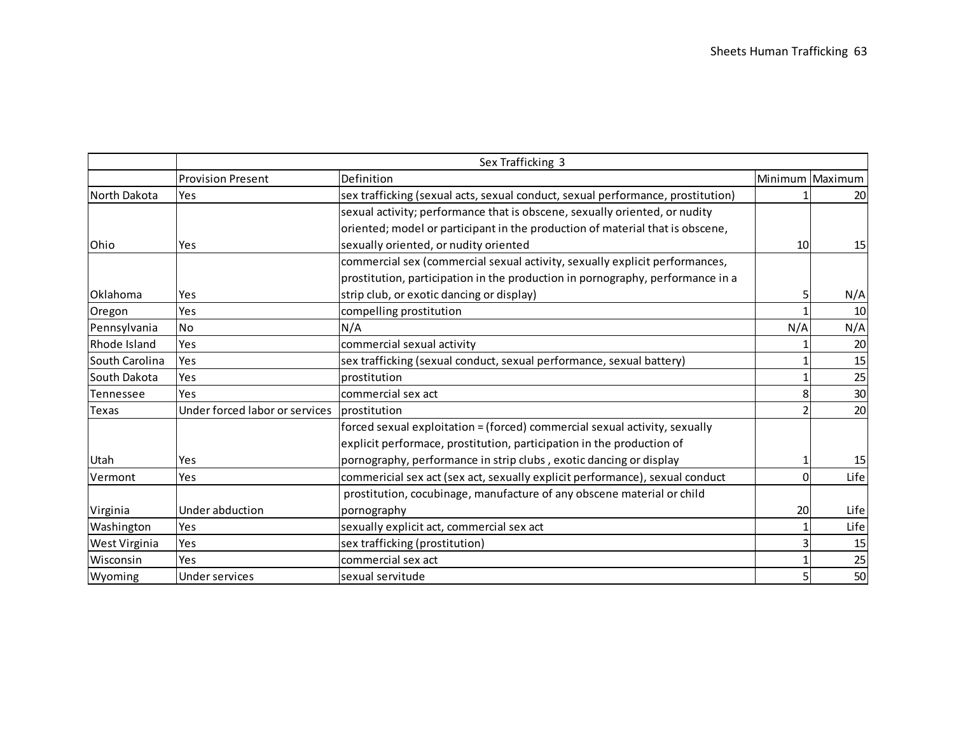|                 |                                             | Sex Trafficking 3                                                               |                 |                 |
|-----------------|---------------------------------------------|---------------------------------------------------------------------------------|-----------------|-----------------|
|                 | <b>Provision Present</b>                    | Definition                                                                      |                 | Minimum Maximum |
| North Dakota    | Yes                                         | sex trafficking (sexual acts, sexual conduct, sexual performance, prostitution) |                 | 20              |
|                 |                                             | sexual activity; performance that is obscene, sexually oriented, or nudity      |                 |                 |
|                 |                                             | oriented; model or participant in the production of material that is obscene,   |                 |                 |
| <b>Ohio</b>     | Yes                                         | sexually oriented, or nudity oriented                                           | 10 <sup>1</sup> | 15              |
|                 |                                             | commercial sex (commercial sexual activity, sexually explicit performances,     |                 |                 |
|                 |                                             | prostitution, participation in the production in pornography, performance in a  |                 |                 |
| <b>Oklahoma</b> | Yes                                         | strip club, or exotic dancing or display)                                       | 5               | N/A             |
| Oregon          | Yes                                         | compelling prostitution                                                         |                 | 10              |
| Pennsylvania    | <b>No</b>                                   | N/A                                                                             | N/A             | N/A             |
| Rhode Island    | Yes                                         | commercial sexual activity                                                      |                 | 20              |
| South Carolina  | Yes                                         | sex trafficking (sexual conduct, sexual performance, sexual battery)            |                 | 15              |
| South Dakota    | Yes                                         | prostitution                                                                    |                 | 25              |
| Tennessee       | Yes                                         | commercial sex act                                                              | 8               | 30              |
| <b>Texas</b>    | Under forced labor or services prostitution |                                                                                 |                 | 20              |
|                 |                                             | forced sexual exploitation = (forced) commercial sexual activity, sexually      |                 |                 |
|                 |                                             | explicit performace, prostitution, participation in the production of           |                 |                 |
| Utah            | Yes                                         | pornography, performance in strip clubs, exotic dancing or display              |                 | 15              |
| Vermont         | Yes                                         | commericial sex act (sex act, sexually explicit performance), sexual conduct    | $\Omega$        | Life            |
|                 |                                             | prostitution, cocubinage, manufacture of any obscene material or child          |                 |                 |
| Virginia        | Under abduction                             | pornography                                                                     | 20              | Life            |
| Washington      | Yes                                         | sexually explicit act, commercial sex act                                       |                 | Life            |
| West Virginia   | Yes                                         | sex trafficking (prostitution)                                                  |                 | 15              |
| Wisconsin       | Yes                                         | commercial sex act                                                              |                 | 25              |
| Wyoming         | Under services                              | sexual servitude                                                                |                 | 50              |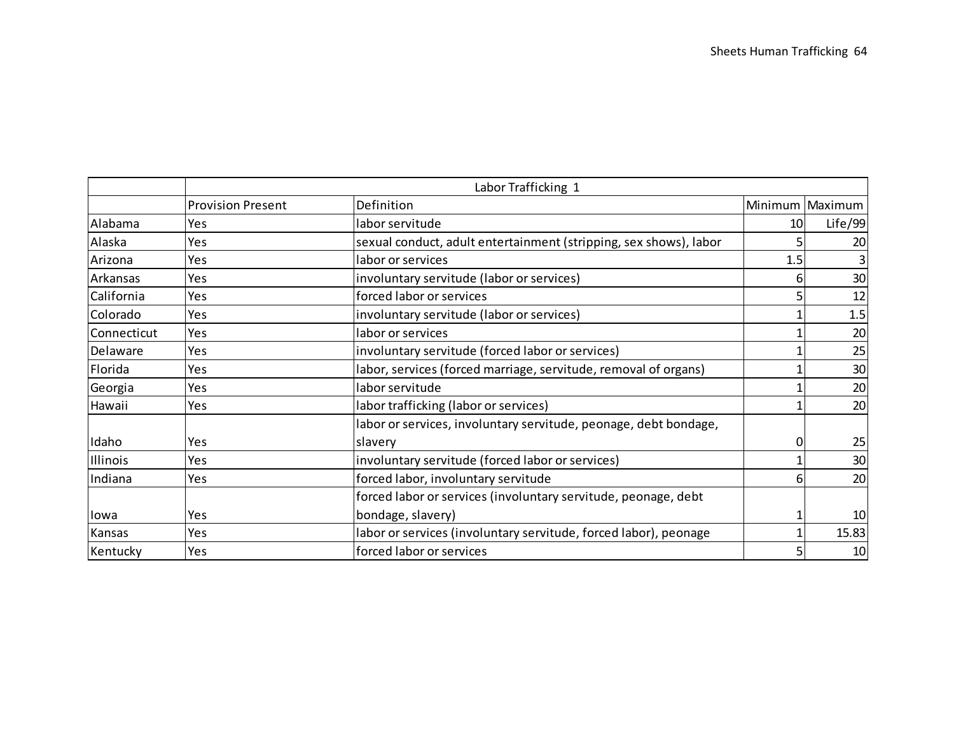|             |                          | Labor Trafficking 1                                               |     |                 |
|-------------|--------------------------|-------------------------------------------------------------------|-----|-----------------|
|             | <b>Provision Present</b> | Definition                                                        |     | Minimum Maximum |
| Alabama     | Yes                      | labor servitude                                                   | 10I | Life/99         |
| Alaska      | Yes                      | sexual conduct, adult entertainment (stripping, sex shows), labor |     | 20              |
| Arizona     | Yes                      | labor or services                                                 | 1.5 | 3               |
| Arkansas    | Yes                      | involuntary servitude (labor or services)                         | 6   | 30              |
| California  | Yes                      | forced labor or services                                          |     | 12              |
| Colorado    | Yes                      | involuntary servitude (labor or services)                         |     | 1.5             |
| Connecticut | Yes                      | labor or services                                                 |     | 20              |
| Delaware    | Yes                      | involuntary servitude (forced labor or services)                  |     | 25              |
| Florida     | Yes                      | labor, services (forced marriage, servitude, removal of organs)   |     | 30              |
| Georgia     | Yes                      | labor servitude                                                   |     | 20              |
| Hawaii      | Yes                      | labor trafficking (labor or services)                             |     | 20              |
|             |                          | labor or services, involuntary servitude, peonage, debt bondage,  |     |                 |
| Idaho       | Yes                      | slavery                                                           | 0   | 25              |
| Illinois    | Yes                      | involuntary servitude (forced labor or services)                  |     | 30              |
| Indiana     | Yes                      | forced labor, involuntary servitude                               | 61  | 20              |
|             |                          | forced labor or services (involuntary servitude, peonage, debt    |     |                 |
| lowa        | Yes                      | bondage, slavery)                                                 |     | 10              |
| Kansas      | Yes                      | labor or services (involuntary servitude, forced labor), peonage  |     | 15.83           |
| Kentucky    | Yes                      | forced labor or services                                          |     | 10              |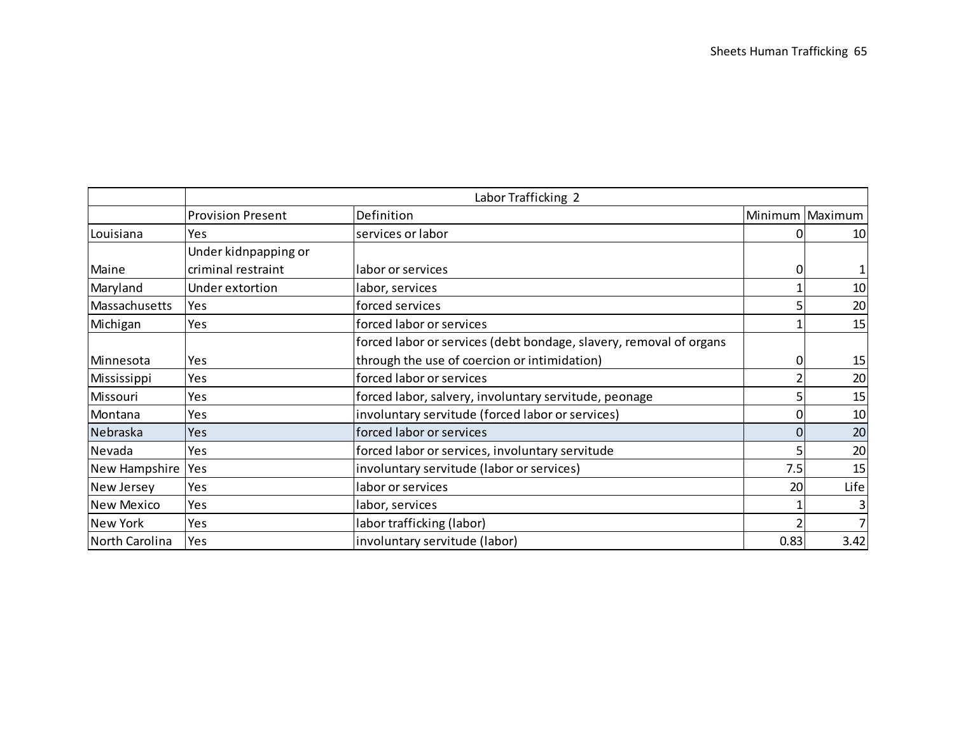|                   |                          | Labor Trafficking 2                                                |          |                 |
|-------------------|--------------------------|--------------------------------------------------------------------|----------|-----------------|
|                   | <b>Provision Present</b> | Definition                                                         |          | Minimum Maximum |
| Louisiana         | Yes                      | services or labor                                                  |          | 10              |
|                   | Under kidnpapping or     |                                                                    |          |                 |
| Maine             | criminal restraint       | labor or services                                                  | $\Omega$ |                 |
| Maryland          | Under extortion          | labor, services                                                    |          | 10              |
| Massachusetts     | Yes                      | forced services                                                    |          | 20              |
| Michigan          | Yes                      | forced labor or services                                           |          | 15              |
|                   |                          | forced labor or services (debt bondage, slavery, removal of organs |          |                 |
| Minnesota         | Yes                      | through the use of coercion or intimidation)                       | 01       | 15              |
| Mississippi       | Yes                      | forced labor or services                                           |          | 20              |
| Missouri          | Yes                      | forced labor, salvery, involuntary servitude, peonage              |          | 15              |
| Montana           | Yes                      | involuntary servitude (forced labor or services)                   | $\Omega$ | 10              |
| Nebraska          | Yes                      | forced labor or services                                           | $\Omega$ | 20              |
| Nevada            | Yes                      | forced labor or services, involuntary servitude                    |          | 20              |
| New Hampshire     | Yes                      | involuntary servitude (labor or services)                          | 7.5      | 15              |
| New Jersey        | Yes                      | labor or services                                                  | 20       | Life            |
| <b>New Mexico</b> | Yes                      | labor, services                                                    |          | 3               |
| <b>New York</b>   | Yes                      | labor trafficking (labor)                                          |          | 7               |
| North Carolina    | Yes                      | involuntary servitude (labor)                                      | 0.83     | 3.42            |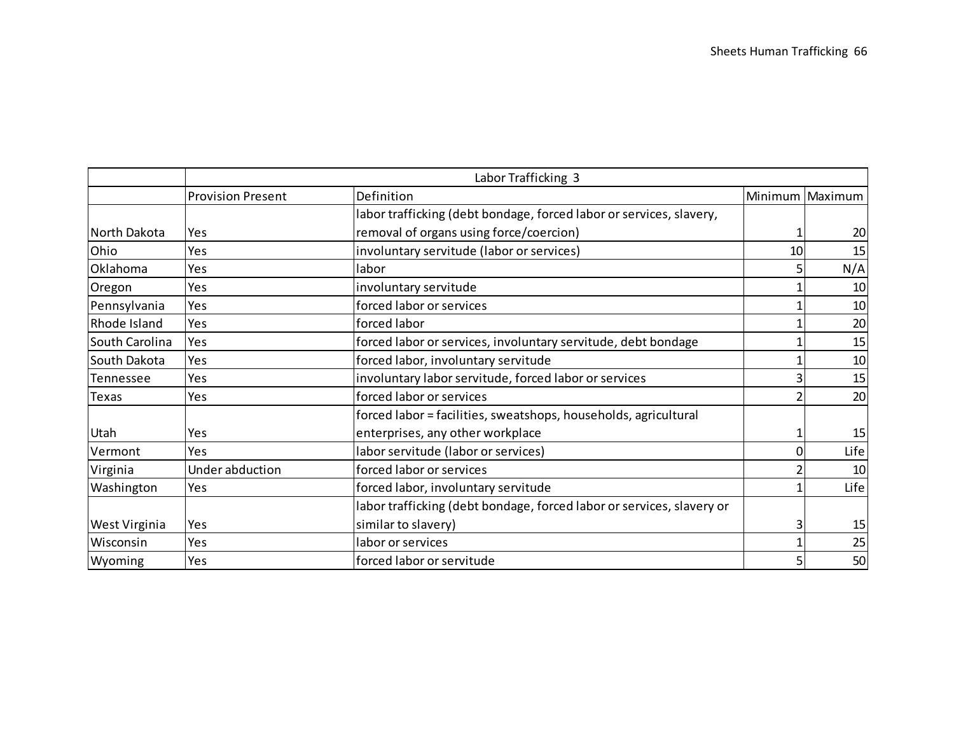|                  |                          | Labor Trafficking 3                                                   |    |                 |
|------------------|--------------------------|-----------------------------------------------------------------------|----|-----------------|
|                  | <b>Provision Present</b> | Definition                                                            |    | Minimum Maximum |
|                  |                          | labor trafficking (debt bondage, forced labor or services, slavery,   |    |                 |
| North Dakota     | Yes                      | removal of organs using force/coercion)                               |    | 20              |
| Ohio             | Yes                      | involuntary servitude (labor or services)                             | 10 | 15              |
| Oklahoma         | Yes                      | labor                                                                 |    | N/A             |
| Oregon           | Yes                      | involuntary servitude                                                 |    | 10              |
| Pennsylvania     | Yes                      | forced labor or services                                              |    | 10              |
| Rhode Island     | Yes                      | forced labor                                                          |    | 20              |
| South Carolina   | Yes                      | forced labor or services, involuntary servitude, debt bondage         |    | 15              |
| South Dakota     | Yes                      | forced labor, involuntary servitude                                   |    | 10              |
| <b>Tennessee</b> | Yes                      | involuntary labor servitude, forced labor or services                 |    | 15              |
| Texas            | Yes                      | forced labor or services                                              |    | 20              |
|                  |                          | forced labor = facilities, sweatshops, households, agricultural       |    |                 |
| Utah             | Yes                      | enterprises, any other workplace                                      |    | 15              |
| Vermont          | Yes                      | labor servitude (labor or services)                                   | 0  | Life            |
| Virginia         | Under abduction          | forced labor or services                                              |    | 10              |
| Washington       | Yes                      | forced labor, involuntary servitude                                   |    | Life            |
|                  |                          | labor trafficking (debt bondage, forced labor or services, slavery or |    |                 |
| West Virginia    | Yes                      | similar to slavery)                                                   | 3  | 15              |
| Wisconsin        | Yes                      | labor or services                                                     |    | 25              |
| Wyoming          | Yes                      | forced labor or servitude                                             | 5  | 50              |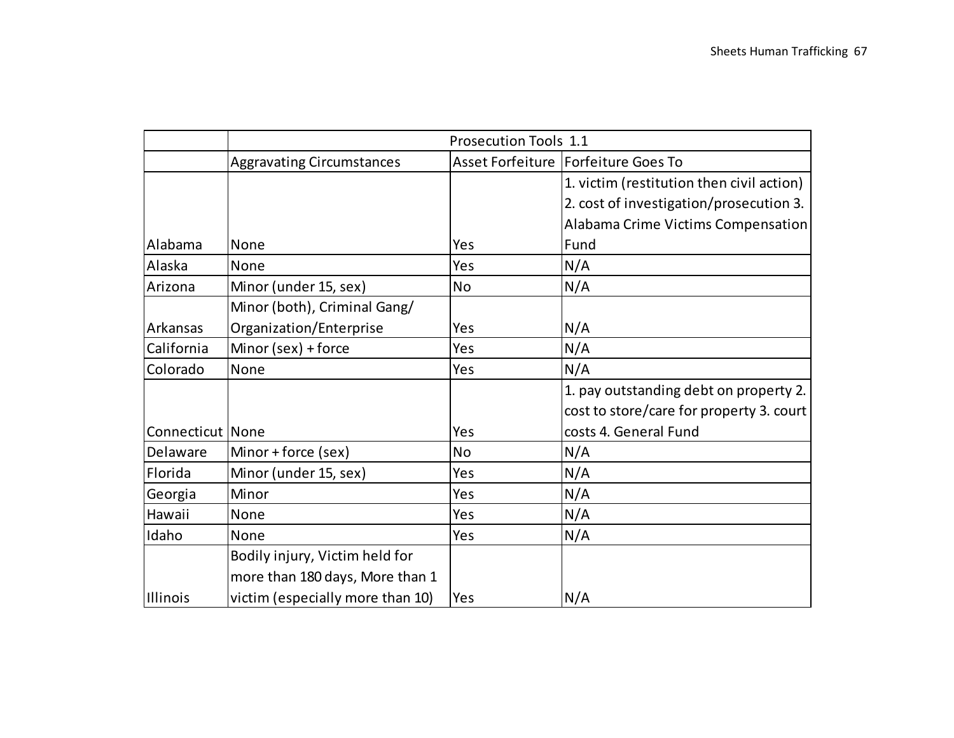|                  | <b>Prosecution Tools 1.1</b>     |     |                                           |  |
|------------------|----------------------------------|-----|-------------------------------------------|--|
|                  | <b>Aggravating Circumstances</b> |     | Asset Forfeiture   Forfeiture Goes To     |  |
|                  |                                  |     | 1. victim (restitution then civil action) |  |
|                  |                                  |     | 2. cost of investigation/prosecution 3.   |  |
|                  |                                  |     | Alabama Crime Victims Compensation        |  |
| Alabama          | None                             | Yes | Fund                                      |  |
| Alaska           | None                             | Yes | N/A                                       |  |
| Arizona          | Minor (under 15, sex)            | No  | N/A                                       |  |
|                  | Minor (both), Criminal Gang/     |     |                                           |  |
| Arkansas         | Organization/Enterprise          | Yes | N/A                                       |  |
| California       | Minor (sex) + force              | Yes | N/A                                       |  |
| Colorado         | None                             | Yes | N/A                                       |  |
|                  |                                  |     | 1. pay outstanding debt on property 2.    |  |
|                  |                                  |     | cost to store/care for property 3. court  |  |
| Connecticut None |                                  | Yes | costs 4. General Fund                     |  |
| Delaware         | Minor + force (sex)              | No  | N/A                                       |  |
| Florida          | Minor (under 15, sex)            | Yes | N/A                                       |  |
| Georgia          | Minor                            | Yes | N/A                                       |  |
| Hawaii           | None                             | Yes | N/A                                       |  |
| Idaho            | None                             | Yes | N/A                                       |  |
|                  | Bodily injury, Victim held for   |     |                                           |  |
|                  | more than 180 days, More than 1  |     |                                           |  |
| Illinois         | victim (especially more than 10) | Yes | N/A                                       |  |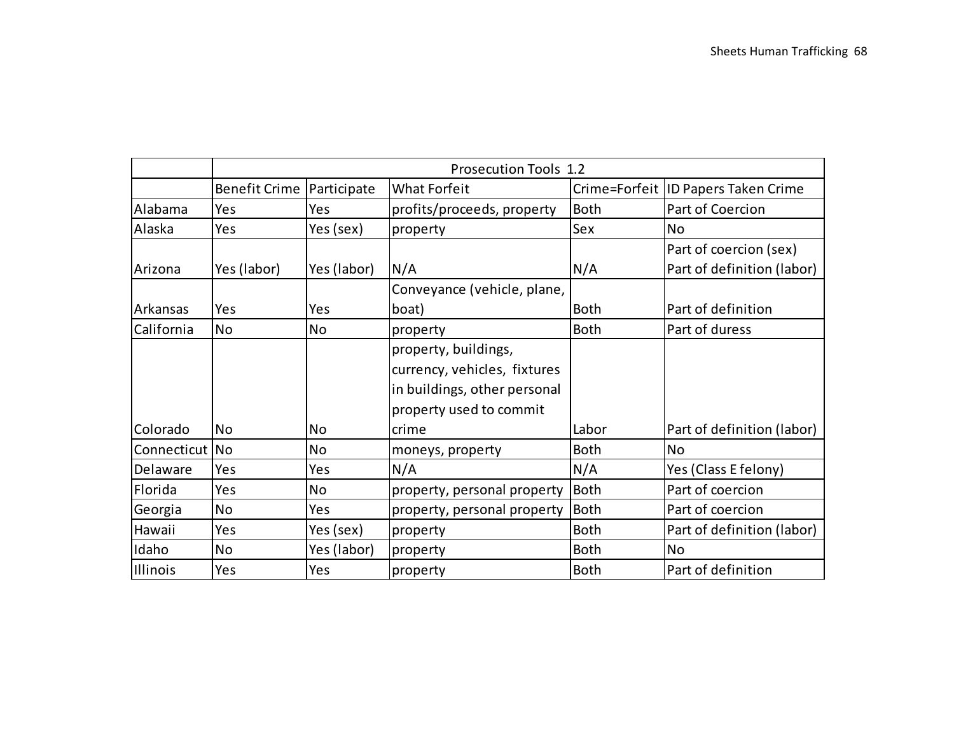|                | <b>Prosecution Tools 1.2</b>     |             |                                                                                                                 |             |                                                      |
|----------------|----------------------------------|-------------|-----------------------------------------------------------------------------------------------------------------|-------------|------------------------------------------------------|
|                | <b>Benefit Crime Participate</b> |             | <b>What Forfeit</b>                                                                                             |             | Crime=Forfeit ID Papers Taken Crime                  |
| Alabama        | Yes                              | Yes         | profits/proceeds, property                                                                                      | <b>Both</b> | Part of Coercion                                     |
| Alaska         | Yes                              | Yes (sex)   | property                                                                                                        | Sex         | <b>No</b>                                            |
| Arizona        | Yes (labor)                      | Yes (labor) | N/A                                                                                                             | N/A         | Part of coercion (sex)<br>Part of definition (labor) |
| Arkansas       | Yes                              | Yes         | Conveyance (vehicle, plane,<br>boat)                                                                            | <b>Both</b> | Part of definition                                   |
| California     | <b>No</b>                        | No          | property                                                                                                        | <b>Both</b> | Part of duress                                       |
|                |                                  |             | property, buildings,<br>currency, vehicles, fixtures<br>in buildings, other personal<br>property used to commit |             |                                                      |
| Colorado       | <b>No</b>                        | No          | crime                                                                                                           | Labor       | Part of definition (labor)                           |
| Connecticut No |                                  | <b>No</b>   | moneys, property                                                                                                | <b>Both</b> | <b>No</b>                                            |
| Delaware       | Yes                              | Yes         | N/A                                                                                                             | N/A         | Yes (Class E felony)                                 |
| Florida        | Yes                              | No          | property, personal property                                                                                     | Both        | Part of coercion                                     |
| Georgia        | <b>No</b>                        | Yes         | property, personal property                                                                                     | <b>Both</b> | Part of coercion                                     |
| Hawaii         | Yes                              | Yes (sex)   | property                                                                                                        | <b>Both</b> | Part of definition (labor)                           |
| Idaho          | No                               | Yes (labor) | property                                                                                                        | <b>Both</b> | <b>No</b>                                            |
| Illinois       | Yes                              | Yes         | property                                                                                                        | <b>Both</b> | Part of definition                                   |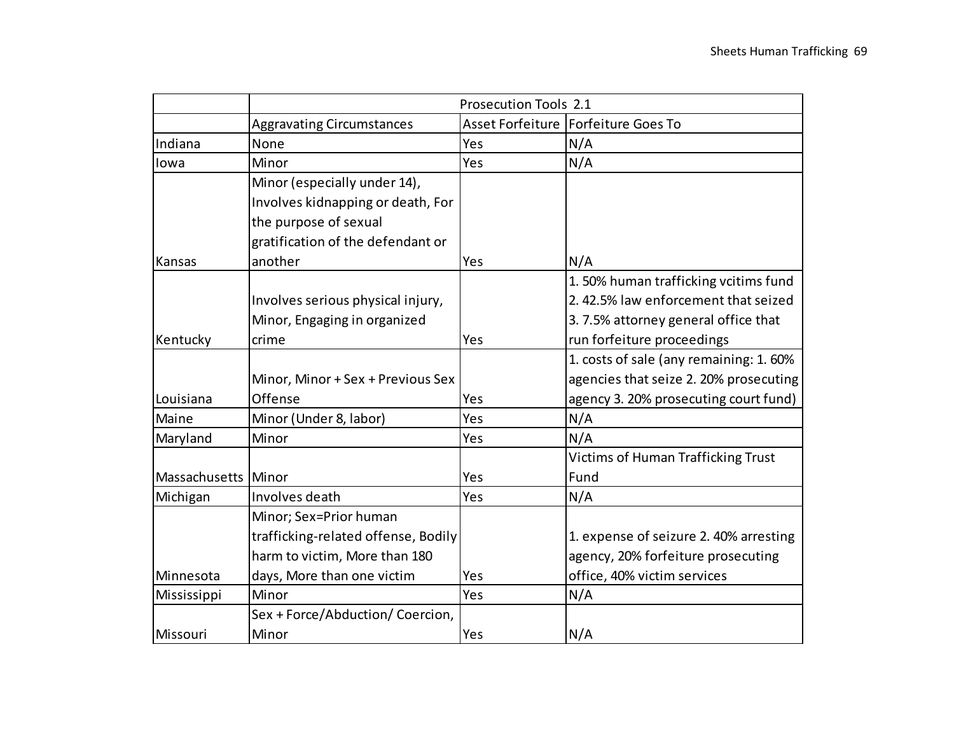|                     | Prosecution Tools 2.1               |     |                                        |  |
|---------------------|-------------------------------------|-----|----------------------------------------|--|
|                     | <b>Aggravating Circumstances</b>    |     | Asset Forfeiture   Forfeiture Goes To  |  |
| Indiana             | None                                | Yes | N/A                                    |  |
| lowa                | Minor                               | Yes | N/A                                    |  |
|                     | Minor (especially under 14),        |     |                                        |  |
|                     | Involves kidnapping or death, For   |     |                                        |  |
|                     | the purpose of sexual               |     |                                        |  |
|                     | gratification of the defendant or   |     |                                        |  |
| Kansas              | another                             | Yes | N/A                                    |  |
|                     |                                     |     | 1.50% human trafficking vcitims fund   |  |
|                     | Involves serious physical injury,   |     | 2.42.5% law enforcement that seized    |  |
|                     | Minor, Engaging in organized        |     | 3.7.5% attorney general office that    |  |
| Kentucky            | crime                               | Yes | run forfeiture proceedings             |  |
|                     |                                     |     | 1. costs of sale (any remaining: 1.60% |  |
|                     | Minor, Minor + Sex + Previous Sex   |     | agencies that seize 2. 20% prosecuting |  |
| Louisiana           | Offense                             | Yes | agency 3. 20% prosecuting court fund)  |  |
| Maine               | Minor (Under 8, labor)              | Yes | N/A                                    |  |
| Maryland            | Minor                               | Yes | N/A                                    |  |
|                     |                                     |     | Victims of Human Trafficking Trust     |  |
| Massachusetts Minor |                                     | Yes | Fund                                   |  |
| Michigan            | Involves death                      | Yes | N/A                                    |  |
|                     | Minor; Sex=Prior human              |     |                                        |  |
|                     | trafficking-related offense, Bodily |     | 1. expense of seizure 2. 40% arresting |  |
|                     | harm to victim, More than 180       |     | agency, 20% forfeiture prosecuting     |  |
| Minnesota           | days, More than one victim          | Yes | office, 40% victim services            |  |
| Mississippi         | Minor                               | Yes | N/A                                    |  |
|                     | Sex + Force/Abduction/ Coercion,    |     |                                        |  |
| Missouri            | Minor                               | Yes | N/A                                    |  |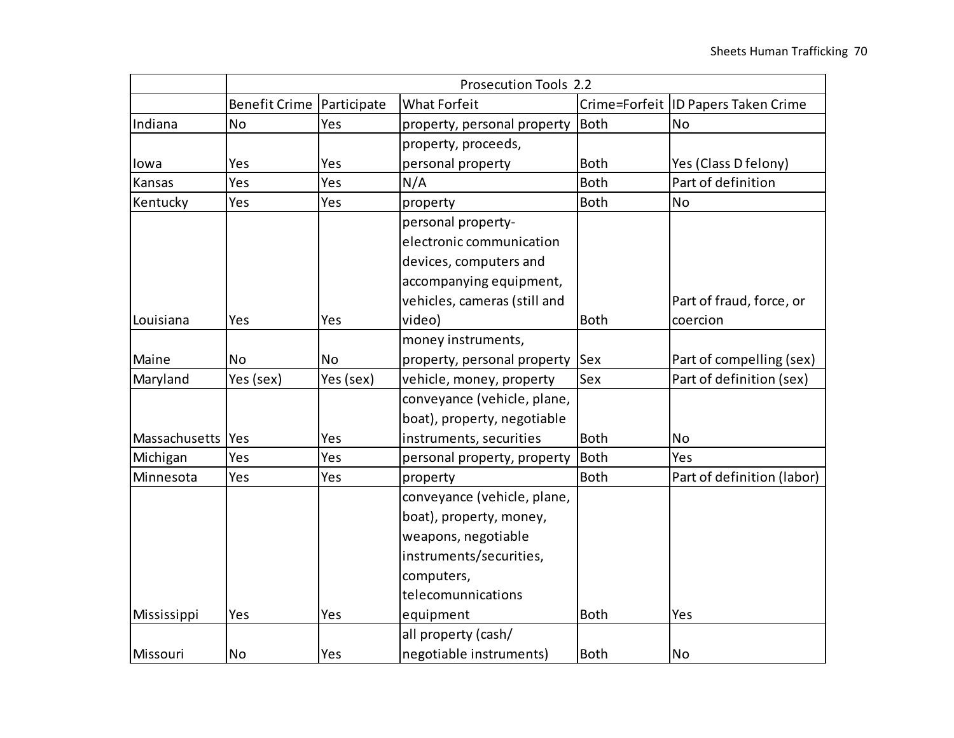|                          | Prosecution Tools 2.2 |             |                                                                                                                                                                       |                            |                                       |
|--------------------------|-----------------------|-------------|-----------------------------------------------------------------------------------------------------------------------------------------------------------------------|----------------------------|---------------------------------------|
|                          | <b>Benefit Crime</b>  | Participate | <b>What Forfeit</b>                                                                                                                                                   |                            | Crime=Forfeit   ID Papers Taken Crime |
| Indiana                  | No                    | Yes         | property, personal property                                                                                                                                           | <b>Both</b>                | <b>No</b>                             |
|                          |                       |             | property, proceeds,                                                                                                                                                   |                            |                                       |
| lowa                     | Yes                   | Yes         | personal property                                                                                                                                                     | <b>Both</b>                | Yes (Class D felony)                  |
| Kansas                   | Yes                   | Yes         | N/A                                                                                                                                                                   | <b>Both</b>                | Part of definition                    |
| Kentucky                 | Yes                   | Yes         | property                                                                                                                                                              | <b>Both</b>                | <b>No</b>                             |
| Louisiana                | Yes                   | Yes         | personal property-<br>electronic communication<br>devices, computers and<br>accompanying equipment,<br>vehicles, cameras (still and<br>video)                         | <b>Both</b>                | Part of fraud, force, or<br>coercion  |
|                          |                       |             | money instruments,                                                                                                                                                    |                            |                                       |
| Maine                    | <b>No</b>             | <b>No</b>   | property, personal property                                                                                                                                           | <b>Sex</b>                 | Part of compelling (sex)              |
| Maryland                 | Yes (sex)             | Yes (sex)   | vehicle, money, property                                                                                                                                              | Sex                        | Part of definition (sex)              |
|                          |                       |             | conveyance (vehicle, plane,<br>boat), property, negotiable                                                                                                            |                            |                                       |
| Massachusetts Yes        |                       | Yes         | instruments, securities                                                                                                                                               | <b>Both</b>                | <b>No</b>                             |
| Michigan                 | Yes                   | Yes         | personal property, property                                                                                                                                           | <b>Both</b>                | Yes                                   |
| Minnesota<br>Mississippi | Yes<br>Yes            | Yes<br>Yes  | property<br>conveyance (vehicle, plane,<br>boat), property, money,<br>weapons, negotiable<br>instruments/securities,<br>computers,<br>telecomunnications<br>equipment | <b>Both</b><br><b>Both</b> | Part of definition (labor)<br>Yes     |
|                          |                       |             | all property (cash/                                                                                                                                                   |                            |                                       |
| Missouri                 | No                    | Yes         | negotiable instruments)                                                                                                                                               | <b>Both</b>                | No                                    |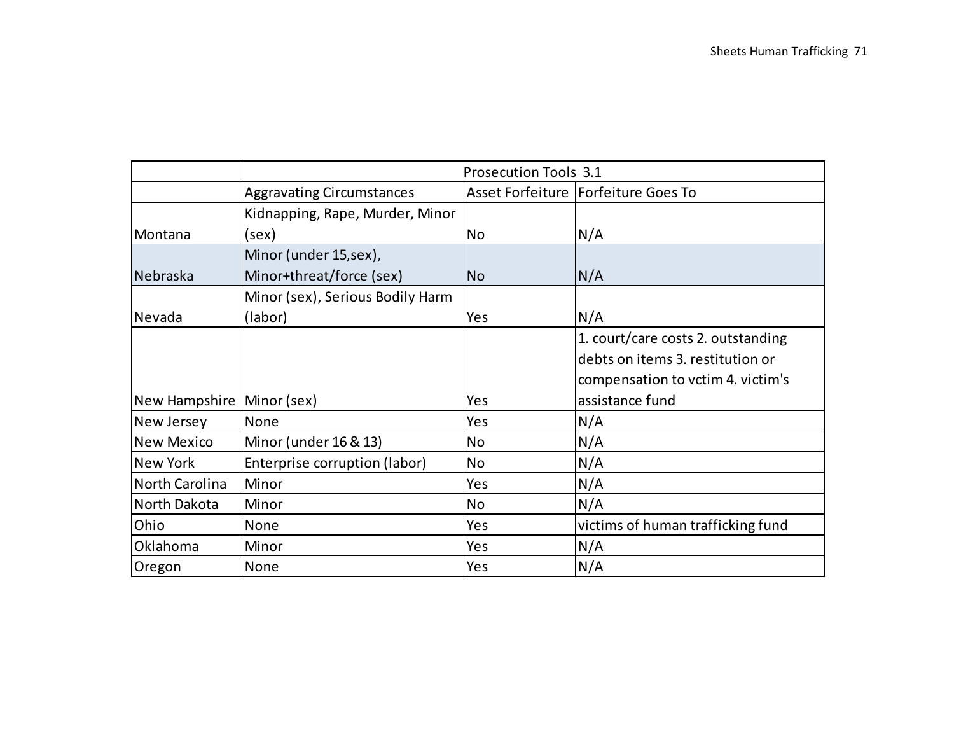|                             | <b>Prosecution Tools 3.1</b>     |           |                                       |  |
|-----------------------------|----------------------------------|-----------|---------------------------------------|--|
|                             | <b>Aggravating Circumstances</b> |           | Asset Forfeiture   Forfeiture Goes To |  |
|                             | Kidnapping, Rape, Murder, Minor  |           |                                       |  |
| Montana                     | (sex)                            | <b>No</b> | N/A                                   |  |
|                             | Minor (under 15,sex),            |           |                                       |  |
| Nebraska                    | Minor+threat/force (sex)         | <b>No</b> | N/A                                   |  |
|                             | Minor (sex), Serious Bodily Harm |           |                                       |  |
| Nevada                      | (labor)                          | Yes       | N/A                                   |  |
|                             |                                  |           | 1. court/care costs 2. outstanding    |  |
|                             |                                  |           | debts on items 3. restitution or      |  |
|                             |                                  |           | compensation to vctim 4. victim's     |  |
| New Hampshire   Minor (sex) |                                  | Yes       | assistance fund                       |  |
| New Jersey                  | <b>None</b>                      | Yes       | N/A                                   |  |
| <b>New Mexico</b>           | Minor (under 16 & 13)            | <b>No</b> | N/A                                   |  |
| <b>New York</b>             | Enterprise corruption (labor)    | <b>No</b> | N/A                                   |  |
| North Carolina              | Minor                            | Yes       | N/A                                   |  |
| North Dakota                | Minor                            | <b>No</b> | N/A                                   |  |
| Ohio                        | None                             | Yes       | victims of human trafficking fund     |  |
| Oklahoma                    | Minor                            | Yes       | N/A                                   |  |
| Oregon                      | None                             | Yes       | N/A                                   |  |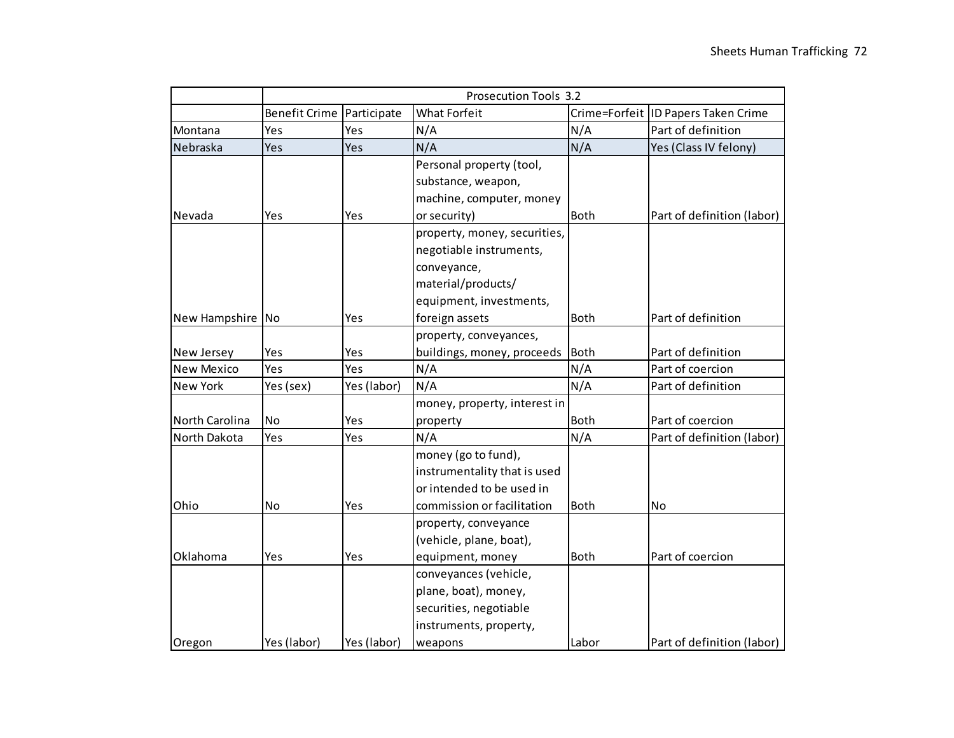|                   |                      |             | Prosecution Tools 3.2        |             |                                       |
|-------------------|----------------------|-------------|------------------------------|-------------|---------------------------------------|
|                   | <b>Benefit Crime</b> | Participate | <b>What Forfeit</b>          |             | Crime=Forfeit   ID Papers Taken Crime |
| Montana           | Yes                  | Yes         | N/A                          | N/A         | Part of definition                    |
| Nebraska          | Yes                  | Yes         | N/A                          | N/A         | Yes (Class IV felony)                 |
|                   |                      |             | Personal property (tool,     |             |                                       |
|                   |                      |             | substance, weapon,           |             |                                       |
|                   |                      |             | machine, computer, money     |             |                                       |
| Nevada            | Yes                  | Yes         | or security)                 | <b>Both</b> | Part of definition (labor)            |
|                   |                      |             | property, money, securities, |             |                                       |
|                   |                      |             | negotiable instruments,      |             |                                       |
|                   |                      |             | conveyance,                  |             |                                       |
|                   |                      |             | material/products/           |             |                                       |
|                   |                      |             | equipment, investments,      |             |                                       |
| New Hampshire No  |                      | Yes         | foreign assets               | <b>Both</b> | Part of definition                    |
|                   |                      |             | property, conveyances,       |             |                                       |
| New Jersey        | Yes                  | Yes         | buildings, money, proceeds   | <b>Both</b> | Part of definition                    |
| <b>New Mexico</b> | Yes                  | Yes         | N/A                          | N/A         | Part of coercion                      |
| New York          | Yes (sex)            | Yes (labor) | N/A                          | N/A         | Part of definition                    |
|                   |                      |             | money, property, interest in |             |                                       |
| North Carolina    | No                   | Yes         | property                     | <b>Both</b> | Part of coercion                      |
| North Dakota      | Yes                  | Yes         | N/A                          | N/A         | Part of definition (labor)            |
|                   |                      |             | money (go to fund),          |             |                                       |
|                   |                      |             | instrumentality that is used |             |                                       |
|                   |                      |             | or intended to be used in    |             |                                       |
| Ohio              | No                   | Yes         | commission or facilitation   | <b>Both</b> | No                                    |
|                   |                      |             | property, conveyance         |             |                                       |
|                   |                      |             | (vehicle, plane, boat),      |             |                                       |
| Oklahoma          | Yes                  | Yes         | equipment, money             | <b>Both</b> | Part of coercion                      |
|                   |                      |             | conveyances (vehicle,        |             |                                       |
|                   |                      |             | plane, boat), money,         |             |                                       |
|                   |                      |             | securities, negotiable       |             |                                       |
|                   |                      |             | instruments, property,       |             |                                       |
| Oregon            | Yes (labor)          | Yes (labor) | weapons                      | Labor       | Part of definition (labor)            |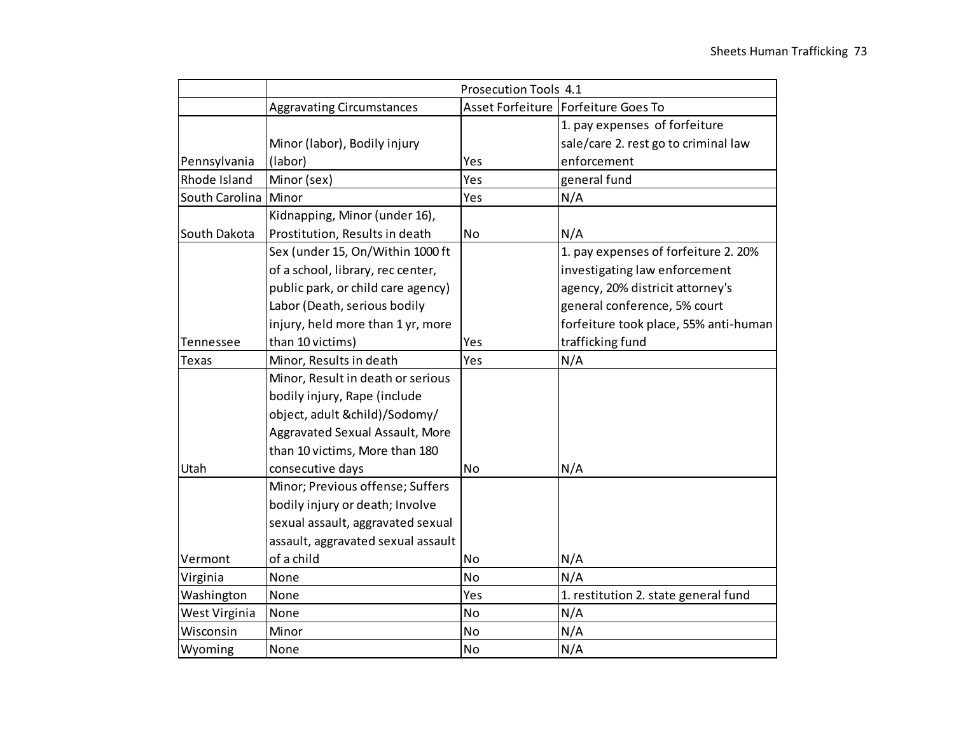|                |                                        | Prosecution Tools 4.1 |                                       |  |  |
|----------------|----------------------------------------|-----------------------|---------------------------------------|--|--|
|                | <b>Aggravating Circumstances</b>       |                       | Asset Forfeiture   Forfeiture Goes To |  |  |
|                |                                        |                       | 1. pay expenses of forfeiture         |  |  |
|                | Minor (labor), Bodily injury           |                       | sale/care 2. rest go to criminal law  |  |  |
| Pennsylvania   | (labor)                                | Yes                   | enforcement                           |  |  |
| Rhode Island   | Minor (sex)                            | Yes                   | general fund                          |  |  |
| South Carolina | Minor                                  | Yes                   | N/A                                   |  |  |
|                | Kidnapping, Minor (under 16),          |                       |                                       |  |  |
| South Dakota   | Prostitution, Results in death         | <b>No</b>             | N/A                                   |  |  |
|                | Sex (under 15, On/Within 1000 ft       |                       | 1. pay expenses of forfeiture 2. 20%  |  |  |
|                | of a school, library, rec center,      |                       | investigating law enforcement         |  |  |
|                | public park, or child care agency)     |                       | agency, 20% districit attorney's      |  |  |
|                | Labor (Death, serious bodily           |                       | general conference, 5% court          |  |  |
|                | injury, held more than 1 yr, more      |                       | forfeiture took place, 55% anti-human |  |  |
| Tennessee      | than 10 victims)                       | Yes                   | trafficking fund                      |  |  |
| <b>Texas</b>   | Minor, Results in death                | Yes                   | N/A                                   |  |  |
|                | Minor, Result in death or serious      |                       |                                       |  |  |
|                | bodily injury, Rape (include           |                       |                                       |  |  |
|                | object, adult &child)/Sodomy/          |                       |                                       |  |  |
|                | <b>Aggravated Sexual Assault, More</b> |                       |                                       |  |  |
|                | than 10 victims, More than 180         |                       |                                       |  |  |
| Utah           | consecutive days                       | <b>No</b>             | N/A                                   |  |  |
|                | Minor; Previous offense; Suffers       |                       |                                       |  |  |
|                | bodily injury or death; Involve        |                       |                                       |  |  |
|                | sexual assault, aggravated sexual      |                       |                                       |  |  |
|                | assault, aggravated sexual assault     |                       |                                       |  |  |
| Vermont        | of a child                             | <b>No</b>             | N/A                                   |  |  |
| Virginia       | None                                   | <b>No</b>             | N/A                                   |  |  |
| Washington     | None                                   | Yes                   | 1. restitution 2. state general fund  |  |  |
| West Virginia  | None                                   | No                    | N/A                                   |  |  |
| Wisconsin      | Minor                                  | No                    | N/A                                   |  |  |
| Wyoming        | None                                   | No                    | N/A                                   |  |  |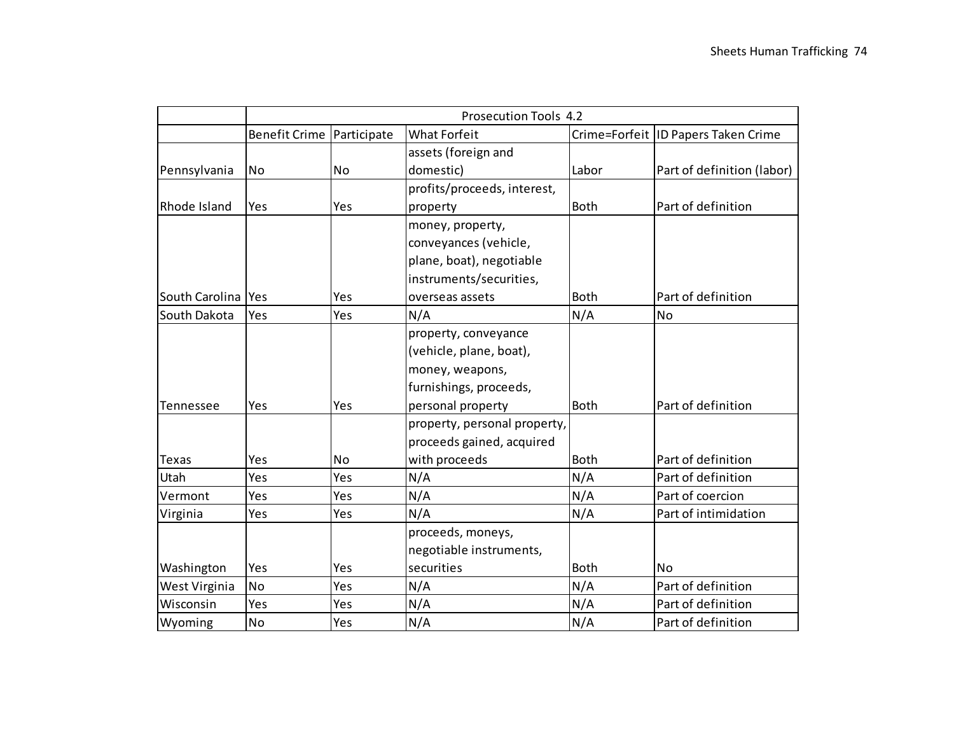|                     |                             |           | <b>Prosecution Tools 4.2</b> |             |                                       |
|---------------------|-----------------------------|-----------|------------------------------|-------------|---------------------------------------|
|                     | Benefit Crime   Participate |           | <b>What Forfeit</b>          |             | Crime=Forfeit   ID Papers Taken Crime |
|                     |                             |           | assets (foreign and          |             |                                       |
| Pennsylvania        | No                          | <b>No</b> | domestic)                    | Labor       | Part of definition (labor)            |
|                     |                             |           | profits/proceeds, interest,  |             |                                       |
| <b>Rhode Island</b> | Yes                         | Yes       | property                     | <b>Both</b> | Part of definition                    |
|                     |                             |           | money, property,             |             |                                       |
|                     |                             |           | conveyances (vehicle,        |             |                                       |
|                     |                             |           | plane, boat), negotiable     |             |                                       |
|                     |                             |           | instruments/securities,      |             |                                       |
| South Carolina      | Yes                         | Yes       | overseas assets              | <b>Both</b> | Part of definition                    |
| South Dakota        | Yes                         | Yes       | N/A                          | N/A         | No                                    |
|                     |                             |           | property, conveyance         |             |                                       |
|                     |                             |           | (vehicle, plane, boat),      |             |                                       |
|                     |                             |           | money, weapons,              |             |                                       |
|                     |                             |           | furnishings, proceeds,       |             |                                       |
| Tennessee           | Yes                         | Yes       | personal property            | <b>Both</b> | Part of definition                    |
|                     |                             |           | property, personal property, |             |                                       |
|                     |                             |           | proceeds gained, acquired    |             |                                       |
| <b>Texas</b>        | Yes                         | No        | with proceeds                | <b>Both</b> | Part of definition                    |
| Utah                | Yes                         | Yes       | N/A                          | N/A         | Part of definition                    |
| Vermont             | Yes                         | Yes       | N/A                          | N/A         | Part of coercion                      |
| Virginia            | Yes                         | Yes       | N/A                          | N/A         | Part of intimidation                  |
|                     |                             |           | proceeds, moneys,            |             |                                       |
|                     |                             |           | negotiable instruments,      |             |                                       |
| Washington          | Yes                         | Yes       | securities                   | <b>Both</b> | N٥                                    |
| West Virginia       | <b>No</b>                   | Yes       | N/A                          | N/A         | Part of definition                    |
| Wisconsin           | Yes                         | Yes       | N/A                          | N/A         | Part of definition                    |
| Wyoming             | <b>No</b>                   | Yes       | N/A                          | N/A         | Part of definition                    |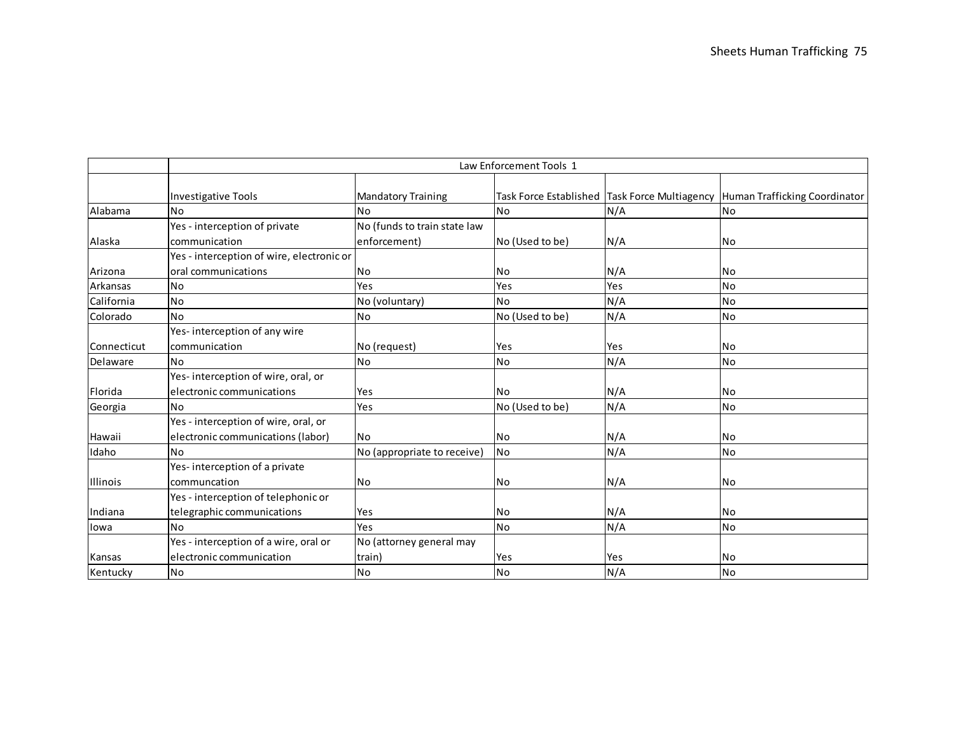|             |                                                                           |                                              | Law Enforcement Tools 1 |     |                                                                             |
|-------------|---------------------------------------------------------------------------|----------------------------------------------|-------------------------|-----|-----------------------------------------------------------------------------|
|             | <b>Investigative Tools</b>                                                | <b>Mandatory Training</b>                    |                         |     | Task Force Established Task Force Multiagency Human Trafficking Coordinator |
| Alabama     | <b>No</b>                                                                 | <b>No</b>                                    | No                      | N/A | No                                                                          |
| Alaska      | Yes - interception of private<br>communication                            | No (funds to train state law<br>enforcement) | No (Used to be)         | N/A | <b>No</b>                                                                   |
| Arizona     | Yes - interception of wire, electronic or<br>oral communications          | No                                           | <b>No</b>               | N/A | <b>No</b>                                                                   |
| Arkansas    | No                                                                        | Yes                                          | Yes                     | Yes | <b>No</b>                                                                   |
| California  | <b>No</b>                                                                 | No (voluntary)                               | <b>No</b>               | N/A | <b>No</b>                                                                   |
| Colorado    | <b>No</b>                                                                 | No                                           | No (Used to be)         | N/A | N <sub>o</sub>                                                              |
| Connecticut | Yes-interception of any wire<br>communication                             | No (request)                                 | Yes                     | Yes | <b>No</b>                                                                   |
| Delaware    | <b>No</b>                                                                 | N <sub>o</sub>                               | <b>No</b>               | N/A | <b>No</b>                                                                   |
| Florida     | Yes-interception of wire, oral, or<br>electronic communications           | Yes                                          | lNo                     | N/A | <b>No</b>                                                                   |
| Georgia     | <b>No</b>                                                                 | Yes                                          | No (Used to be)         | N/A | No                                                                          |
| Hawaii      | Yes - interception of wire, oral, or<br>electronic communications (labor) | No.                                          | <b>No</b>               | N/A | <b>No</b>                                                                   |
| Idaho       | <b>No</b>                                                                 | No (appropriate to receive)                  | <b>No</b>               | N/A | <b>No</b>                                                                   |
| Illinois    | Yes-interception of a private<br>communcation                             | No                                           | <b>No</b>               | N/A | <b>No</b>                                                                   |
| Indiana     | Yes - interception of telephonic or<br>telegraphic communications         | Yes                                          | <b>No</b>               | N/A | N <sub>o</sub>                                                              |
| lowa        | <b>No</b>                                                                 | Yes                                          | No                      | N/A | <b>No</b>                                                                   |
| Kansas      | Yes - interception of a wire, oral or<br>leIectronic communication        | No (attorney general may<br>train)           | Yes                     | Yes | <b>No</b>                                                                   |
| Kentucky    | No                                                                        | No                                           | No                      | N/A | No                                                                          |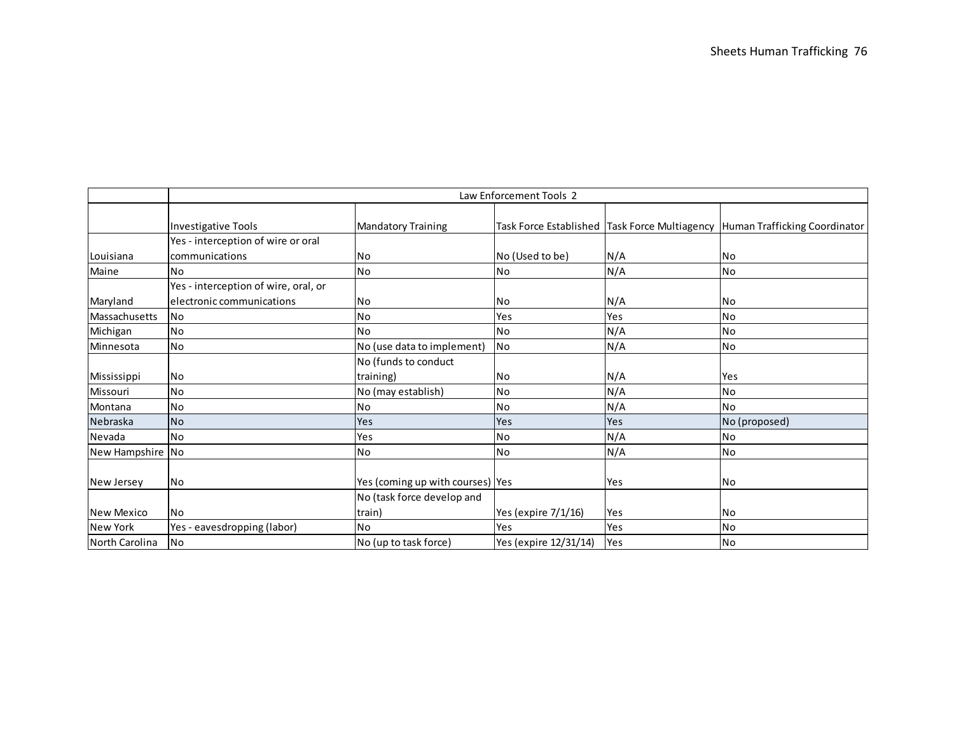|                  |                                      |                                  | Law Enforcement Tools 2 |     |                                                                             |
|------------------|--------------------------------------|----------------------------------|-------------------------|-----|-----------------------------------------------------------------------------|
|                  | Investigative Tools                  | <b>Mandatory Training</b>        |                         |     | Task Force Established Task Force Multiagency Human Trafficking Coordinator |
|                  | Yes - interception of wire or oral   |                                  |                         |     |                                                                             |
| Louisiana        | communications                       | No                               | No (Used to be)         | N/A | No.                                                                         |
| Maine            | <b>No</b>                            | <b>No</b>                        | No                      | N/A | <b>No</b>                                                                   |
|                  | Yes - interception of wire, oral, or |                                  |                         |     |                                                                             |
| Maryland         | le lectronic communications          | No                               | N <sub>o</sub>          | N/A | lNo.                                                                        |
| Massachusetts    | <b>No</b>                            | <b>No</b>                        | Yes                     | Yes | <b>No</b>                                                                   |
| Michigan         | <b>No</b>                            | <b>No</b>                        | No                      | N/A | <b>No</b>                                                                   |
| Minnesota        | <b>No</b>                            | No (use data to implement)       | <b>No</b>               | N/A | <b>No</b>                                                                   |
|                  |                                      | No (funds to conduct             |                         |     |                                                                             |
| Mississippi      | <b>No</b>                            | training)                        | No                      | N/A | Yes                                                                         |
| Missouri         | <b>No</b>                            | No (may establish)               | <b>No</b>               | N/A | <b>No</b>                                                                   |
| Montana          | <b>No</b>                            | <b>No</b>                        | No                      | N/A | <b>No</b>                                                                   |
| Nebraska         | <b>No</b>                            | Yes                              | Yes                     | Yes | No (proposed)                                                               |
| Nevada           | <b>No</b>                            | Yes                              | No                      | N/A | <b>No</b>                                                                   |
| New Hampshire No |                                      | <b>No</b>                        | No                      | N/A | N <sub>o</sub>                                                              |
|                  |                                      |                                  |                         |     |                                                                             |
| New Jersey       | <b>No</b>                            | Yes (coming up with courses) Yes |                         | Yes | lNo.                                                                        |
|                  |                                      | No (task force develop and       |                         |     |                                                                             |
| New Mexico       | <b>No</b>                            | train)                           | Yes (expire 7/1/16)     | Yes | <b>No</b>                                                                   |
| <b>New York</b>  | Yes - eavesdropping (labor)          | <b>No</b>                        | Yes                     | Yes | <b>No</b>                                                                   |
| North Carolina   | <b>No</b>                            | No (up to task force)            | Yes (expire 12/31/14)   | Yes | N <sub>o</sub>                                                              |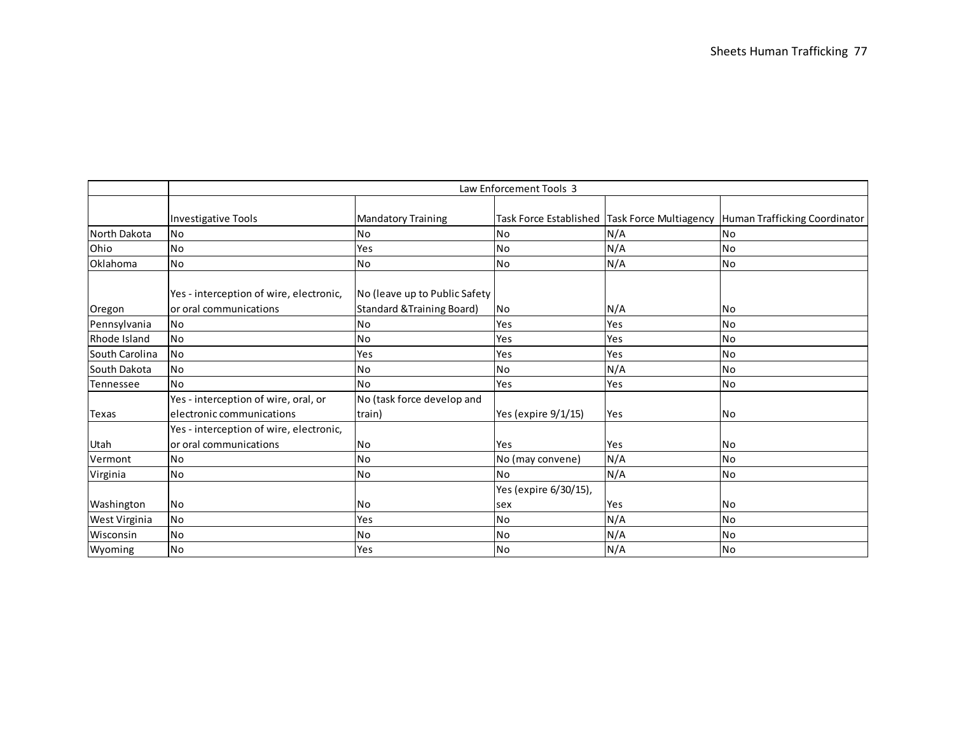|                |                                                                    | Law Enforcement Tools 3                                                |                               |     |                                                                                 |  |  |  |  |
|----------------|--------------------------------------------------------------------|------------------------------------------------------------------------|-------------------------------|-----|---------------------------------------------------------------------------------|--|--|--|--|
|                | Investigative Tools                                                | <b>Mandatory Training</b>                                              |                               |     | Task Force Established   Task Force Multiagency   Human Trafficking Coordinator |  |  |  |  |
| North Dakota   | <b>No</b>                                                          | N <sub>o</sub>                                                         | No                            | N/A | N <sub>o</sub>                                                                  |  |  |  |  |
| Ohio           | <b>No</b>                                                          | Yes                                                                    | <b>No</b>                     | N/A | <b>No</b>                                                                       |  |  |  |  |
| Oklahoma       | No                                                                 | No                                                                     | No                            | N/A | N <sub>o</sub>                                                                  |  |  |  |  |
| Oregon         | Yes - interception of wire, electronic,<br>lor oral communications | No (leave up to Public Safety<br><b>Standard &amp; Training Board)</b> | No                            | N/A | <b>No</b>                                                                       |  |  |  |  |
| Pennsylvania   | <b>No</b>                                                          | No                                                                     | Yes                           | Yes | N <sub>o</sub>                                                                  |  |  |  |  |
| Rhode Island   | <b>No</b>                                                          | No                                                                     | Yes                           | Yes | <b>No</b>                                                                       |  |  |  |  |
| South Carolina | <b>No</b>                                                          | Yes                                                                    | Yes                           | Yes | <b>No</b>                                                                       |  |  |  |  |
| South Dakota   | No                                                                 | No                                                                     | No                            | N/A | No                                                                              |  |  |  |  |
| Tennessee      | <b>No</b>                                                          | N <sub>o</sub>                                                         | Yes                           | Yes | No                                                                              |  |  |  |  |
| Texas          | Yes - interception of wire, oral, or<br>electronic communications  | No (task force develop and<br>train)                                   | Yes (expire 9/1/15)           | Yes | N <sub>o</sub>                                                                  |  |  |  |  |
| Utah           | Yes - interception of wire, electronic,<br>or oral communications  | No                                                                     | Yes                           | Yes | No                                                                              |  |  |  |  |
| Vermont        | <b>No</b>                                                          | N <sub>o</sub>                                                         | No (may convene)              | N/A | <b>No</b>                                                                       |  |  |  |  |
| Virginia       | <b>No</b>                                                          | N <sub>o</sub>                                                         | <b>No</b>                     | N/A | N <sub>o</sub>                                                                  |  |  |  |  |
| Washington     | <b>No</b>                                                          | No.                                                                    | Yes (expire 6/30/15),<br>Isex | Yes | <b>No</b>                                                                       |  |  |  |  |
| West Virginia  | <b>No</b>                                                          | Yes                                                                    | <b>No</b>                     | N/A | N <sub>0</sub>                                                                  |  |  |  |  |
| Wisconsin      | <b>No</b>                                                          | <b>No</b>                                                              | <b>No</b>                     | N/A | N <sub>o</sub>                                                                  |  |  |  |  |
| Wyoming        | No                                                                 | Yes                                                                    | <b>No</b>                     | N/A | No                                                                              |  |  |  |  |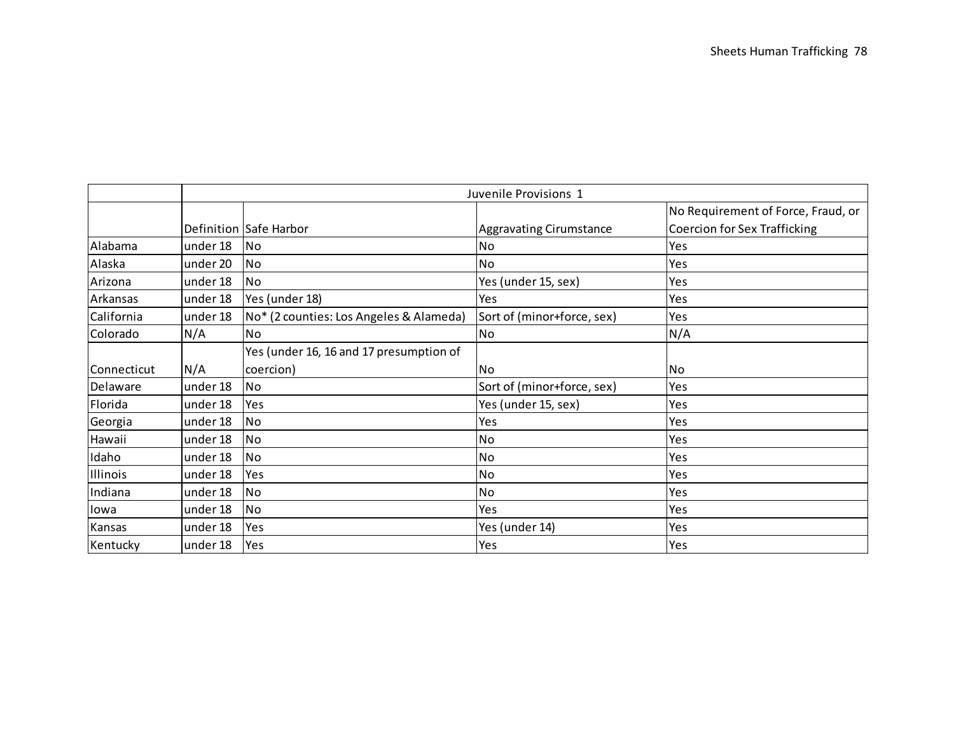|             |          |                                         | Juvenile Provisions 1          |                                     |
|-------------|----------|-----------------------------------------|--------------------------------|-------------------------------------|
|             |          |                                         |                                | No Requirement of Force, Fraud, or  |
|             |          | Definition Safe Harbor                  | <b>Aggravating Cirumstance</b> | <b>Coercion for Sex Trafficking</b> |
| Alabama     | under 18 | <b>No</b>                               | <b>No</b>                      | Yes                                 |
| Alaska      | under 20 | <b>No</b>                               | No                             | Yes                                 |
| Arizona     | under 18 | <b>No</b>                               | Yes (under 15, sex)            | Yes                                 |
| Arkansas    | under 18 | Yes (under 18)                          | Yes                            | Yes                                 |
| California  | under 18 | No* (2 counties: Los Angeles & Alameda) | Sort of (minor+force, sex)     | Yes                                 |
| Colorado    | N/A      | No                                      | No                             | N/A                                 |
|             |          | Yes (under 16, 16 and 17 presumption of |                                |                                     |
| Connecticut | N/A      | coercion)                               | <b>No</b>                      | No                                  |
| Delaware    | under 18 | <b>No</b>                               | Sort of (minor+force, sex)     | Yes                                 |
| Florida     | under 18 | Yes                                     | Yes (under 15, sex)            | Yes                                 |
| Georgia     | under 18 | No                                      | Yes                            | Yes                                 |
| Hawaii      | under 18 | <b>No</b>                               | <b>No</b>                      | Yes                                 |
| Idaho       | under 18 | <b>No</b>                               | <b>No</b>                      | Yes                                 |
| Illinois    | under 18 | Yes                                     | No                             | Yes                                 |
| Indiana     | under 18 | <b>No</b>                               | <b>No</b>                      | Yes                                 |
| lowa        | under 18 | <b>No</b>                               | Yes                            | Yes                                 |
| Kansas      | under 18 | Yes                                     | Yes (under 14)                 | Yes                                 |
| Kentucky    | under 18 | Yes                                     | Yes                            | Yes                                 |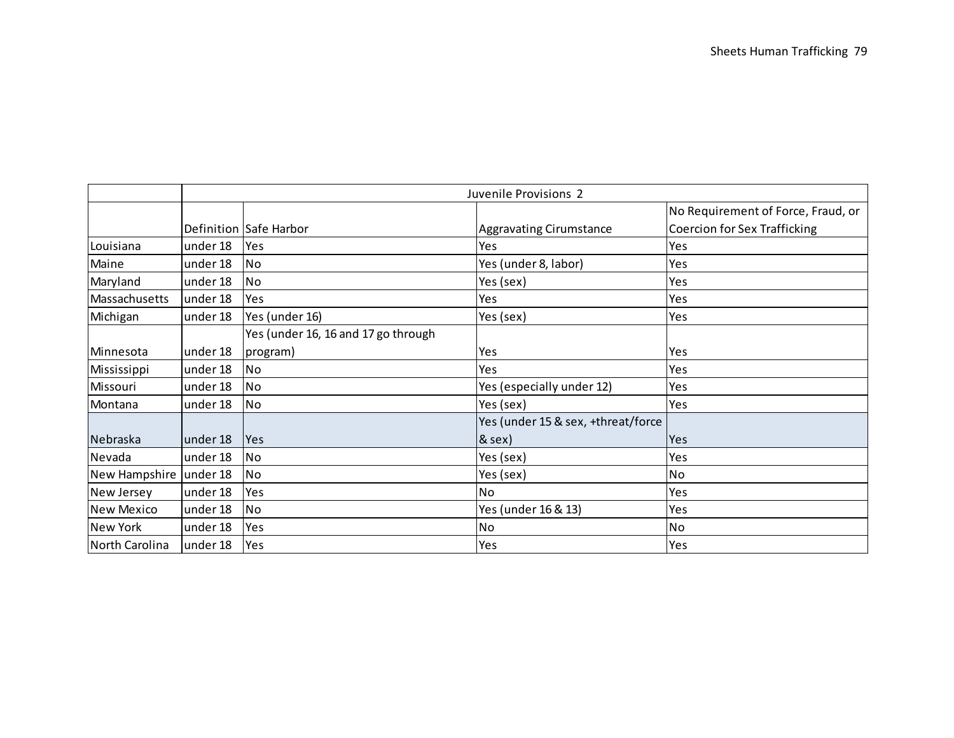|                        |          |                                     | Juvenile Provisions 2              |                                     |
|------------------------|----------|-------------------------------------|------------------------------------|-------------------------------------|
|                        |          |                                     |                                    | No Requirement of Force, Fraud, or  |
|                        |          | Definition Safe Harbor              | <b>Aggravating Cirumstance</b>     | <b>Coercion for Sex Trafficking</b> |
| Louisiana              | under 18 | <b>Yes</b>                          | Yes                                | Yes                                 |
| Maine                  | under 18 | No                                  | Yes (under 8, labor)               | Yes                                 |
| Maryland               | under 18 | lNo.                                | Yes (sex)                          | Yes                                 |
| Massachusetts          | under 18 | Yes                                 | Yes                                | Yes                                 |
| Michigan               | under 18 | Yes (under 16)                      | Yes (sex)                          | Yes                                 |
|                        |          | Yes (under 16, 16 and 17 go through |                                    |                                     |
| Minnesota              | under 18 | program)                            | Yes                                | Yes                                 |
| Mississippi            | under 18 | No.                                 | Yes                                | Yes                                 |
| Missouri               | under 18 | No.                                 | Yes (especially under 12)          | Yes                                 |
| Montana                | under 18 | lNo.                                | Yes (sex)                          | Yes                                 |
|                        |          |                                     | Yes (under 15 & sex, +threat/force |                                     |
| Nebraska               | under 18 | <b>Yes</b>                          | $8$ sex)                           | Yes                                 |
| Nevada                 | under 18 | No.                                 | Yes (sex)                          | Yes                                 |
| New Hampshire under 18 |          | No                                  | Yes (sex)                          | No                                  |
| New Jersey             | under 18 | Yes                                 | No                                 | Yes                                 |
| New Mexico             | under 18 | No.                                 | Yes (under 16 & 13)                | Yes                                 |
| New York               | under 18 | Yes                                 | <b>No</b>                          | No                                  |
| North Carolina         | under 18 | Yes                                 | Yes                                | Yes                                 |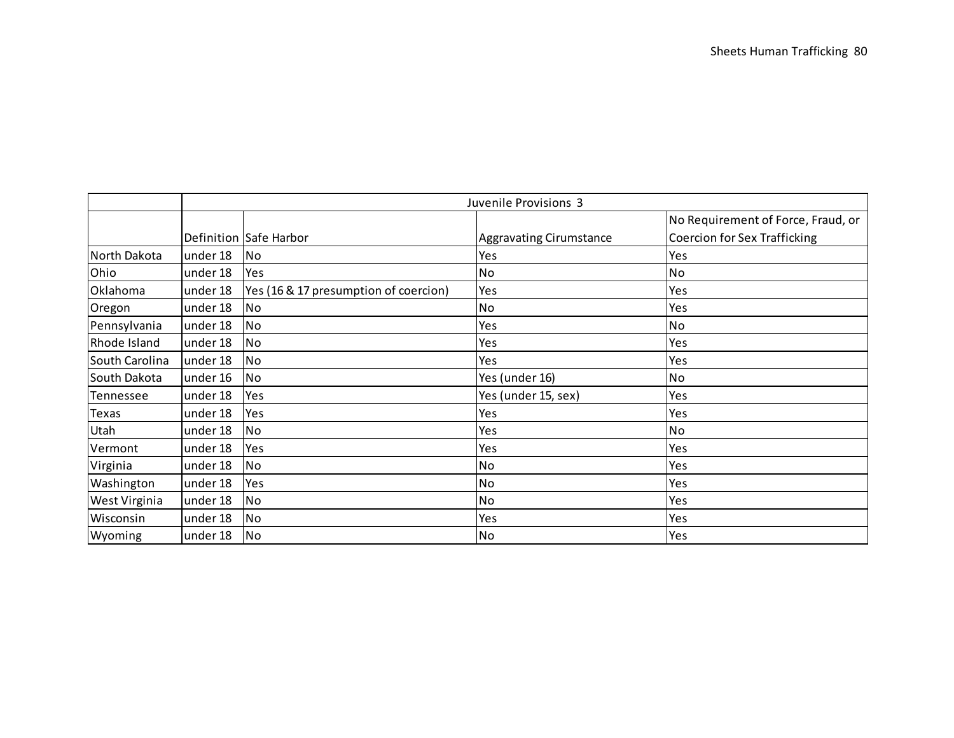|                |          | Juvenile Provisions 3                 |                                |                                     |  |  |  |
|----------------|----------|---------------------------------------|--------------------------------|-------------------------------------|--|--|--|
|                |          |                                       |                                | No Requirement of Force, Fraud, or  |  |  |  |
|                |          | Definition Safe Harbor                | <b>Aggravating Cirumstance</b> | <b>Coercion for Sex Trafficking</b> |  |  |  |
| North Dakota   | under 18 | <b>No</b>                             | Yes                            | Yes                                 |  |  |  |
| Ohio           | under 18 | Yes                                   | No                             | No                                  |  |  |  |
| Oklahoma       | under 18 | Yes (16 & 17 presumption of coercion) | Yes                            | Yes                                 |  |  |  |
| Oregon         | under 18 | No                                    | <b>No</b>                      | Yes                                 |  |  |  |
| Pennsylvania   | under 18 | No                                    | Yes                            | No                                  |  |  |  |
| Rhode Island   | under 18 | No                                    | Yes                            | Yes                                 |  |  |  |
| South Carolina | under 18 | No                                    | Yes                            | Yes                                 |  |  |  |
| South Dakota   | under 16 | No                                    | Yes (under 16)                 | No                                  |  |  |  |
| Tennessee      | under 18 | Yes                                   | Yes (under 15, sex)            | Yes                                 |  |  |  |
| <b>Texas</b>   | under 18 | Yes                                   | Yes                            | Yes                                 |  |  |  |
| Utah           | under 18 | No                                    | Yes                            | No                                  |  |  |  |
| Vermont        | under 18 | <b>Yes</b>                            | Yes                            | Yes                                 |  |  |  |
| Virginia       | under 18 | No                                    | No                             | Yes                                 |  |  |  |
| Washington     | under 18 | Yes                                   | <b>No</b>                      | Yes                                 |  |  |  |
| West Virginia  | under 18 | No                                    | <b>No</b>                      | Yes                                 |  |  |  |
| Wisconsin      | under 18 | No.                                   | Yes                            | Yes                                 |  |  |  |
| Wyoming        | under 18 | No                                    | <b>No</b>                      | Yes                                 |  |  |  |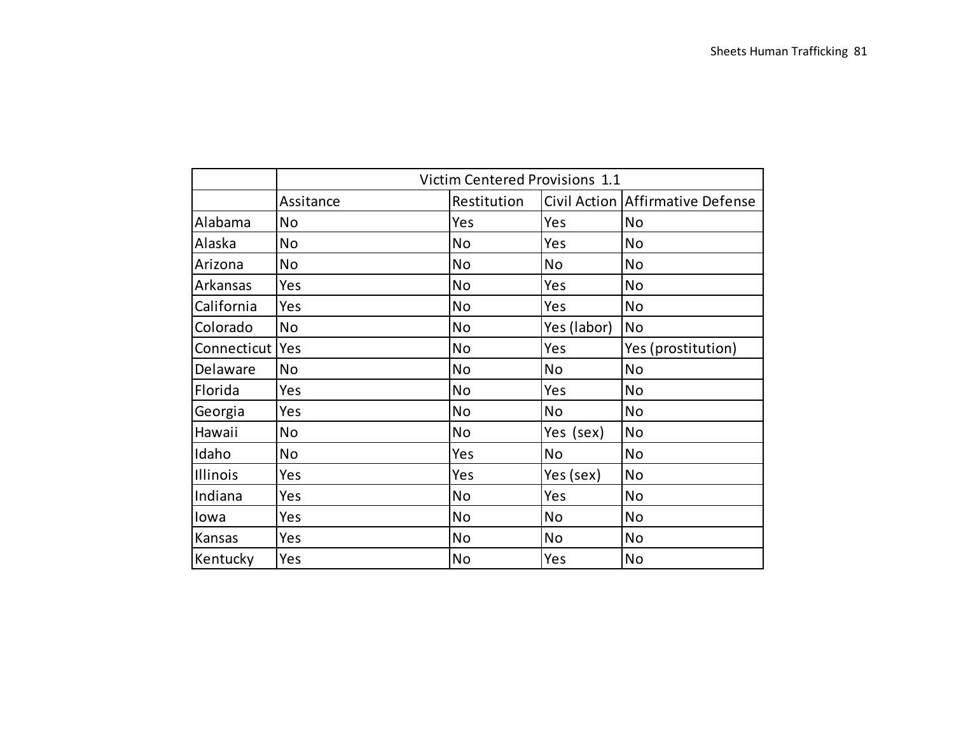|                   |            | Victim Centered Provisions 1.1 |             |                                  |
|-------------------|------------|--------------------------------|-------------|----------------------------------|
|                   | Assitance  | Restitution                    |             | Civil Action Affirmative Defense |
| Alabama           | <b>No</b>  | Yes                            | Yes         | <b>No</b>                        |
| Alaska            | <b>No</b>  | <b>No</b>                      | Yes         | <b>No</b>                        |
| Arizona           | <b>No</b>  | <b>No</b>                      | <b>No</b>   | <b>No</b>                        |
| Arkansas          | Yes        | <b>No</b>                      | Yes         | <b>No</b>                        |
| California        | Yes        | <b>No</b>                      | Yes         | <b>No</b>                        |
| Colorado          | <b>No</b>  | <b>No</b>                      | Yes (labor) | <b>No</b>                        |
| Connecticut   Yes |            | <b>No</b>                      | Yes         | Yes (prostitution)               |
| Delaware          | <b>No</b>  | <b>No</b>                      | <b>No</b>   | <b>No</b>                        |
| Florida           | Yes        | <b>No</b>                      | Yes         | <b>No</b>                        |
| Georgia           | Yes        | No                             | <b>No</b>   | <b>No</b>                        |
| Hawaii            | <b>No</b>  | <b>No</b>                      | Yes (sex)   | <b>No</b>                        |
| Idaho             | <b>No</b>  | Yes                            | <b>No</b>   | <b>No</b>                        |
| Illinois          | Yes        | Yes                            | Yes (sex)   | <b>No</b>                        |
| Indiana           | Yes        | <b>No</b>                      | Yes         | <b>No</b>                        |
| lowa              | Yes        | <b>No</b>                      | <b>No</b>   | <b>No</b>                        |
| Kansas            | Yes        | <b>No</b>                      | No          | No                               |
| Kentucky          | <b>Yes</b> | No                             | Yes         | <b>No</b>                        |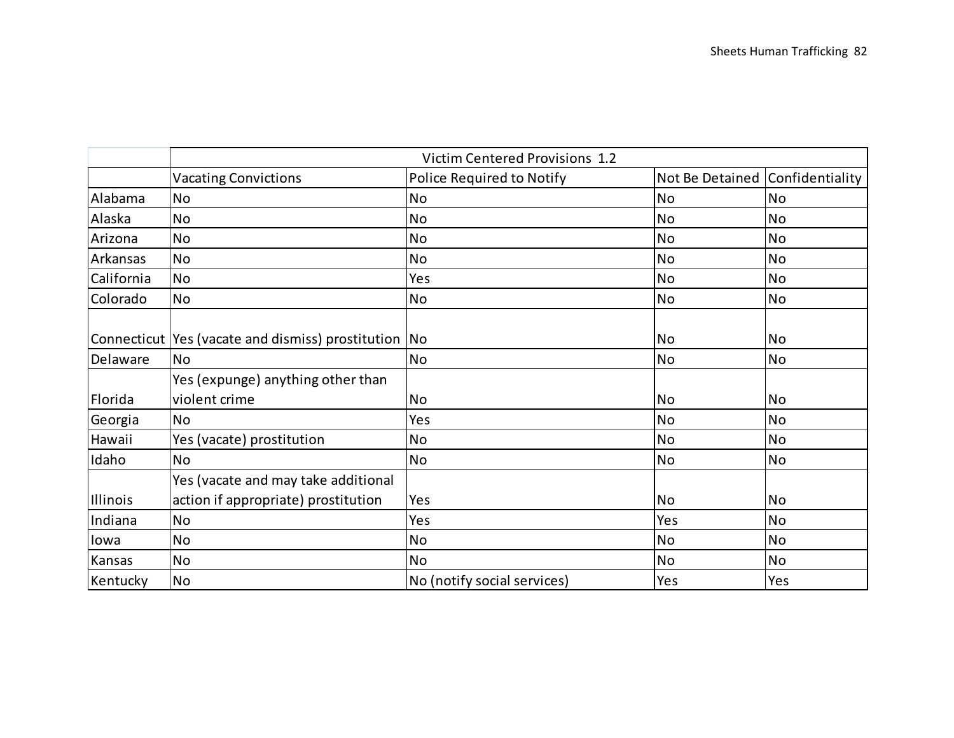|            |                                                                            | Victim Centered Provisions 1.2 |                                 |           |
|------------|----------------------------------------------------------------------------|--------------------------------|---------------------------------|-----------|
|            | <b>Vacating Convictions</b>                                                | Police Required to Notify      | Not Be Detained Confidentiality |           |
| Alabama    | <b>No</b>                                                                  | <b>No</b>                      | <b>No</b>                       | <b>No</b> |
| Alaska     | <b>No</b>                                                                  | <b>No</b>                      | <b>No</b>                       | <b>No</b> |
| Arizona    | <b>No</b>                                                                  | <b>No</b>                      | <b>No</b>                       | <b>No</b> |
| Arkansas   | <b>No</b>                                                                  | <b>No</b>                      | <b>No</b>                       | <b>No</b> |
| California | <b>No</b>                                                                  | Yes                            | <b>No</b>                       | <b>No</b> |
| Colorado   | <b>No</b>                                                                  | <b>No</b>                      | <b>No</b>                       | <b>No</b> |
|            | Connecticut Yes (vacate and dismiss) prostitution No                       |                                | <b>No</b>                       | <b>No</b> |
| Delaware   | <b>No</b>                                                                  | <b>No</b>                      | <b>No</b>                       | <b>No</b> |
| Florida    | Yes (expunge) anything other than<br>violent crime                         | <b>No</b>                      | <b>No</b>                       | <b>No</b> |
| Georgia    | <b>No</b>                                                                  | Yes                            | <b>No</b>                       | <b>No</b> |
| Hawaii     | Yes (vacate) prostitution                                                  | <b>No</b>                      | <b>No</b>                       | <b>No</b> |
| Idaho      | <b>No</b>                                                                  | <b>No</b>                      | <b>No</b>                       | <b>No</b> |
| Illinois   | Yes (vacate and may take additional<br>action if appropriate) prostitution | Yes                            | <b>No</b>                       | <b>No</b> |
| Indiana    | <b>No</b>                                                                  | Yes                            | Yes                             | <b>No</b> |
| lowa       | <b>No</b>                                                                  | <b>No</b>                      | <b>No</b>                       | <b>No</b> |
| Kansas     | <b>No</b>                                                                  | <b>No</b>                      | <b>No</b>                       | <b>No</b> |
| Kentucky   | <b>No</b>                                                                  | No (notify social services)    | Yes                             | Yes       |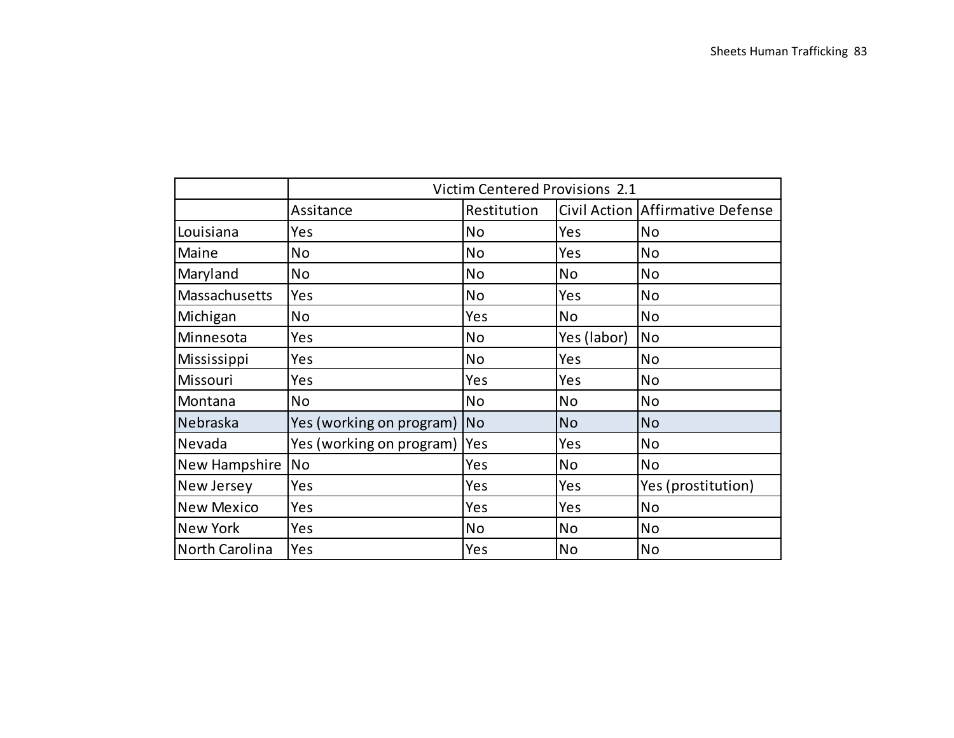|                   |                          |                | Victim Centered Provisions 2.1 |                                  |
|-------------------|--------------------------|----------------|--------------------------------|----------------------------------|
|                   | Assitance                | Restitution    |                                | Civil Action Affirmative Defense |
| Louisiana         | Yes                      | <b>No</b>      | Yes                            | <b>No</b>                        |
| Maine             | <b>No</b>                | <b>No</b>      | Yes                            | <b>No</b>                        |
| Maryland          | No                       | <b>No</b>      | No                             | No                               |
| Massachusetts     | Yes                      | No             | Yes                            | <b>No</b>                        |
| Michigan          | <b>No</b>                | Yes            | <b>No</b>                      | <b>No</b>                        |
| Minnesota         | Yes                      | <b>No</b>      | Yes (labor)                    | <b>No</b>                        |
| Mississippi       | Yes                      | <b>No</b>      | Yes                            | No                               |
| Missouri          | Yes                      | Yes            | Yes                            | <b>No</b>                        |
| Montana           | <b>No</b>                | <b>No</b>      | <b>No</b>                      | <b>No</b>                        |
| Nebraska          | Yes (working on program) | N <sub>o</sub> | <b>No</b>                      | <b>No</b>                        |
| Nevada            | Yes (working on program) | Yes            | Yes                            | <b>No</b>                        |
| New Hampshire     | <b>No</b>                | Yes            | <b>No</b>                      | No                               |
| New Jersey        | Yes                      | Yes            | Yes                            | Yes (prostitution)               |
| <b>New Mexico</b> | Yes                      | Yes            | Yes                            | <b>No</b>                        |
| <b>New York</b>   | Yes                      | <b>No</b>      | <b>No</b>                      | <b>No</b>                        |
| North Carolina    | Yes                      | Yes            | <b>No</b>                      | <b>No</b>                        |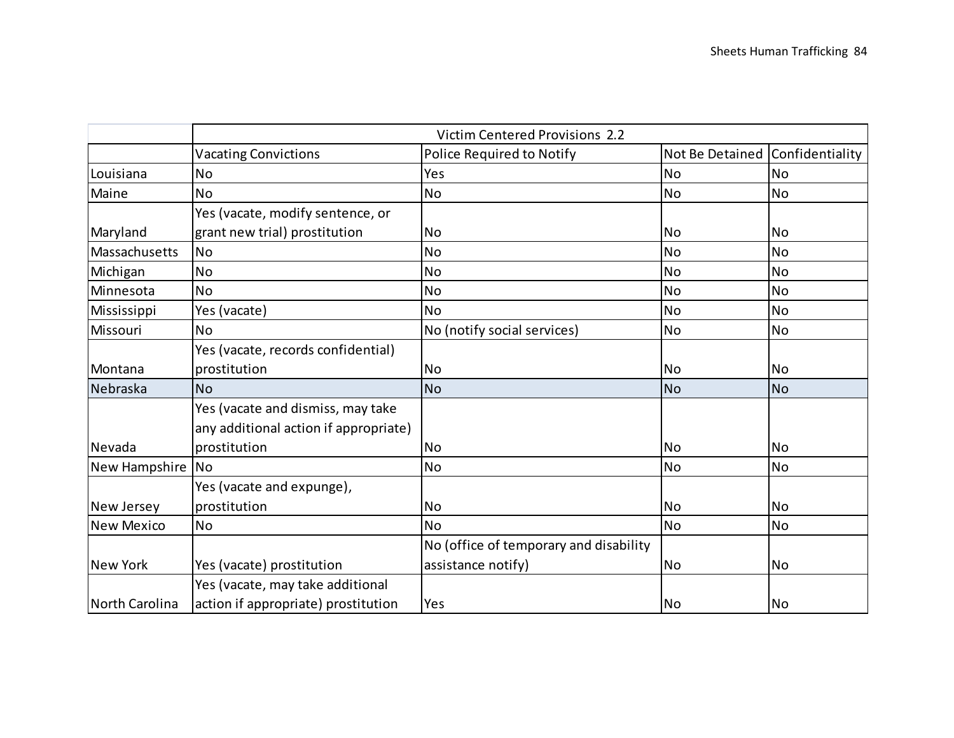|                   | Victim Centered Provisions 2.2        |                                        |                                 |           |  |  |
|-------------------|---------------------------------------|----------------------------------------|---------------------------------|-----------|--|--|
|                   | <b>Vacating Convictions</b>           | Police Required to Notify              | Not Be Detained Confidentiality |           |  |  |
| Louisiana         | <b>No</b>                             | Yes                                    | <b>No</b>                       | <b>No</b> |  |  |
| Maine             | <b>No</b>                             | No                                     | <b>No</b>                       | <b>No</b> |  |  |
|                   | Yes (vacate, modify sentence, or      |                                        |                                 |           |  |  |
| Maryland          | grant new trial) prostitution         | <b>No</b>                              | <b>No</b>                       | <b>No</b> |  |  |
| Massachusetts     | <b>No</b>                             | No                                     | <b>No</b>                       | <b>No</b> |  |  |
| Michigan          | <b>No</b>                             | <b>No</b>                              | <b>No</b>                       | <b>No</b> |  |  |
| Minnesota         | <b>No</b>                             | <b>No</b>                              | <b>No</b>                       | <b>No</b> |  |  |
| Mississippi       | Yes (vacate)                          | No                                     | <b>No</b>                       | <b>No</b> |  |  |
| Missouri          | <b>No</b>                             | No (notify social services)            | <b>No</b>                       | <b>No</b> |  |  |
|                   | Yes (vacate, records confidential)    |                                        |                                 |           |  |  |
| Montana           | prostitution                          | <b>No</b>                              | <b>No</b>                       | <b>No</b> |  |  |
| Nebraska          | <b>No</b>                             | <b>No</b>                              | <b>No</b>                       | <b>No</b> |  |  |
|                   | Yes (vacate and dismiss, may take     |                                        |                                 |           |  |  |
|                   | any additional action if appropriate) |                                        |                                 |           |  |  |
| Nevada            | prostitution                          | <b>No</b>                              | <b>No</b>                       | <b>No</b> |  |  |
| New Hampshire No  |                                       | No                                     | <b>No</b>                       | <b>No</b> |  |  |
|                   | Yes (vacate and expunge),             |                                        |                                 |           |  |  |
| New Jersey        | prostitution                          | <b>No</b>                              | <b>No</b>                       | <b>No</b> |  |  |
| <b>New Mexico</b> | <b>No</b>                             | <b>No</b>                              | <b>No</b>                       | <b>No</b> |  |  |
|                   |                                       | No (office of temporary and disability |                                 |           |  |  |
| <b>New York</b>   | Yes (vacate) prostitution             | assistance notify)                     | <b>No</b>                       | <b>No</b> |  |  |
|                   | Yes (vacate, may take additional      |                                        |                                 |           |  |  |
| North Carolina    | action if appropriate) prostitution   | Yes                                    | <b>No</b>                       | <b>No</b> |  |  |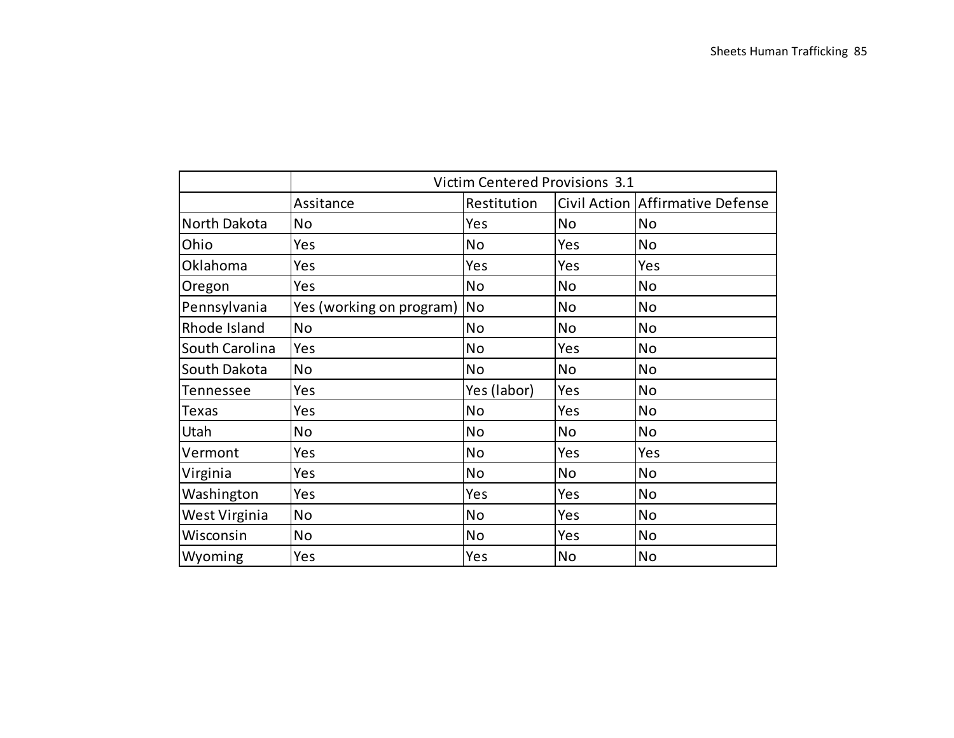|                 | Victim Centered Provisions 3.1 |             |           |                                  |  |
|-----------------|--------------------------------|-------------|-----------|----------------------------------|--|
|                 | Assitance                      | Restitution |           | Civil Action Affirmative Defense |  |
| North Dakota    | No                             | Yes         | <b>No</b> | <b>No</b>                        |  |
| Ohio            | Yes                            | <b>No</b>   | Yes       | <b>No</b>                        |  |
| <b>Oklahoma</b> | Yes                            | Yes         | Yes       | Yes                              |  |
| Oregon          | Yes                            | No          | <b>No</b> | <b>No</b>                        |  |
| Pennsylvania    | Yes (working on program)       | <b>No</b>   | <b>No</b> | <b>No</b>                        |  |
| Rhode Island    | No                             | <b>No</b>   | <b>No</b> | <b>No</b>                        |  |
| South Carolina  | Yes                            | <b>No</b>   | Yes       | <b>No</b>                        |  |
| South Dakota    | No                             | <b>No</b>   | No        | <b>No</b>                        |  |
| Tennessee       | Yes                            | Yes (labor) | Yes       | <b>No</b>                        |  |
| Texas           | Yes                            | <b>No</b>   | Yes       | <b>No</b>                        |  |
| Utah            | No                             | <b>No</b>   | <b>No</b> | <b>No</b>                        |  |
| Vermont         | Yes                            | No          | Yes       | Yes                              |  |
| Virginia        | Yes                            | <b>No</b>   | <b>No</b> | <b>No</b>                        |  |
| Washington      | Yes                            | Yes         | Yes       | <b>No</b>                        |  |
| West Virginia   | <b>No</b>                      | <b>No</b>   | Yes       | <b>No</b>                        |  |
| Wisconsin       | <b>No</b>                      | <b>No</b>   | Yes       | <b>No</b>                        |  |
| Wyoming         | Yes                            | Yes         | <b>No</b> | <b>No</b>                        |  |